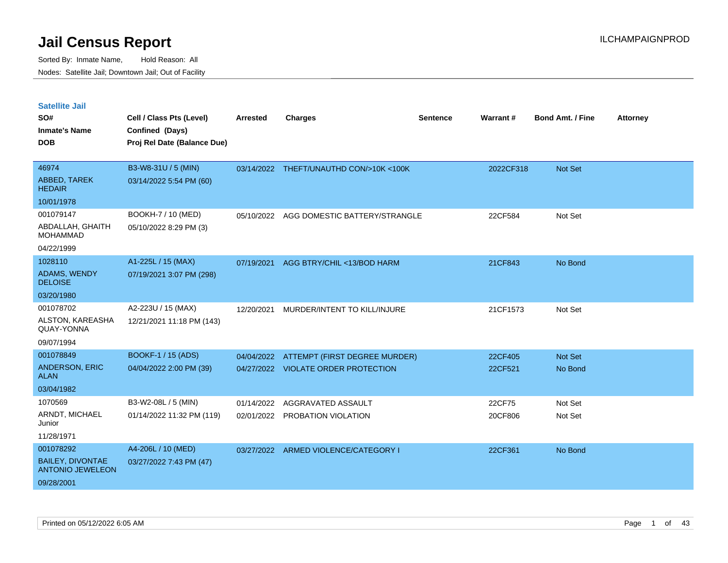| <b>Satellite Jail</b><br>SO#<br><b>Inmate's Name</b><br><b>DOB</b>            | Cell / Class Pts (Level)<br>Confined (Days)<br>Proj Rel Date (Balance Due) | <b>Arrested</b>          | <b>Charges</b>                                                       | <b>Sentence</b> | Warrant#           | <b>Bond Amt. / Fine</b> | <b>Attorney</b> |
|-------------------------------------------------------------------------------|----------------------------------------------------------------------------|--------------------------|----------------------------------------------------------------------|-----------------|--------------------|-------------------------|-----------------|
|                                                                               |                                                                            |                          |                                                                      |                 |                    |                         |                 |
| 46974<br>ABBED, TAREK<br><b>HEDAIR</b>                                        | B3-W8-31U / 5 (MIN)<br>03/14/2022 5:54 PM (60)                             |                          | 03/14/2022 THEFT/UNAUTHD CON/>10K <100K                              |                 | 2022CF318          | Not Set                 |                 |
| 10/01/1978                                                                    |                                                                            |                          |                                                                      |                 |                    |                         |                 |
| 001079147<br>ABDALLAH, GHAITH<br><b>MOHAMMAD</b><br>04/22/1999                | BOOKH-7 / 10 (MED)<br>05/10/2022 8:29 PM (3)                               |                          | 05/10/2022 AGG DOMESTIC BATTERY/STRANGLE                             |                 | 22CF584            | Not Set                 |                 |
| 1028110<br>ADAMS, WENDY<br><b>DELOISE</b><br>03/20/1980                       | A1-225L / 15 (MAX)<br>07/19/2021 3:07 PM (298)                             | 07/19/2021               | AGG BTRY/CHIL <13/BOD HARM                                           |                 | 21CF843            | No Bond                 |                 |
| 001078702<br>ALSTON, KAREASHA<br>QUAY-YONNA<br>09/07/1994                     | A2-223U / 15 (MAX)<br>12/21/2021 11:18 PM (143)                            | 12/20/2021               | MURDER/INTENT TO KILL/INJURE                                         |                 | 21CF1573           | Not Set                 |                 |
| 001078849<br><b>ANDERSON, ERIC</b><br><b>ALAN</b><br>03/04/1982               | BOOKF-1 / 15 (ADS)<br>04/04/2022 2:00 PM (39)                              | 04/04/2022               | ATTEMPT (FIRST DEGREE MURDER)<br>04/27/2022 VIOLATE ORDER PROTECTION |                 | 22CF405<br>22CF521 | Not Set<br>No Bond      |                 |
| 1070569<br>ARNDT, MICHAEL<br>Junior<br>11/28/1971                             | B3-W2-08L / 5 (MIN)<br>01/14/2022 11:32 PM (119)                           | 01/14/2022<br>02/01/2022 | AGGRAVATED ASSAULT<br>PROBATION VIOLATION                            |                 | 22CF75<br>20CF806  | Not Set<br>Not Set      |                 |
| 001078292<br><b>BAILEY, DIVONTAE</b><br><b>ANTONIO JEWELEON</b><br>09/28/2001 | A4-206L / 10 (MED)<br>03/27/2022 7:43 PM (47)                              |                          | 03/27/2022 ARMED VIOLENCE/CATEGORY I                                 |                 | 22CF361            | No Bond                 |                 |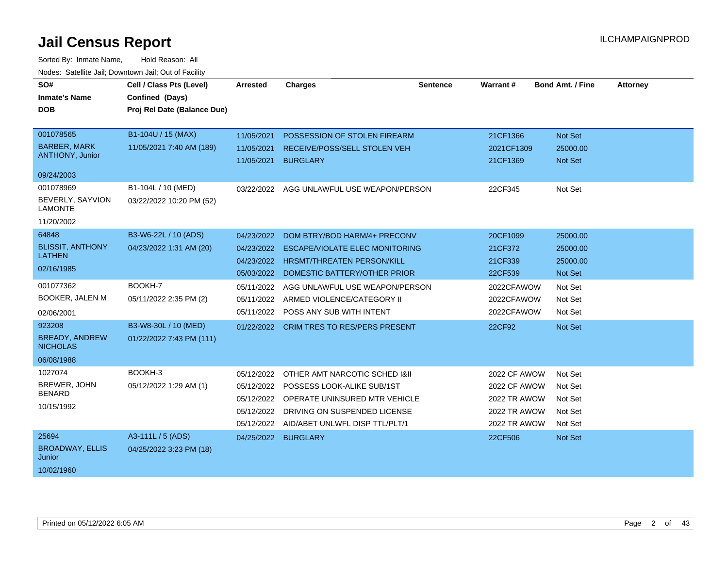| SO#                                | Cell / Class Pts (Level)    | Arrested   | <b>Charges</b>                            | <b>Sentence</b> | Warrant#            | <b>Bond Amt. / Fine</b> | <b>Attorney</b> |
|------------------------------------|-----------------------------|------------|-------------------------------------------|-----------------|---------------------|-------------------------|-----------------|
| <b>Inmate's Name</b>               | Confined (Days)             |            |                                           |                 |                     |                         |                 |
| <b>DOB</b>                         | Proj Rel Date (Balance Due) |            |                                           |                 |                     |                         |                 |
|                                    |                             |            |                                           |                 |                     |                         |                 |
| 001078565                          | B1-104U / 15 (MAX)          | 11/05/2021 | POSSESSION OF STOLEN FIREARM              |                 | 21CF1366            | Not Set                 |                 |
| <b>BARBER, MARK</b>                | 11/05/2021 7:40 AM (189)    | 11/05/2021 | RECEIVE/POSS/SELL STOLEN VEH              |                 | 2021CF1309          | 25000.00                |                 |
| <b>ANTHONY, Junior</b>             |                             | 11/05/2021 | <b>BURGLARY</b>                           |                 | 21CF1369            | Not Set                 |                 |
| 09/24/2003                         |                             |            |                                           |                 |                     |                         |                 |
| 001078969                          | B1-104L / 10 (MED)          |            | 03/22/2022 AGG UNLAWFUL USE WEAPON/PERSON |                 | 22CF345             | Not Set                 |                 |
| BEVERLY, SAYVION<br><b>LAMONTE</b> | 03/22/2022 10:20 PM (52)    |            |                                           |                 |                     |                         |                 |
| 11/20/2002                         |                             |            |                                           |                 |                     |                         |                 |
| 64848                              | B3-W6-22L / 10 (ADS)        | 04/23/2022 | DOM BTRY/BOD HARM/4+ PRECONV              |                 | 20CF1099            | 25000.00                |                 |
| <b>BLISSIT, ANTHONY</b>            | 04/23/2022 1:31 AM (20)     | 04/23/2022 | <b>ESCAPE/VIOLATE ELEC MONITORING</b>     |                 | 21CF372             | 25000.00                |                 |
| <b>LATHEN</b>                      |                             | 04/23/2022 | <b>HRSMT/THREATEN PERSON/KILL</b>         |                 | 21CF339             | 25000.00                |                 |
| 02/16/1985                         |                             | 05/03/2022 | DOMESTIC BATTERY/OTHER PRIOR              |                 | 22CF539             | Not Set                 |                 |
| 001077362                          | BOOKH-7                     | 05/11/2022 | AGG UNLAWFUL USE WEAPON/PERSON            |                 | 2022CFAWOW          | Not Set                 |                 |
| <b>BOOKER, JALEN M</b>             | 05/11/2022 2:35 PM (2)      | 05/11/2022 | ARMED VIOLENCE/CATEGORY II                |                 | 2022CFAWOW          | Not Set                 |                 |
| 02/06/2001                         |                             | 05/11/2022 | POSS ANY SUB WITH INTENT                  |                 | 2022CFAWOW          | Not Set                 |                 |
| 923208                             | B3-W8-30L / 10 (MED)        |            | 01/22/2022 CRIM TRES TO RES/PERS PRESENT  |                 | 22CF92              | Not Set                 |                 |
| <b>BREADY, ANDREW</b>              | 01/22/2022 7:43 PM (111)    |            |                                           |                 |                     |                         |                 |
| <b>NICHOLAS</b>                    |                             |            |                                           |                 |                     |                         |                 |
| 06/08/1988                         |                             |            |                                           |                 |                     |                         |                 |
| 1027074                            | BOOKH-3                     | 05/12/2022 | OTHER AMT NARCOTIC SCHED I&II             |                 | 2022 CF AWOW        | Not Set                 |                 |
| BREWER, JOHN                       | 05/12/2022 1:29 AM (1)      | 05/12/2022 | POSSESS LOOK-ALIKE SUB/1ST                |                 | 2022 CF AWOW        | Not Set                 |                 |
| <b>BENARD</b>                      |                             | 05/12/2022 | OPERATE UNINSURED MTR VEHICLE             |                 | <b>2022 TR AWOW</b> | Not Set                 |                 |
| 10/15/1992                         |                             | 05/12/2022 | DRIVING ON SUSPENDED LICENSE              |                 | 2022 TR AWOW        | Not Set                 |                 |
|                                    |                             | 05/12/2022 | AID/ABET UNLWFL DISP TTL/PLT/1            |                 | <b>2022 TR AWOW</b> | Not Set                 |                 |
| 25694                              | A3-111L / 5 (ADS)           | 04/25/2022 | <b>BURGLARY</b>                           |                 | 22CF506             | Not Set                 |                 |
| <b>BROADWAY, ELLIS</b><br>Junior   | 04/25/2022 3:23 PM (18)     |            |                                           |                 |                     |                         |                 |
| 10/02/1960                         |                             |            |                                           |                 |                     |                         |                 |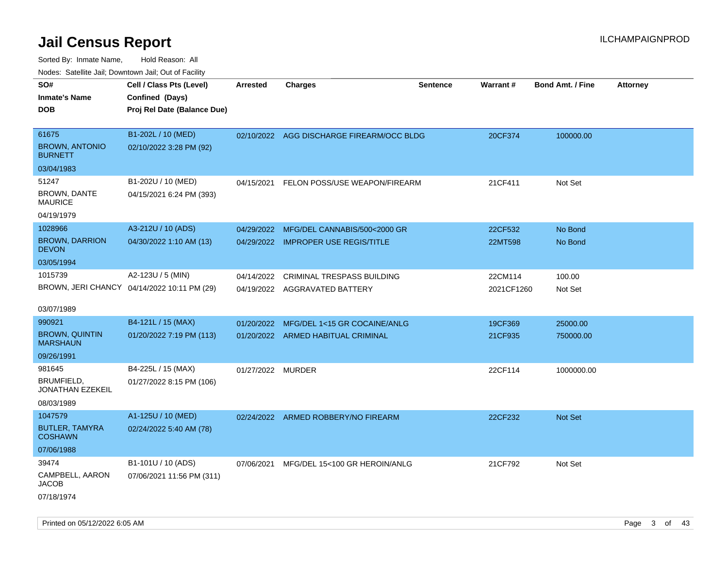| rouco. Calcinic Jan, Downtown Jan, Out of Facility |                                             |                   |                                           |                 |                 |                         |                 |
|----------------------------------------------------|---------------------------------------------|-------------------|-------------------------------------------|-----------------|-----------------|-------------------------|-----------------|
| SO#                                                | Cell / Class Pts (Level)                    | <b>Arrested</b>   | <b>Charges</b>                            | <b>Sentence</b> | <b>Warrant#</b> | <b>Bond Amt. / Fine</b> | <b>Attorney</b> |
| <b>Inmate's Name</b>                               | Confined (Days)                             |                   |                                           |                 |                 |                         |                 |
| DOB                                                | Proj Rel Date (Balance Due)                 |                   |                                           |                 |                 |                         |                 |
|                                                    |                                             |                   |                                           |                 |                 |                         |                 |
| 61675                                              | B1-202L / 10 (MED)                          |                   | 02/10/2022 AGG DISCHARGE FIREARM/OCC BLDG |                 | 20CF374         | 100000.00               |                 |
| <b>BROWN, ANTONIO</b><br><b>BURNETT</b>            | 02/10/2022 3:28 PM (92)                     |                   |                                           |                 |                 |                         |                 |
| 03/04/1983                                         |                                             |                   |                                           |                 |                 |                         |                 |
| 51247                                              | B1-202U / 10 (MED)                          | 04/15/2021        | FELON POSS/USE WEAPON/FIREARM             |                 | 21CF411         | Not Set                 |                 |
| BROWN, DANTE<br>MAURICE                            | 04/15/2021 6:24 PM (393)                    |                   |                                           |                 |                 |                         |                 |
| 04/19/1979                                         |                                             |                   |                                           |                 |                 |                         |                 |
| 1028966                                            | A3-212U / 10 (ADS)                          | 04/29/2022        | MFG/DEL CANNABIS/500<2000 GR              |                 | 22CF532         | No Bond                 |                 |
| <b>BROWN, DARRION</b><br><b>DEVON</b>              | 04/30/2022 1:10 AM (13)                     |                   | 04/29/2022 IMPROPER USE REGIS/TITLE       |                 | 22MT598         | No Bond                 |                 |
| 03/05/1994                                         |                                             |                   |                                           |                 |                 |                         |                 |
| 1015739                                            | A2-123U / 5 (MIN)                           | 04/14/2022        | <b>CRIMINAL TRESPASS BUILDING</b>         |                 | 22CM114         | 100.00                  |                 |
|                                                    | BROWN, JERI CHANCY 04/14/2022 10:11 PM (29) |                   | 04/19/2022 AGGRAVATED BATTERY             |                 | 2021CF1260      | Not Set                 |                 |
| 03/07/1989                                         |                                             |                   |                                           |                 |                 |                         |                 |
| 990921                                             | B4-121L / 15 (MAX)                          |                   | 01/20/2022 MFG/DEL 1<15 GR COCAINE/ANLG   |                 | 19CF369         | 25000.00                |                 |
| <b>BROWN, QUINTIN</b><br>MARSHAUN                  | 01/20/2022 7:19 PM (113)                    |                   | 01/20/2022 ARMED HABITUAL CRIMINAL        |                 | 21CF935         | 750000.00               |                 |
| 09/26/1991                                         |                                             |                   |                                           |                 |                 |                         |                 |
| 981645                                             | B4-225L / 15 (MAX)                          | 01/27/2022 MURDER |                                           |                 | 22CF114         | 1000000.00              |                 |
| BRUMFIELD,<br>JONATHAN EZEKEIL                     | 01/27/2022 8:15 PM (106)                    |                   |                                           |                 |                 |                         |                 |
| 08/03/1989                                         |                                             |                   |                                           |                 |                 |                         |                 |
| 1047579                                            | A1-125U / 10 (MED)                          |                   | 02/24/2022 ARMED ROBBERY/NO FIREARM       |                 | 22CF232         | Not Set                 |                 |
| <b>BUTLER, TAMYRA</b><br>COSHAWN                   | 02/24/2022 5:40 AM (78)                     |                   |                                           |                 |                 |                         |                 |
| 07/06/1988                                         |                                             |                   |                                           |                 |                 |                         |                 |
| 39474                                              | B1-101U / 10 (ADS)                          | 07/06/2021        | MFG/DEL 15<100 GR HEROIN/ANLG             |                 | 21CF792         | Not Set                 |                 |
| CAMPBELL, AARON<br>JACOB                           | 07/06/2021 11:56 PM (311)                   |                   |                                           |                 |                 |                         |                 |
| 07/18/1974                                         |                                             |                   |                                           |                 |                 |                         |                 |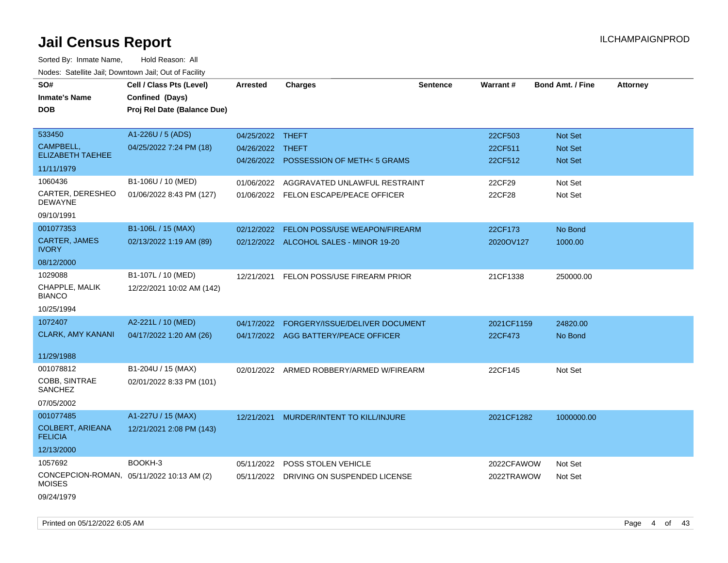| SO#                                       | Cell / Class Pts (Level)                  | <b>Arrested</b>  | <b>Charges</b>                           | <b>Sentence</b> | Warrant#   | <b>Bond Amt. / Fine</b> | <b>Attorney</b> |
|-------------------------------------------|-------------------------------------------|------------------|------------------------------------------|-----------------|------------|-------------------------|-----------------|
| <b>Inmate's Name</b>                      | Confined (Days)                           |                  |                                          |                 |            |                         |                 |
| <b>DOB</b>                                | Proj Rel Date (Balance Due)               |                  |                                          |                 |            |                         |                 |
|                                           |                                           |                  |                                          |                 |            |                         |                 |
| 533450                                    | A1-226U / 5 (ADS)                         | 04/25/2022 THEFT |                                          |                 | 22CF503    | Not Set                 |                 |
| CAMPBELL,                                 | 04/25/2022 7:24 PM (18)                   | 04/26/2022 THEFT |                                          |                 | 22CF511    | Not Set                 |                 |
| <b>ELIZABETH TAEHEE</b>                   |                                           |                  | 04/26/2022 POSSESSION OF METH<5 GRAMS    |                 | 22CF512    | Not Set                 |                 |
| 11/11/1979                                |                                           |                  |                                          |                 |            |                         |                 |
| 1060436                                   | B1-106U / 10 (MED)                        | 01/06/2022       | AGGRAVATED UNLAWFUL RESTRAINT            |                 | 22CF29     | Not Set                 |                 |
| CARTER, DERESHEO<br><b>DEWAYNE</b>        | 01/06/2022 8:43 PM (127)                  |                  | 01/06/2022 FELON ESCAPE/PEACE OFFICER    |                 | 22CF28     | Not Set                 |                 |
| 09/10/1991                                |                                           |                  |                                          |                 |            |                         |                 |
| 001077353                                 | B1-106L / 15 (MAX)                        | 02/12/2022       | FELON POSS/USE WEAPON/FIREARM            |                 | 22CF173    | No Bond                 |                 |
| CARTER, JAMES<br><b>IVORY</b>             | 02/13/2022 1:19 AM (89)                   |                  | 02/12/2022 ALCOHOL SALES - MINOR 19-20   |                 | 2020OV127  | 1000.00                 |                 |
| 08/12/2000                                |                                           |                  |                                          |                 |            |                         |                 |
| 1029088                                   | B1-107L / 10 (MED)                        | 12/21/2021       | FELON POSS/USE FIREARM PRIOR             |                 | 21CF1338   | 250000.00               |                 |
| CHAPPLE, MALIK<br><b>BIANCO</b>           | 12/22/2021 10:02 AM (142)                 |                  |                                          |                 |            |                         |                 |
| 10/25/1994                                |                                           |                  |                                          |                 |            |                         |                 |
| 1072407                                   | A2-221L / 10 (MED)                        | 04/17/2022       | FORGERY/ISSUE/DELIVER DOCUMENT           |                 | 2021CF1159 | 24820.00                |                 |
| <b>CLARK, AMY KANANI</b>                  | 04/17/2022 1:20 AM (26)                   |                  | 04/17/2022 AGG BATTERY/PEACE OFFICER     |                 | 22CF473    | No Bond                 |                 |
|                                           |                                           |                  |                                          |                 |            |                         |                 |
| 11/29/1988                                |                                           |                  |                                          |                 |            |                         |                 |
| 001078812                                 | B1-204U / 15 (MAX)                        |                  | 02/01/2022 ARMED ROBBERY/ARMED W/FIREARM |                 | 22CF145    | Not Set                 |                 |
| COBB, SINTRAE<br>SANCHEZ                  | 02/01/2022 8:33 PM (101)                  |                  |                                          |                 |            |                         |                 |
| 07/05/2002                                |                                           |                  |                                          |                 |            |                         |                 |
| 001077485                                 | A1-227U / 15 (MAX)                        | 12/21/2021       | MURDER/INTENT TO KILL/INJURE             |                 | 2021CF1282 | 1000000.00              |                 |
| <b>COLBERT, ARIEANA</b><br><b>FELICIA</b> | 12/21/2021 2:08 PM (143)                  |                  |                                          |                 |            |                         |                 |
| 12/13/2000                                |                                           |                  |                                          |                 |            |                         |                 |
| 1057692                                   | BOOKH-3                                   | 05/11/2022       | POSS STOLEN VEHICLE                      |                 | 2022CFAWOW | Not Set                 |                 |
| <b>MOISES</b>                             | CONCEPCION-ROMAN, 05/11/2022 10:13 AM (2) | 05/11/2022       | DRIVING ON SUSPENDED LICENSE             |                 | 2022TRAWOW | Not Set                 |                 |
| 09/24/1979                                |                                           |                  |                                          |                 |            |                         |                 |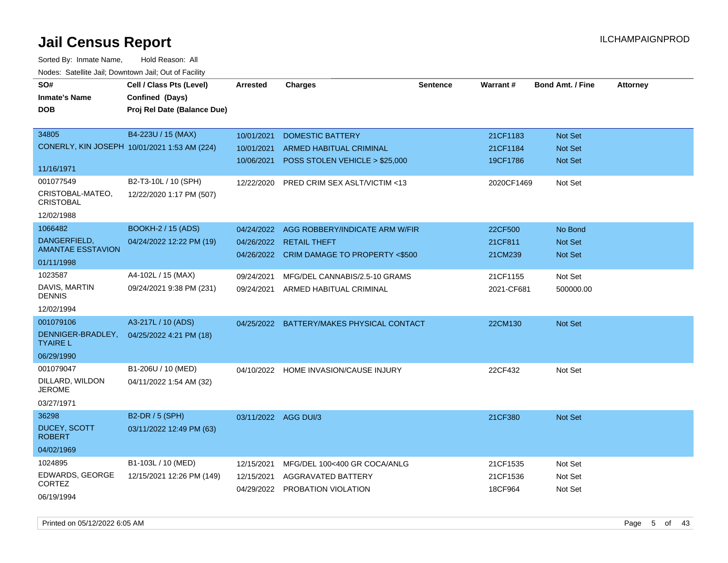| SO#<br><b>Inmate's Name</b><br><b>DOB</b> | Cell / Class Pts (Level)<br>Confined (Days)<br>Proj Rel Date (Balance Due) | <b>Arrested</b>      | <b>Charges</b>                            | <b>Sentence</b> | Warrant#   | <b>Bond Amt. / Fine</b> | <b>Attorney</b> |
|-------------------------------------------|----------------------------------------------------------------------------|----------------------|-------------------------------------------|-----------------|------------|-------------------------|-----------------|
| 34805                                     | B4-223U / 15 (MAX)                                                         | 10/01/2021           | <b>DOMESTIC BATTERY</b>                   |                 | 21CF1183   | Not Set                 |                 |
|                                           | CONERLY, KIN JOSEPH 10/01/2021 1:53 AM (224)                               | 10/01/2021           | ARMED HABITUAL CRIMINAL                   |                 | 21CF1184   | Not Set                 |                 |
| 11/16/1971                                |                                                                            | 10/06/2021           | POSS STOLEN VEHICLE > \$25,000            |                 | 19CF1786   | <b>Not Set</b>          |                 |
| 001077549                                 | B2-T3-10L / 10 (SPH)                                                       | 12/22/2020           | PRED CRIM SEX ASLT/VICTIM <13             |                 | 2020CF1469 | Not Set                 |                 |
| CRISTOBAL-MATEO,<br><b>CRISTOBAL</b>      | 12/22/2020 1:17 PM (507)                                                   |                      |                                           |                 |            |                         |                 |
| 12/02/1988                                |                                                                            |                      |                                           |                 |            |                         |                 |
| 1066482                                   | <b>BOOKH-2 / 15 (ADS)</b>                                                  | 04/24/2022           | AGG ROBBERY/INDICATE ARM W/FIR            |                 | 22CF500    | No Bond                 |                 |
| DANGERFIELD,<br><b>AMANTAE ESSTAVION</b>  | 04/24/2022 12:22 PM (19)                                                   | 04/26/2022           | <b>RETAIL THEFT</b>                       |                 | 21CF811    | Not Set                 |                 |
| 01/11/1998                                |                                                                            |                      | 04/26/2022 CRIM DAMAGE TO PROPERTY <\$500 |                 | 21CM239    | Not Set                 |                 |
| 1023587                                   | A4-102L / 15 (MAX)                                                         | 09/24/2021           | MFG/DEL CANNABIS/2.5-10 GRAMS             |                 | 21CF1155   | Not Set                 |                 |
| DAVIS, MARTIN<br><b>DENNIS</b>            | 09/24/2021 9:38 PM (231)                                                   | 09/24/2021           | ARMED HABITUAL CRIMINAL                   |                 | 2021-CF681 | 500000.00               |                 |
| 12/02/1994                                |                                                                            |                      |                                           |                 |            |                         |                 |
| 001079106                                 | A3-217L / 10 (ADS)                                                         |                      | 04/25/2022 BATTERY/MAKES PHYSICAL CONTACT |                 | 22CM130    | <b>Not Set</b>          |                 |
| DENNIGER-BRADLEY,<br><b>TYAIRE L</b>      | 04/25/2022 4:21 PM (18)                                                    |                      |                                           |                 |            |                         |                 |
| 06/29/1990                                |                                                                            |                      |                                           |                 |            |                         |                 |
| 001079047                                 | B1-206U / 10 (MED)                                                         | 04/10/2022           | <b>HOME INVASION/CAUSE INJURY</b>         |                 | 22CF432    | Not Set                 |                 |
| DILLARD, WILDON<br>JEROME                 | 04/11/2022 1:54 AM (32)                                                    |                      |                                           |                 |            |                         |                 |
| 03/27/1971                                |                                                                            |                      |                                           |                 |            |                         |                 |
| 36298                                     | B2-DR / 5 (SPH)                                                            | 03/11/2022 AGG DUI/3 |                                           |                 | 21CF380    | Not Set                 |                 |
| DUCEY, SCOTT<br><b>ROBERT</b>             | 03/11/2022 12:49 PM (63)                                                   |                      |                                           |                 |            |                         |                 |
| 04/02/1969                                |                                                                            |                      |                                           |                 |            |                         |                 |
| 1024895                                   | B1-103L / 10 (MED)                                                         | 12/15/2021           | MFG/DEL 100<400 GR COCA/ANLG              |                 | 21CF1535   | Not Set                 |                 |
| EDWARDS, GEORGE<br><b>CORTEZ</b>          | 12/15/2021 12:26 PM (149)                                                  | 12/15/2021           | AGGRAVATED BATTERY                        |                 | 21CF1536   | Not Set                 |                 |
| 06/19/1994                                |                                                                            |                      | 04/29/2022 PROBATION VIOLATION            |                 | 18CF964    | Not Set                 |                 |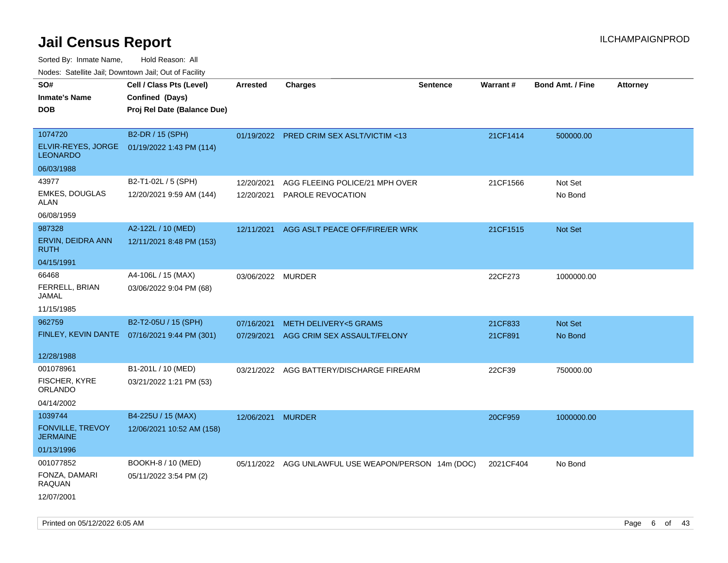Sorted By: Inmate Name, Hold Reason: All

Nodes: Satellite Jail; Downtown Jail; Out of Facility

| SO#<br><b>Inmate's Name</b><br><b>DOB</b>                                 | Cell / Class Pts (Level)<br>Confined (Days)<br>Proj Rel Date (Balance Due) | <b>Arrested</b>          | <b>Charges</b>                                                 | <b>Sentence</b> | <b>Warrant#</b>    | <b>Bond Amt. / Fine</b> | <b>Attorney</b> |
|---------------------------------------------------------------------------|----------------------------------------------------------------------------|--------------------------|----------------------------------------------------------------|-----------------|--------------------|-------------------------|-----------------|
| 1074720<br>ELVIR-REYES, JORGE<br><b>LEONARDO</b>                          | B2-DR / 15 (SPH)<br>01/19/2022 1:43 PM (114)                               |                          | 01/19/2022 PRED CRIM SEX ASLT/VICTIM <13                       |                 | 21CF1414           | 500000.00               |                 |
| 06/03/1988<br>43977<br><b>EMKES, DOUGLAS</b><br><b>ALAN</b><br>06/08/1959 | B2-T1-02L / 5 (SPH)<br>12/20/2021 9:59 AM (144)                            | 12/20/2021               | AGG FLEEING POLICE/21 MPH OVER<br>12/20/2021 PAROLE REVOCATION |                 | 21CF1566           | Not Set<br>No Bond      |                 |
| 987328<br>ERVIN, DEIDRA ANN<br><b>RUTH</b><br>04/15/1991                  | A2-122L / 10 (MED)<br>12/11/2021 8:48 PM (153)                             | 12/11/2021               | AGG ASLT PEACE OFF/FIRE/ER WRK                                 |                 | 21CF1515           | Not Set                 |                 |
| 66468<br>FERRELL, BRIAN<br><b>JAMAL</b><br>11/15/1985                     | A4-106L / 15 (MAX)<br>03/06/2022 9:04 PM (68)                              | 03/06/2022 MURDER        |                                                                |                 | 22CF273            | 1000000.00              |                 |
| 962759<br>FINLEY, KEVIN DANTE<br>12/28/1988                               | B2-T2-05U / 15 (SPH)<br>07/16/2021 9:44 PM (301)                           | 07/16/2021<br>07/29/2021 | <b>METH DELIVERY&lt;5 GRAMS</b><br>AGG CRIM SEX ASSAULT/FELONY |                 | 21CF833<br>21CF891 | Not Set<br>No Bond      |                 |
| 001078961<br><b>FISCHER, KYRE</b><br><b>ORLANDO</b><br>04/14/2002         | B1-201L / 10 (MED)<br>03/21/2022 1:21 PM (53)                              |                          | 03/21/2022 AGG BATTERY/DISCHARGE FIREARM                       |                 | 22CF39             | 750000.00               |                 |
| 1039744<br>FONVILLE, TREVOY<br><b>JERMAINE</b><br>01/13/1996              | B4-225U / 15 (MAX)<br>12/06/2021 10:52 AM (158)                            | 12/06/2021 MURDER        |                                                                |                 | 20CF959            | 1000000.00              |                 |
| 001077852<br>FONZA, DAMARI<br><b>RAQUAN</b><br>12/07/2001                 | BOOKH-8 / 10 (MED)<br>05/11/2022 3:54 PM (2)                               |                          | 05/11/2022 AGG UNLAWFUL USE WEAPON/PERSON 14m (DOC)            |                 | 2021CF404          | No Bond                 |                 |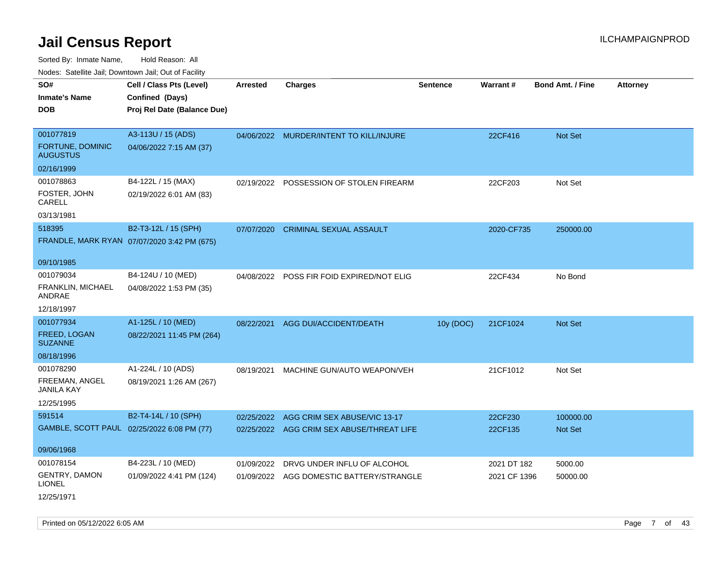Sorted By: Inmate Name, Hold Reason: All Nodes: Satellite Jail; Downtown Jail; Out of Facility

| roaco. Catolino dall, Downtown dall, Out of Fability |                                             |                 |                                           |                 |              |                         |                 |
|------------------------------------------------------|---------------------------------------------|-----------------|-------------------------------------------|-----------------|--------------|-------------------------|-----------------|
| SO#                                                  | Cell / Class Pts (Level)                    | <b>Arrested</b> | <b>Charges</b>                            | <b>Sentence</b> | Warrant#     | <b>Bond Amt. / Fine</b> | <b>Attorney</b> |
| <b>Inmate's Name</b>                                 | Confined (Days)                             |                 |                                           |                 |              |                         |                 |
| <b>DOB</b>                                           | Proj Rel Date (Balance Due)                 |                 |                                           |                 |              |                         |                 |
|                                                      |                                             |                 |                                           |                 |              |                         |                 |
| 001077819                                            | A3-113U / 15 (ADS)                          |                 | 04/06/2022 MURDER/INTENT TO KILL/INJURE   |                 | 22CF416      | Not Set                 |                 |
| FORTUNE, DOMINIC<br><b>AUGUSTUS</b>                  | 04/06/2022 7:15 AM (37)                     |                 |                                           |                 |              |                         |                 |
| 02/16/1999                                           |                                             |                 |                                           |                 |              |                         |                 |
| 001078863                                            | B4-122L / 15 (MAX)                          |                 | 02/19/2022 POSSESSION OF STOLEN FIREARM   |                 | 22CF203      | Not Set                 |                 |
| FOSTER, JOHN<br>CARELL                               | 02/19/2022 6:01 AM (83)                     |                 |                                           |                 |              |                         |                 |
| 03/13/1981                                           |                                             |                 |                                           |                 |              |                         |                 |
| 518395                                               | B2-T3-12L / 15 (SPH)                        | 07/07/2020      | <b>CRIMINAL SEXUAL ASSAULT</b>            |                 | 2020-CF735   | 250000.00               |                 |
|                                                      | FRANDLE, MARK RYAN 07/07/2020 3:42 PM (675) |                 |                                           |                 |              |                         |                 |
|                                                      |                                             |                 |                                           |                 |              |                         |                 |
| 09/10/1985                                           |                                             |                 |                                           |                 |              |                         |                 |
| 001079034                                            | B4-124U / 10 (MED)                          |                 | 04/08/2022 POSS FIR FOID EXPIRED/NOT ELIG |                 | 22CF434      | No Bond                 |                 |
| FRANKLIN, MICHAEL<br>ANDRAE                          | 04/08/2022 1:53 PM (35)                     |                 |                                           |                 |              |                         |                 |
| 12/18/1997                                           |                                             |                 |                                           |                 |              |                         |                 |
| 001077934                                            | A1-125L / 10 (MED)                          | 08/22/2021      | AGG DUI/ACCIDENT/DEATH                    | 10y (DOC)       | 21CF1024     | Not Set                 |                 |
| <b>FREED, LOGAN</b><br><b>SUZANNE</b>                | 08/22/2021 11:45 PM (264)                   |                 |                                           |                 |              |                         |                 |
| 08/18/1996                                           |                                             |                 |                                           |                 |              |                         |                 |
| 001078290                                            | A1-224L / 10 (ADS)                          | 08/19/2021      | MACHINE GUN/AUTO WEAPON/VEH               |                 | 21CF1012     | Not Set                 |                 |
| FREEMAN, ANGEL<br>JANILA KAY                         | 08/19/2021 1:26 AM (267)                    |                 |                                           |                 |              |                         |                 |
| 12/25/1995                                           |                                             |                 |                                           |                 |              |                         |                 |
| 591514                                               | B2-T4-14L / 10 (SPH)                        | 02/25/2022      | AGG CRIM SEX ABUSE/VIC 13-17              |                 | 22CF230      | 100000.00               |                 |
|                                                      | GAMBLE, SCOTT PAUL 02/25/2022 6:08 PM (77)  |                 | 02/25/2022 AGG CRIM SEX ABUSE/THREAT LIFE |                 | 22CF135      | Not Set                 |                 |
|                                                      |                                             |                 |                                           |                 |              |                         |                 |
| 09/06/1968                                           |                                             |                 |                                           |                 |              |                         |                 |
| 001078154                                            | B4-223L / 10 (MED)                          | 01/09/2022      | DRVG UNDER INFLU OF ALCOHOL               |                 | 2021 DT 182  | 5000.00                 |                 |
| GENTRY, DAMON<br><b>LIONEL</b>                       | 01/09/2022 4:41 PM (124)                    |                 | 01/09/2022 AGG DOMESTIC BATTERY/STRANGLE  |                 | 2021 CF 1396 | 50000.00                |                 |
| 12/25/1971                                           |                                             |                 |                                           |                 |              |                         |                 |

Printed on 05/12/2022 6:05 AM Page 7 of 43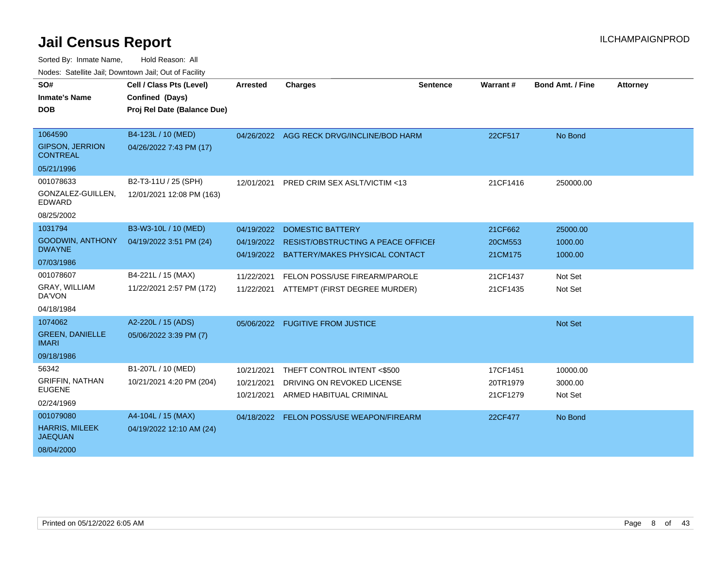| SO#                                       | Cell / Class Pts (Level)    | <b>Arrested</b> | <b>Charges</b>                            | <b>Sentence</b> | Warrant# | <b>Bond Amt. / Fine</b> | <b>Attorney</b> |
|-------------------------------------------|-----------------------------|-----------------|-------------------------------------------|-----------------|----------|-------------------------|-----------------|
| <b>Inmate's Name</b>                      | Confined (Days)             |                 |                                           |                 |          |                         |                 |
| <b>DOB</b>                                | Proj Rel Date (Balance Due) |                 |                                           |                 |          |                         |                 |
|                                           |                             |                 |                                           |                 |          |                         |                 |
| 1064590                                   | B4-123L / 10 (MED)          |                 | 04/26/2022 AGG RECK DRVG/INCLINE/BOD HARM |                 | 22CF517  | No Bond                 |                 |
| <b>GIPSON, JERRION</b><br><b>CONTREAL</b> | 04/26/2022 7:43 PM (17)     |                 |                                           |                 |          |                         |                 |
| 05/21/1996                                |                             |                 |                                           |                 |          |                         |                 |
| 001078633                                 | B2-T3-11U / 25 (SPH)        | 12/01/2021      | PRED CRIM SEX ASLT/VICTIM <13             |                 | 21CF1416 | 250000.00               |                 |
| GONZALEZ-GUILLEN.<br><b>EDWARD</b>        | 12/01/2021 12:08 PM (163)   |                 |                                           |                 |          |                         |                 |
| 08/25/2002                                |                             |                 |                                           |                 |          |                         |                 |
| 1031794                                   | B3-W3-10L / 10 (MED)        | 04/19/2022      | <b>DOMESTIC BATTERY</b>                   |                 | 21CF662  | 25000.00                |                 |
| <b>GOODWIN, ANTHONY</b>                   | 04/19/2022 3:51 PM (24)     | 04/19/2022      | RESIST/OBSTRUCTING A PEACE OFFICEL        |                 | 20CM553  | 1000.00                 |                 |
| <b>DWAYNE</b>                             |                             | 04/19/2022      | BATTERY/MAKES PHYSICAL CONTACT            |                 | 21CM175  | 1000.00                 |                 |
| 07/03/1986                                |                             |                 |                                           |                 |          |                         |                 |
| 001078607                                 | B4-221L / 15 (MAX)          | 11/22/2021      | FELON POSS/USE FIREARM/PAROLE             |                 | 21CF1437 | Not Set                 |                 |
| GRAY, WILLIAM<br>DA'VON                   | 11/22/2021 2:57 PM (172)    | 11/22/2021      | ATTEMPT (FIRST DEGREE MURDER)             |                 | 21CF1435 | Not Set                 |                 |
| 04/18/1984                                |                             |                 |                                           |                 |          |                         |                 |
| 1074062                                   | A2-220L / 15 (ADS)          |                 | 05/06/2022 FUGITIVE FROM JUSTICE          |                 |          | Not Set                 |                 |
| <b>GREEN, DANIELLE</b><br><b>IMARI</b>    | 05/06/2022 3:39 PM (7)      |                 |                                           |                 |          |                         |                 |
| 09/18/1986                                |                             |                 |                                           |                 |          |                         |                 |
| 56342                                     | B1-207L / 10 (MED)          | 10/21/2021      | THEFT CONTROL INTENT <\$500               |                 | 17CF1451 | 10000.00                |                 |
| <b>GRIFFIN, NATHAN</b>                    | 10/21/2021 4:20 PM (204)    | 10/21/2021      | DRIVING ON REVOKED LICENSE                |                 | 20TR1979 | 3000.00                 |                 |
| <b>EUGENE</b>                             |                             | 10/21/2021      | ARMED HABITUAL CRIMINAL                   |                 | 21CF1279 | Not Set                 |                 |
| 02/24/1969                                |                             |                 |                                           |                 |          |                         |                 |
| 001079080                                 | A4-104L / 15 (MAX)          |                 | 04/18/2022 FELON POSS/USE WEAPON/FIREARM  |                 | 22CF477  | No Bond                 |                 |
| <b>HARRIS, MILEEK</b><br><b>JAEQUAN</b>   | 04/19/2022 12:10 AM (24)    |                 |                                           |                 |          |                         |                 |
| 08/04/2000                                |                             |                 |                                           |                 |          |                         |                 |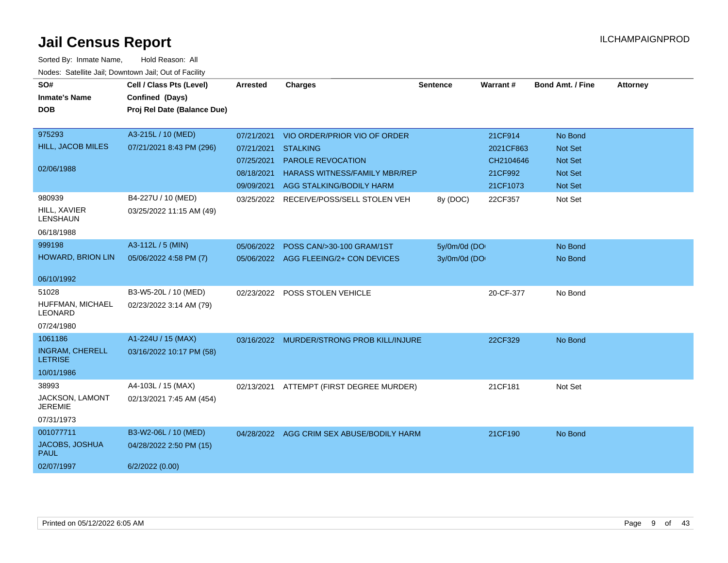| SO#<br><b>Inmate's Name</b><br><b>DOB</b>   | Cell / Class Pts (Level)<br>Confined (Days)<br>Proj Rel Date (Balance Due) | <b>Arrested</b> | <b>Charges</b>                            | <b>Sentence</b> | <b>Warrant#</b> | <b>Bond Amt. / Fine</b> | <b>Attorney</b> |
|---------------------------------------------|----------------------------------------------------------------------------|-----------------|-------------------------------------------|-----------------|-----------------|-------------------------|-----------------|
| 975293                                      | A3-215L / 10 (MED)                                                         | 07/21/2021      | VIO ORDER/PRIOR VIO OF ORDER              |                 | 21CF914         | No Bond                 |                 |
| <b>HILL, JACOB MILES</b>                    | 07/21/2021 8:43 PM (296)                                                   | 07/21/2021      | <b>STALKING</b>                           |                 | 2021CF863       | Not Set                 |                 |
|                                             |                                                                            | 07/25/2021      | <b>PAROLE REVOCATION</b>                  |                 | CH2104646       | <b>Not Set</b>          |                 |
| 02/06/1988                                  |                                                                            | 08/18/2021      | <b>HARASS WITNESS/FAMILY MBR/REP</b>      |                 | 21CF992         | <b>Not Set</b>          |                 |
|                                             |                                                                            | 09/09/2021      | AGG STALKING/BODILY HARM                  |                 | 21CF1073        | Not Set                 |                 |
| 980939<br>HILL, XAVIER<br>LENSHAUN          | B4-227U / 10 (MED)<br>03/25/2022 11:15 AM (49)                             |                 | 03/25/2022 RECEIVE/POSS/SELL STOLEN VEH   | 8y (DOC)        | 22CF357         | Not Set                 |                 |
| 06/18/1988                                  |                                                                            |                 |                                           |                 |                 |                         |                 |
| 999198                                      | A3-112L / 5 (MIN)                                                          | 05/06/2022      | POSS CAN/>30-100 GRAM/1ST                 | 5y/0m/0d (DO    |                 | No Bond                 |                 |
| HOWARD, BRION LIN                           | 05/06/2022 4:58 PM (7)                                                     |                 | 05/06/2022 AGG FLEEING/2+ CON DEVICES     | 3y/0m/0d (DO    |                 | No Bond                 |                 |
| 06/10/1992                                  |                                                                            |                 |                                           |                 |                 |                         |                 |
| 51028<br>HUFFMAN, MICHAEL<br><b>LEONARD</b> | B3-W5-20L / 10 (MED)<br>02/23/2022 3:14 AM (79)                            | 02/23/2022      | POSS STOLEN VEHICLE                       |                 | 20-CF-377       | No Bond                 |                 |
| 07/24/1980                                  |                                                                            |                 |                                           |                 |                 |                         |                 |
| 1061186                                     | A1-224U / 15 (MAX)                                                         |                 | 03/16/2022 MURDER/STRONG PROB KILL/INJURE |                 | 22CF329         | No Bond                 |                 |
| <b>INGRAM, CHERELL</b><br><b>LETRISE</b>    | 03/16/2022 10:17 PM (58)                                                   |                 |                                           |                 |                 |                         |                 |
| 10/01/1986                                  |                                                                            |                 |                                           |                 |                 |                         |                 |
| 38993                                       | A4-103L / 15 (MAX)                                                         | 02/13/2021      | ATTEMPT (FIRST DEGREE MURDER)             |                 | 21CF181         | Not Set                 |                 |
| JACKSON, LAMONT<br><b>JEREMIE</b>           | 02/13/2021 7:45 AM (454)                                                   |                 |                                           |                 |                 |                         |                 |
| 07/31/1973                                  |                                                                            |                 |                                           |                 |                 |                         |                 |
| 001077711                                   | B3-W2-06L / 10 (MED)                                                       |                 | 04/28/2022 AGG CRIM SEX ABUSE/BODILY HARM |                 | 21CF190         | No Bond                 |                 |
| JACOBS, JOSHUA<br><b>PAUL</b>               | 04/28/2022 2:50 PM (15)                                                    |                 |                                           |                 |                 |                         |                 |
| 02/07/1997                                  | 6/2/2022 (0.00)                                                            |                 |                                           |                 |                 |                         |                 |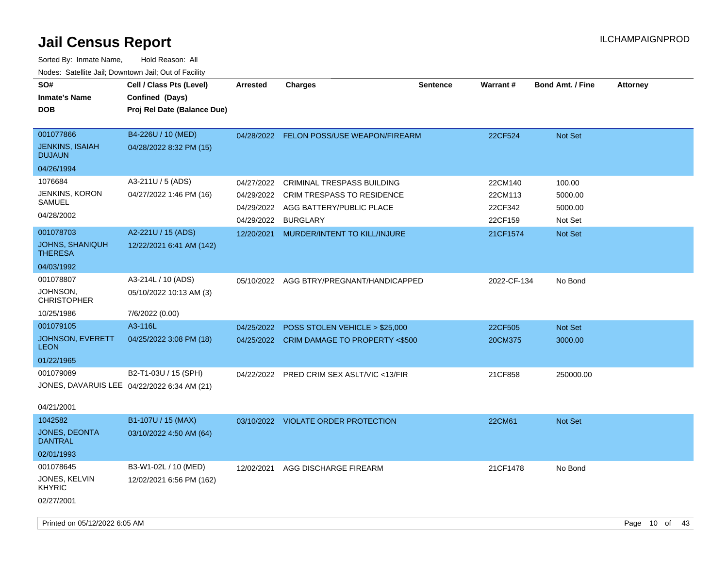| SO#<br><b>Inmate's Name</b><br><b>DOB</b>                              | Cell / Class Pts (Level)<br>Confined (Days)<br>Proj Rel Date (Balance Due) | <b>Arrested</b> | <b>Charges</b>                                                                                                                           | <b>Sentence</b> | Warrant#                                 | <b>Bond Amt. / Fine</b>                 | <b>Attorney</b> |
|------------------------------------------------------------------------|----------------------------------------------------------------------------|-----------------|------------------------------------------------------------------------------------------------------------------------------------------|-----------------|------------------------------------------|-----------------------------------------|-----------------|
| 001077866<br><b>JENKINS, ISAIAH</b><br><b>DUJAUN</b>                   | B4-226U / 10 (MED)<br>04/28/2022 8:32 PM (15)                              |                 | 04/28/2022 FELON POSS/USE WEAPON/FIREARM                                                                                                 |                 | 22CF524                                  | Not Set                                 |                 |
| 04/26/1994                                                             |                                                                            |                 |                                                                                                                                          |                 |                                          |                                         |                 |
| 1076684<br><b>JENKINS, KORON</b><br>SAMUEL<br>04/28/2002               | A3-211U / 5 (ADS)<br>04/27/2022 1:46 PM (16)                               | 04/29/2022      | 04/27/2022 CRIMINAL TRESPASS BUILDING<br>04/29/2022 CRIM TRESPASS TO RESIDENCE<br>04/29/2022 AGG BATTERY/PUBLIC PLACE<br><b>BURGLARY</b> |                 | 22CM140<br>22CM113<br>22CF342<br>22CF159 | 100.00<br>5000.00<br>5000.00<br>Not Set |                 |
| 001078703<br>JOHNS, SHANIQUH<br><b>THERESA</b>                         | A2-221U / 15 (ADS)<br>12/22/2021 6:41 AM (142)                             | 12/20/2021      | MURDER/INTENT TO KILL/INJURE                                                                                                             |                 | 21CF1574                                 | <b>Not Set</b>                          |                 |
| 04/03/1992                                                             |                                                                            |                 |                                                                                                                                          |                 |                                          |                                         |                 |
| 001078807<br>JOHNSON,<br><b>CHRISTOPHER</b>                            | A3-214L / 10 (ADS)<br>05/10/2022 10:13 AM (3)                              |                 | 05/10/2022 AGG BTRY/PREGNANT/HANDICAPPED                                                                                                 |                 | 2022-CF-134                              | No Bond                                 |                 |
| 10/25/1986                                                             | 7/6/2022 (0.00)                                                            |                 |                                                                                                                                          |                 |                                          |                                         |                 |
| 001079105                                                              | A3-116L                                                                    | 04/25/2022      | POSS STOLEN VEHICLE > \$25,000                                                                                                           |                 | 22CF505                                  | Not Set                                 |                 |
| JOHNSON, EVERETT<br><b>LEON</b>                                        | 04/25/2022 3:08 PM (18)                                                    |                 | 04/25/2022 CRIM DAMAGE TO PROPERTY <\$500                                                                                                |                 | 20CM375                                  | 3000.00                                 |                 |
| 01/22/1965                                                             |                                                                            |                 |                                                                                                                                          |                 |                                          |                                         |                 |
| 001079089<br>JONES, DAVARUIS LEE 04/22/2022 6:34 AM (21)<br>04/21/2001 | B2-T1-03U / 15 (SPH)                                                       |                 | 04/22/2022 PRED CRIM SEX ASLT/VIC <13/FIR                                                                                                |                 | 21CF858                                  | 250000.00                               |                 |
| 1042582                                                                | B1-107U / 15 (MAX)                                                         |                 | 03/10/2022 VIOLATE ORDER PROTECTION                                                                                                      |                 | 22CM61                                   | Not Set                                 |                 |
| JONES, DEONTA<br><b>DANTRAL</b>                                        | 03/10/2022 4:50 AM (64)                                                    |                 |                                                                                                                                          |                 |                                          |                                         |                 |
| 02/01/1993                                                             |                                                                            |                 |                                                                                                                                          |                 |                                          |                                         |                 |
| 001078645<br>JONES, KELVIN<br><b>KHYRIC</b>                            | B3-W1-02L / 10 (MED)<br>12/02/2021 6:56 PM (162)                           | 12/02/2021      | AGG DISCHARGE FIREARM                                                                                                                    |                 | 21CF1478                                 | No Bond                                 |                 |
| 02/27/2001                                                             |                                                                            |                 |                                                                                                                                          |                 |                                          |                                         |                 |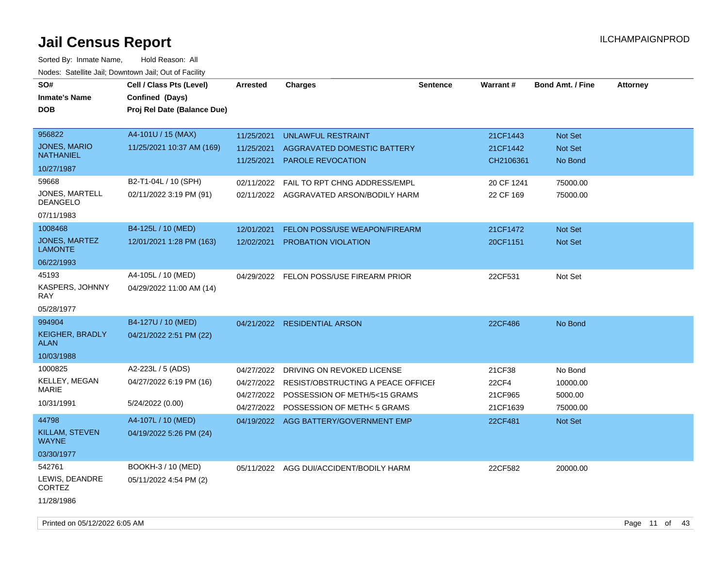| SO#<br><b>Inmate's Name</b><br><b>DOB</b>                                                                                                 | Cell / Class Pts (Level)<br>Confined (Days)<br>Proj Rel Date (Balance Due)                                                                          | <b>Arrested</b>                        | <b>Charges</b>                                                                                                                                                                            | <b>Sentence</b> | Warrant#                                                   | <b>Bond Amt. / Fine</b>                               | <b>Attorney</b> |
|-------------------------------------------------------------------------------------------------------------------------------------------|-----------------------------------------------------------------------------------------------------------------------------------------------------|----------------------------------------|-------------------------------------------------------------------------------------------------------------------------------------------------------------------------------------------|-----------------|------------------------------------------------------------|-------------------------------------------------------|-----------------|
| 956822<br>JONES, MARIO<br><b>NATHANIEL</b><br>10/27/1987                                                                                  | A4-101U / 15 (MAX)<br>11/25/2021 10:37 AM (169)                                                                                                     | 11/25/2021<br>11/25/2021<br>11/25/2021 | UNLAWFUL RESTRAINT<br>AGGRAVATED DOMESTIC BATTERY<br><b>PAROLE REVOCATION</b>                                                                                                             |                 | 21CF1443<br>21CF1442<br>CH2106361                          | Not Set<br>Not Set<br>No Bond                         |                 |
| 59668<br>JONES, MARTELL<br>DEANGELO<br>07/11/1983<br>1008468<br>JONES, MARTEZ<br><b>LAMONTE</b><br>06/22/1993<br>45193<br>KASPERS, JOHNNY | B2-T1-04L / 10 (SPH)<br>02/11/2022 3:19 PM (91)<br>B4-125L / 10 (MED)<br>12/01/2021 1:28 PM (163)<br>A4-105L / 10 (MED)<br>04/29/2022 11:00 AM (14) | 02/11/2022<br>12/01/2021<br>12/02/2021 | FAIL TO RPT CHNG ADDRESS/EMPL<br>02/11/2022 AGGRAVATED ARSON/BODILY HARM<br><b>FELON POSS/USE WEAPON/FIREARM</b><br><b>PROBATION VIOLATION</b><br>04/29/2022 FELON POSS/USE FIREARM PRIOR |                 | 20 CF 1241<br>22 CF 169<br>21CF1472<br>20CF1151<br>22CF531 | 75000.00<br>75000.00<br>Not Set<br>Not Set<br>Not Set |                 |
| <b>RAY</b><br>05/28/1977<br>994904<br><b>KEIGHER, BRADLY</b><br><b>ALAN</b><br>10/03/1988                                                 | B4-127U / 10 (MED)<br>04/21/2022 2:51 PM (22)                                                                                                       | 04/21/2022                             | <b>RESIDENTIAL ARSON</b>                                                                                                                                                                  |                 | 22CF486                                                    | No Bond                                               |                 |
| 1000825<br><b>KELLEY, MEGAN</b><br><b>MARIE</b><br>10/31/1991                                                                             | A2-223L / 5 (ADS)<br>04/27/2022 6:19 PM (16)<br>5/24/2022 (0.00)                                                                                    | 04/27/2022<br>04/27/2022               | DRIVING ON REVOKED LICENSE<br>04/27/2022 RESIST/OBSTRUCTING A PEACE OFFICEL<br>04/27/2022 POSSESSION OF METH/5<15 GRAMS<br>POSSESSION OF METH< 5 GRAMS                                    |                 | 21CF38<br>22CF4<br>21CF965<br>21CF1639                     | No Bond<br>10000.00<br>5000.00<br>75000.00            |                 |
| 44798<br>KILLAM, STEVEN<br><b>WAYNE</b><br>03/30/1977                                                                                     | A4-107L / 10 (MED)<br>04/19/2022 5:26 PM (24)                                                                                                       |                                        | 04/19/2022 AGG BATTERY/GOVERNMENT EMP                                                                                                                                                     |                 | 22CF481                                                    | Not Set                                               |                 |
| 542761<br>LEWIS, DEANDRE<br><b>CORTEZ</b><br>11/28/1986                                                                                   | BOOKH-3 / 10 (MED)<br>05/11/2022 4:54 PM (2)                                                                                                        |                                        | 05/11/2022 AGG DUI/ACCIDENT/BODILY HARM                                                                                                                                                   |                 | 22CF582                                                    | 20000.00                                              |                 |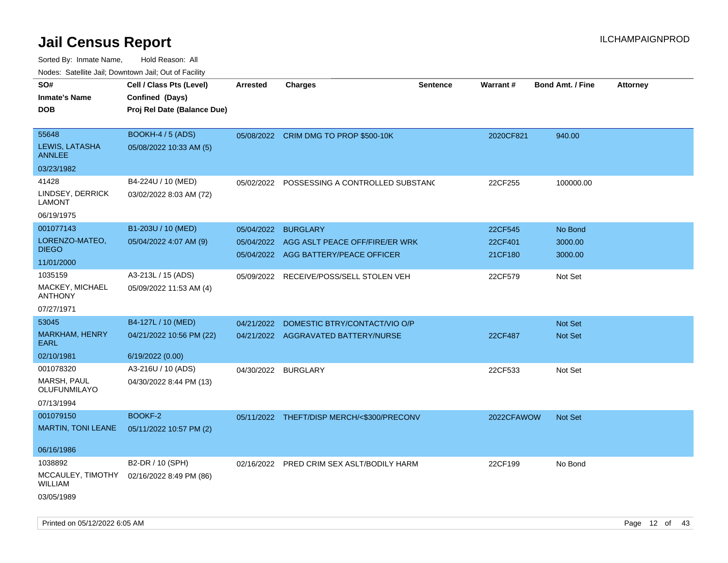| ivouss. Satellite Jali, Downtown Jali, Out of Facility |                                             |                 |                                            |                 |                 |                         |                 |
|--------------------------------------------------------|---------------------------------------------|-----------------|--------------------------------------------|-----------------|-----------------|-------------------------|-----------------|
| SO#                                                    | Cell / Class Pts (Level)                    | <b>Arrested</b> | <b>Charges</b>                             | <b>Sentence</b> | <b>Warrant#</b> | <b>Bond Amt. / Fine</b> | <b>Attorney</b> |
| Inmate's Name                                          | Confined (Days)                             |                 |                                            |                 |                 |                         |                 |
| DOB                                                    | Proj Rel Date (Balance Due)                 |                 |                                            |                 |                 |                         |                 |
| 55648                                                  | BOOKH-4 / 5 (ADS)                           |                 | 05/08/2022 CRIM DMG TO PROP \$500-10K      |                 | 2020CF821       | 940.00                  |                 |
| LEWIS, LATASHA<br>ANNLEE                               | 05/08/2022 10:33 AM (5)                     |                 |                                            |                 |                 |                         |                 |
| 03/23/1982                                             |                                             |                 |                                            |                 |                 |                         |                 |
| 41428                                                  | B4-224U / 10 (MED)                          | 05/02/2022      | POSSESSING A CONTROLLED SUBSTAND           |                 | 22CF255         | 100000.00               |                 |
| LINDSEY, DERRICK<br>LAMONT                             | 03/02/2022 8:03 AM (72)                     |                 |                                            |                 |                 |                         |                 |
| 06/19/1975                                             |                                             |                 |                                            |                 |                 |                         |                 |
| 001077143                                              | B1-203U / 10 (MED)                          | 05/04/2022      | <b>BURGLARY</b>                            |                 | 22CF545         | No Bond                 |                 |
| LORENZO-MATEO,                                         | 05/04/2022 4:07 AM (9)                      | 05/04/2022      | AGG ASLT PEACE OFF/FIRE/ER WRK             |                 | 22CF401         | 3000.00                 |                 |
| <b>DIEGO</b>                                           |                                             |                 | 05/04/2022 AGG BATTERY/PEACE OFFICER       |                 | 21CF180         | 3000.00                 |                 |
| 11/01/2000                                             |                                             |                 |                                            |                 |                 |                         |                 |
| 1035159                                                | A3-213L / 15 (ADS)                          | 05/09/2022      | RECEIVE/POSS/SELL STOLEN VEH               |                 | 22CF579         | Not Set                 |                 |
| MACKEY, MICHAEL<br>ANTHONY                             | 05/09/2022 11:53 AM (4)                     |                 |                                            |                 |                 |                         |                 |
| 07/27/1971                                             |                                             |                 |                                            |                 |                 |                         |                 |
| 53045                                                  | B4-127L / 10 (MED)                          | 04/21/2022      | DOMESTIC BTRY/CONTACT/VIO O/P              |                 |                 | <b>Not Set</b>          |                 |
| <b>MARKHAM, HENRY</b><br>EARL                          | 04/21/2022 10:56 PM (22)                    |                 | 04/21/2022 AGGRAVATED BATTERY/NURSE        |                 | 22CF487         | Not Set                 |                 |
| 02/10/1981                                             | 6/19/2022 (0.00)                            |                 |                                            |                 |                 |                         |                 |
| 001078320                                              | A3-216U / 10 (ADS)                          | 04/30/2022      | <b>BURGLARY</b>                            |                 | 22CF533         | Not Set                 |                 |
| MARSH, PAUL<br>OLUFUNMILAYO                            | 04/30/2022 8:44 PM (13)                     |                 |                                            |                 |                 |                         |                 |
| 07/13/1994                                             |                                             |                 |                                            |                 |                 |                         |                 |
| 001079150                                              | BOOKF-2                                     |                 | 05/11/2022 THEFT/DISP MERCH/<\$300/PRECONV |                 | 2022CFAWOW      | <b>Not Set</b>          |                 |
| <b>MARTIN, TONI LEANE</b>                              | 05/11/2022 10:57 PM (2)                     |                 |                                            |                 |                 |                         |                 |
| 06/16/1986                                             |                                             |                 |                                            |                 |                 |                         |                 |
| 1038892                                                |                                             |                 |                                            |                 |                 |                         |                 |
| MCCAULEY, TIMOTHY<br>WILLIAM                           | B2-DR / 10 (SPH)<br>02/16/2022 8:49 PM (86) | 02/16/2022      | PRED CRIM SEX ASLT/BODILY HARM             |                 | 22CF199         | No Bond                 |                 |
| 03/05/1989                                             |                                             |                 |                                            |                 |                 |                         |                 |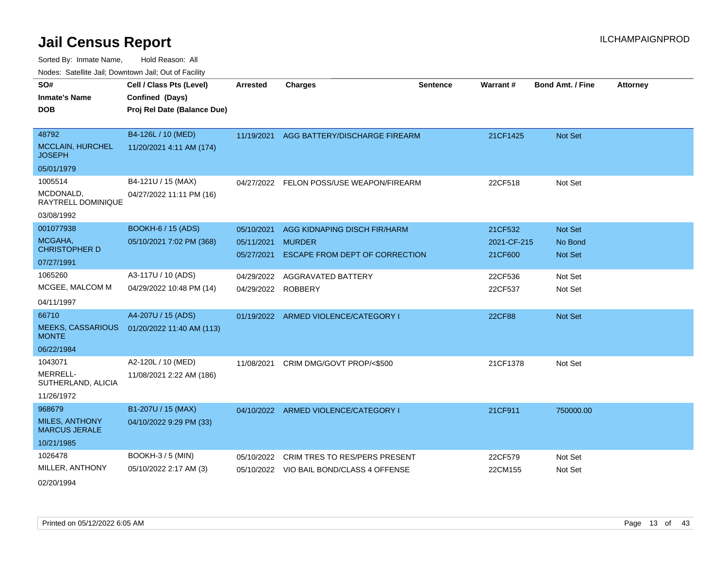Sorted By: Inmate Name, Hold Reason: All

Nodes: Satellite Jail; Downtown Jail; Out of Facility

| SO#                                           | Cell / Class Pts (Level)    | <b>Arrested</b>    | <b>Charges</b>                           | <b>Sentence</b> | Warrant#      | <b>Bond Amt. / Fine</b> | <b>Attorney</b> |
|-----------------------------------------------|-----------------------------|--------------------|------------------------------------------|-----------------|---------------|-------------------------|-----------------|
| <b>Inmate's Name</b>                          | Confined (Days)             |                    |                                          |                 |               |                         |                 |
| <b>DOB</b>                                    | Proj Rel Date (Balance Due) |                    |                                          |                 |               |                         |                 |
|                                               |                             |                    |                                          |                 |               |                         |                 |
| 48792                                         | B4-126L / 10 (MED)          | 11/19/2021         | AGG BATTERY/DISCHARGE FIREARM            |                 | 21CF1425      | Not Set                 |                 |
| <b>MCCLAIN, HURCHEL</b><br><b>JOSEPH</b>      | 11/20/2021 4:11 AM (174)    |                    |                                          |                 |               |                         |                 |
| 05/01/1979                                    |                             |                    |                                          |                 |               |                         |                 |
| 1005514                                       | B4-121U / 15 (MAX)          |                    | 04/27/2022 FELON POSS/USE WEAPON/FIREARM |                 | 22CF518       | Not Set                 |                 |
| MCDONALD,<br>RAYTRELL DOMINIQUE               | 04/27/2022 11:11 PM (16)    |                    |                                          |                 |               |                         |                 |
| 03/08/1992                                    |                             |                    |                                          |                 |               |                         |                 |
| 001077938                                     | <b>BOOKH-6 / 15 (ADS)</b>   | 05/10/2021         | AGG KIDNAPING DISCH FIR/HARM             |                 | 21CF532       | Not Set                 |                 |
| MCGAHA,                                       | 05/10/2021 7:02 PM (368)    | 05/11/2021 MURDER  |                                          |                 | 2021-CF-215   | No Bond                 |                 |
| <b>CHRISTOPHER D</b>                          |                             | 05/27/2021         | ESCAPE FROM DEPT OF CORRECTION           |                 | 21CF600       | Not Set                 |                 |
| 07/27/1991                                    |                             |                    |                                          |                 |               |                         |                 |
| 1065260                                       | A3-117U / 10 (ADS)          | 04/29/2022         | AGGRAVATED BATTERY                       |                 | 22CF536       | Not Set                 |                 |
| MCGEE, MALCOM M                               | 04/29/2022 10:48 PM (14)    | 04/29/2022 ROBBERY |                                          |                 | 22CF537       | Not Set                 |                 |
| 04/11/1997                                    |                             |                    |                                          |                 |               |                         |                 |
| 66710                                         | A4-207U / 15 (ADS)          |                    | 01/19/2022 ARMED VIOLENCE/CATEGORY I     |                 | <b>22CF88</b> | Not Set                 |                 |
| <b>MEEKS, CASSARIOUS</b><br><b>MONTE</b>      | 01/20/2022 11:40 AM (113)   |                    |                                          |                 |               |                         |                 |
| 06/22/1984                                    |                             |                    |                                          |                 |               |                         |                 |
| 1043071                                       | A2-120L / 10 (MED)          | 11/08/2021         | CRIM DMG/GOVT PROP/<\$500                |                 | 21CF1378      | Not Set                 |                 |
| MERRELL-<br>SUTHERLAND, ALICIA                | 11/08/2021 2:22 AM (186)    |                    |                                          |                 |               |                         |                 |
| 11/26/1972                                    |                             |                    |                                          |                 |               |                         |                 |
| 968679                                        | B1-207U / 15 (MAX)          |                    | 04/10/2022 ARMED VIOLENCE/CATEGORY I     |                 | 21CF911       | 750000.00               |                 |
| <b>MILES, ANTHONY</b><br><b>MARCUS JERALE</b> | 04/10/2022 9:29 PM (33)     |                    |                                          |                 |               |                         |                 |
| 10/21/1985                                    |                             |                    |                                          |                 |               |                         |                 |
| 1026478                                       | BOOKH-3 / 5 (MIN)           | 05/10/2022         | CRIM TRES TO RES/PERS PRESENT            |                 | 22CF579       | Not Set                 |                 |
| MILLER, ANTHONY                               | 05/10/2022 2:17 AM (3)      |                    | 05/10/2022 VIO BAIL BOND/CLASS 4 OFFENSE |                 | 22CM155       | Not Set                 |                 |
| 02/20/1994                                    |                             |                    |                                          |                 |               |                         |                 |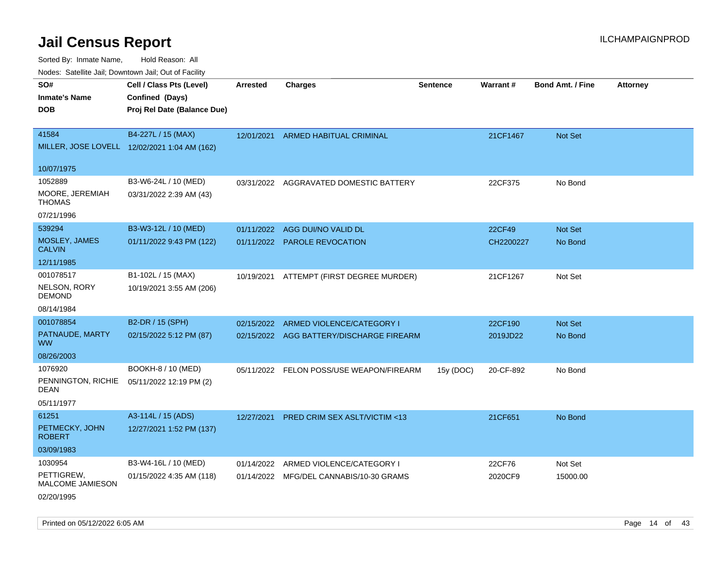Sorted By: Inmate Name, Hold Reason: All

| Nodes: Satellite Jail; Downtown Jail; Out of Facility |  |
|-------------------------------------------------------|--|
|-------------------------------------------------------|--|

| SO#<br><b>Inmate's Name</b>       | Cell / Class Pts (Level)<br>Confined (Days)  | <b>Arrested</b> | <b>Charges</b>                           | <b>Sentence</b> | <b>Warrant#</b> | <b>Bond Amt. / Fine</b> | <b>Attorney</b> |
|-----------------------------------|----------------------------------------------|-----------------|------------------------------------------|-----------------|-----------------|-------------------------|-----------------|
| <b>DOB</b>                        | Proj Rel Date (Balance Due)                  |                 |                                          |                 |                 |                         |                 |
| 41584                             | B4-227L / 15 (MAX)                           | 12/01/2021      | ARMED HABITUAL CRIMINAL                  |                 | 21CF1467        | Not Set                 |                 |
|                                   | MILLER, JOSE LOVELL 12/02/2021 1:04 AM (162) |                 |                                          |                 |                 |                         |                 |
| 10/07/1975                        |                                              |                 |                                          |                 |                 |                         |                 |
| 1052889                           | B3-W6-24L / 10 (MED)                         | 03/31/2022      | AGGRAVATED DOMESTIC BATTERY              |                 | 22CF375         | No Bond                 |                 |
| MOORE, JEREMIAH<br><b>THOMAS</b>  | 03/31/2022 2:39 AM (43)                      |                 |                                          |                 |                 |                         |                 |
| 07/21/1996                        |                                              |                 |                                          |                 |                 |                         |                 |
| 539294                            | B3-W3-12L / 10 (MED)                         |                 | 01/11/2022 AGG DUI/NO VALID DL           |                 | 22CF49          | Not Set                 |                 |
| MOSLEY, JAMES<br><b>CALVIN</b>    | 01/11/2022 9:43 PM (122)                     |                 | 01/11/2022 PAROLE REVOCATION             |                 | CH2200227       | No Bond                 |                 |
| 12/11/1985                        |                                              |                 |                                          |                 |                 |                         |                 |
| 001078517                         | B1-102L / 15 (MAX)                           | 10/19/2021      | ATTEMPT (FIRST DEGREE MURDER)            |                 | 21CF1267        | Not Set                 |                 |
| NELSON, RORY<br><b>DEMOND</b>     | 10/19/2021 3:55 AM (206)                     |                 |                                          |                 |                 |                         |                 |
| 08/14/1984                        |                                              |                 |                                          |                 |                 |                         |                 |
| 001078854                         | B2-DR / 15 (SPH)                             | 02/15/2022      | ARMED VIOLENCE/CATEGORY I                |                 | 22CF190         | Not Set                 |                 |
| PATNAUDE, MARTY<br><b>WW</b>      | 02/15/2022 5:12 PM (87)                      |                 | 02/15/2022 AGG BATTERY/DISCHARGE FIREARM |                 | 2019JD22        | No Bond                 |                 |
| 08/26/2003                        |                                              |                 |                                          |                 |                 |                         |                 |
| 1076920                           | BOOKH-8 / 10 (MED)                           |                 | 05/11/2022 FELON POSS/USE WEAPON/FIREARM | 15y (DOC)       | 20-CF-892       | No Bond                 |                 |
| PENNINGTON, RICHIE<br><b>DEAN</b> | 05/11/2022 12:19 PM (2)                      |                 |                                          |                 |                 |                         |                 |
| 05/11/1977                        |                                              |                 |                                          |                 |                 |                         |                 |
| 61251                             | A3-114L / 15 (ADS)                           | 12/27/2021      | <b>PRED CRIM SEX ASLT/VICTIM &lt;13</b>  |                 | 21CF651         | No Bond                 |                 |
| PETMECKY, JOHN<br><b>ROBERT</b>   | 12/27/2021 1:52 PM (137)                     |                 |                                          |                 |                 |                         |                 |
| 03/09/1983                        |                                              |                 |                                          |                 |                 |                         |                 |
| 1030954                           | B3-W4-16L / 10 (MED)                         | 01/14/2022      | ARMED VIOLENCE/CATEGORY I                |                 | 22CF76          | Not Set                 |                 |
| PETTIGREW,<br>MALCOME JAMIESON    | 01/15/2022 4:35 AM (118)                     |                 | 01/14/2022 MFG/DEL CANNABIS/10-30 GRAMS  |                 | 2020CF9         | 15000.00                |                 |
| 02/20/1995                        |                                              |                 |                                          |                 |                 |                         |                 |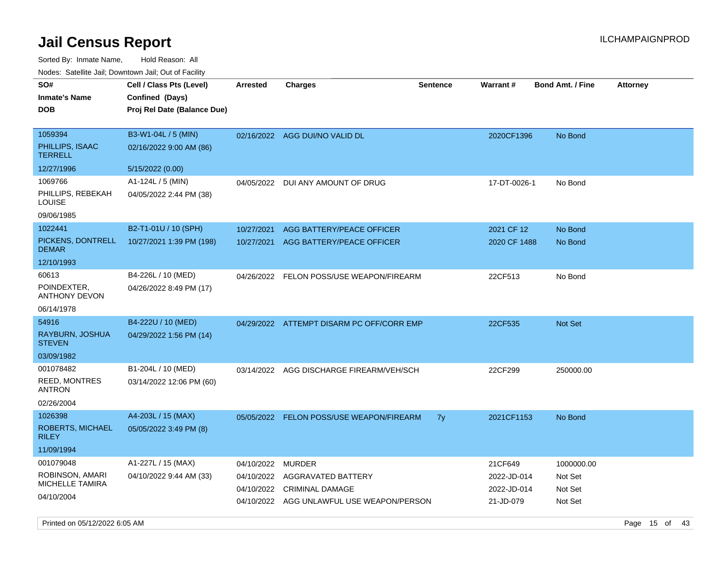| Nodes. Satellite Jali, Downtown Jali, Out of Facility |                             |            |                                           |                 |              |                         |                 |
|-------------------------------------------------------|-----------------------------|------------|-------------------------------------------|-----------------|--------------|-------------------------|-----------------|
| SO#                                                   | Cell / Class Pts (Level)    | Arrested   | <b>Charges</b>                            | <b>Sentence</b> | Warrant#     | <b>Bond Amt. / Fine</b> | <b>Attorney</b> |
| <b>Inmate's Name</b>                                  | Confined (Days)             |            |                                           |                 |              |                         |                 |
| <b>DOB</b>                                            | Proj Rel Date (Balance Due) |            |                                           |                 |              |                         |                 |
|                                                       |                             |            |                                           |                 |              |                         |                 |
| 1059394                                               | B3-W1-04L / 5 (MIN)         |            | 02/16/2022 AGG DUI/NO VALID DL            |                 | 2020CF1396   | No Bond                 |                 |
| PHILLIPS, ISAAC<br><b>TERRELL</b>                     | 02/16/2022 9:00 AM (86)     |            |                                           |                 |              |                         |                 |
| 12/27/1996                                            | 5/15/2022 (0.00)            |            |                                           |                 |              |                         |                 |
| 1069766                                               | A1-124L / 5 (MIN)           | 04/05/2022 | DUI ANY AMOUNT OF DRUG                    |                 | 17-DT-0026-1 | No Bond                 |                 |
| PHILLIPS, REBEKAH<br>LOUISE                           | 04/05/2022 2:44 PM (38)     |            |                                           |                 |              |                         |                 |
| 09/06/1985                                            |                             |            |                                           |                 |              |                         |                 |
| 1022441                                               | B2-T1-01U / 10 (SPH)        | 10/27/2021 | AGG BATTERY/PEACE OFFICER                 |                 | 2021 CF 12   | No Bond                 |                 |
| PICKENS, DONTRELL<br><b>DEMAR</b>                     | 10/27/2021 1:39 PM (198)    | 10/27/2021 | AGG BATTERY/PEACE OFFICER                 |                 | 2020 CF 1488 | No Bond                 |                 |
| 12/10/1993                                            |                             |            |                                           |                 |              |                         |                 |
| 60613                                                 | B4-226L / 10 (MED)          |            | 04/26/2022 FELON POSS/USE WEAPON/FIREARM  |                 | 22CF513      | No Bond                 |                 |
| POINDEXTER,<br><b>ANTHONY DEVON</b>                   | 04/26/2022 8:49 PM (17)     |            |                                           |                 |              |                         |                 |
| 06/14/1978                                            |                             |            |                                           |                 |              |                         |                 |
| 54916                                                 | B4-222U / 10 (MED)          |            | 04/29/2022 ATTEMPT DISARM PC OFF/CORR EMP |                 | 22CF535      | <b>Not Set</b>          |                 |
| RAYBURN, JOSHUA<br><b>STEVEN</b>                      | 04/29/2022 1:56 PM (14)     |            |                                           |                 |              |                         |                 |
| 03/09/1982                                            |                             |            |                                           |                 |              |                         |                 |
| 001078482                                             | B1-204L / 10 (MED)          | 03/14/2022 | AGG DISCHARGE FIREARM/VEH/SCH             |                 | 22CF299      | 250000.00               |                 |
| <b>REED, MONTRES</b><br><b>ANTRON</b>                 | 03/14/2022 12:06 PM (60)    |            |                                           |                 |              |                         |                 |
| 02/26/2004                                            |                             |            |                                           |                 |              |                         |                 |
| 1026398                                               | A4-203L / 15 (MAX)          |            | 05/05/2022 FELON POSS/USE WEAPON/FIREARM  | 7y              | 2021CF1153   | No Bond                 |                 |
| <b>ROBERTS, MICHAEL</b><br><b>RILEY</b>               | 05/05/2022 3:49 PM (8)      |            |                                           |                 |              |                         |                 |
| 11/09/1994                                            |                             |            |                                           |                 |              |                         |                 |
| 001079048                                             | A1-227L / 15 (MAX)          | 04/10/2022 | <b>MURDER</b>                             |                 | 21CF649      | 1000000.00              |                 |
| ROBINSON, AMARI                                       | 04/10/2022 9:44 AM (33)     | 04/10/2022 | AGGRAVATED BATTERY                        |                 | 2022-JD-014  | Not Set                 |                 |
| <b>MICHELLE TAMIRA</b>                                |                             | 04/10/2022 | <b>CRIMINAL DAMAGE</b>                    |                 | 2022-JD-014  | Not Set                 |                 |
| 04/10/2004                                            |                             |            | 04/10/2022 AGG UNLAWFUL USE WEAPON/PERSON |                 | 21-JD-079    | Not Set                 |                 |
|                                                       |                             |            |                                           |                 |              |                         |                 |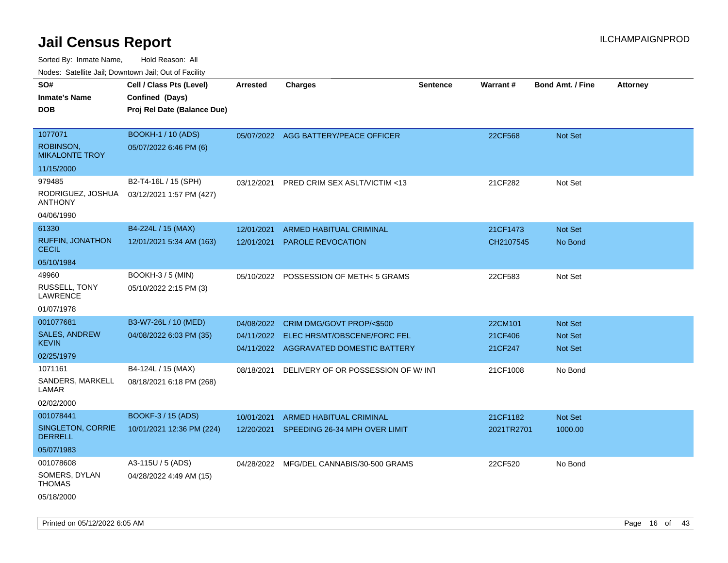Sorted By: Inmate Name, Hold Reason: All

|  |  | Nodes: Satellite Jail; Downtown Jail; Out of Facility |  |
|--|--|-------------------------------------------------------|--|
|--|--|-------------------------------------------------------|--|

| SO#                                       | Cell / Class Pts (Level)    | <b>Arrested</b> | <b>Charges</b>                           | <b>Sentence</b> | Warrant#   | <b>Bond Amt. / Fine</b> | <b>Attorney</b> |
|-------------------------------------------|-----------------------------|-----------------|------------------------------------------|-----------------|------------|-------------------------|-----------------|
| <b>Inmate's Name</b>                      | Confined (Days)             |                 |                                          |                 |            |                         |                 |
| <b>DOB</b>                                | Proj Rel Date (Balance Due) |                 |                                          |                 |            |                         |                 |
|                                           |                             |                 |                                          |                 |            |                         |                 |
| 1077071                                   | <b>BOOKH-1 / 10 (ADS)</b>   |                 | 05/07/2022 AGG BATTERY/PEACE OFFICER     |                 | 22CF568    | Not Set                 |                 |
| <b>ROBINSON,</b><br><b>MIKALONTE TROY</b> | 05/07/2022 6:46 PM (6)      |                 |                                          |                 |            |                         |                 |
| 11/15/2000                                |                             |                 |                                          |                 |            |                         |                 |
| 979485                                    | B2-T4-16L / 15 (SPH)        | 03/12/2021      | PRED CRIM SEX ASLT/VICTIM <13            |                 | 21CF282    | Not Set                 |                 |
| RODRIGUEZ, JOSHUA<br><b>ANTHONY</b>       | 03/12/2021 1:57 PM (427)    |                 |                                          |                 |            |                         |                 |
| 04/06/1990                                |                             |                 |                                          |                 |            |                         |                 |
| 61330                                     | B4-224L / 15 (MAX)          | 12/01/2021      | ARMED HABITUAL CRIMINAL                  |                 | 21CF1473   | Not Set                 |                 |
| <b>RUFFIN, JONATHON</b><br><b>CECIL</b>   | 12/01/2021 5:34 AM (163)    | 12/01/2021      | PAROLE REVOCATION                        |                 | CH2107545  | No Bond                 |                 |
| 05/10/1984                                |                             |                 |                                          |                 |            |                         |                 |
| 49960                                     | BOOKH-3 / 5 (MIN)           |                 | 05/10/2022 POSSESSION OF METH< 5 GRAMS   |                 | 22CF583    | Not Set                 |                 |
| RUSSELL, TONY<br>LAWRENCE                 | 05/10/2022 2:15 PM (3)      |                 |                                          |                 |            |                         |                 |
| 01/07/1978                                |                             |                 |                                          |                 |            |                         |                 |
| 001077681                                 | B3-W7-26L / 10 (MED)        | 04/08/2022      | CRIM DMG/GOVT PROP/<\$500                |                 | 22CM101    | Not Set                 |                 |
| <b>SALES, ANDREW</b>                      | 04/08/2022 6:03 PM (35)     | 04/11/2022      | ELEC HRSMT/OBSCENE/FORC FEL              |                 | 21CF406    | Not Set                 |                 |
| <b>KEVIN</b>                              |                             |                 | 04/11/2022 AGGRAVATED DOMESTIC BATTERY   |                 | 21CF247    | <b>Not Set</b>          |                 |
| 02/25/1979                                |                             |                 |                                          |                 |            |                         |                 |
| 1071161                                   | B4-124L / 15 (MAX)          | 08/18/2021      | DELIVERY OF OR POSSESSION OF W/INT       |                 | 21CF1008   | No Bond                 |                 |
| SANDERS, MARKELL<br>LAMAR                 | 08/18/2021 6:18 PM (268)    |                 |                                          |                 |            |                         |                 |
| 02/02/2000                                |                             |                 |                                          |                 |            |                         |                 |
| 001078441                                 | BOOKF-3 / 15 (ADS)          | 10/01/2021      | ARMED HABITUAL CRIMINAL                  |                 | 21CF1182   | Not Set                 |                 |
| SINGLETON, CORRIE<br><b>DERRELL</b>       | 10/01/2021 12:36 PM (224)   |                 | 12/20/2021 SPEEDING 26-34 MPH OVER LIMIT |                 | 2021TR2701 | 1000.00                 |                 |
| 05/07/1983                                |                             |                 |                                          |                 |            |                         |                 |
| 001078608                                 | A3-115U / 5 (ADS)           |                 | 04/28/2022 MFG/DEL CANNABIS/30-500 GRAMS |                 | 22CF520    | No Bond                 |                 |
| SOMERS, DYLAN<br><b>THOMAS</b>            | 04/28/2022 4:49 AM (15)     |                 |                                          |                 |            |                         |                 |
| 05/18/2000                                |                             |                 |                                          |                 |            |                         |                 |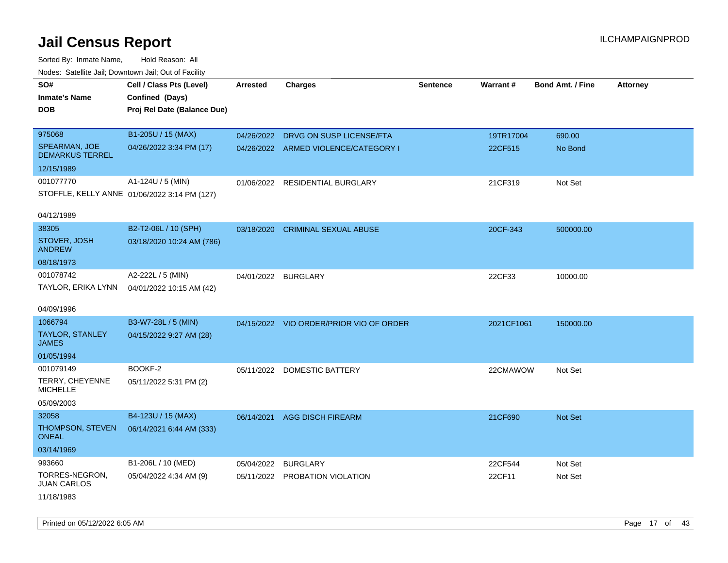Sorted By: Inmate Name, Hold Reason: All Nodes: Satellite Jail; Downtown Jail; Out of Facility

| Noues. Salemie Jan, Downtown Jan, Out of Facility |                                              |                 |                                         |                 |            |                         |                 |
|---------------------------------------------------|----------------------------------------------|-----------------|-----------------------------------------|-----------------|------------|-------------------------|-----------------|
| SO#                                               | Cell / Class Pts (Level)                     | <b>Arrested</b> | <b>Charges</b>                          | <b>Sentence</b> | Warrant#   | <b>Bond Amt. / Fine</b> | <b>Attorney</b> |
| <b>Inmate's Name</b>                              | Confined (Days)                              |                 |                                         |                 |            |                         |                 |
| <b>DOB</b>                                        | Proj Rel Date (Balance Due)                  |                 |                                         |                 |            |                         |                 |
|                                                   |                                              |                 |                                         |                 |            |                         |                 |
| 975068                                            | B1-205U / 15 (MAX)                           |                 | 04/26/2022 DRVG ON SUSP LICENSE/FTA     |                 | 19TR17004  | 690.00                  |                 |
| SPEARMAN, JOE<br><b>DEMARKUS TERREL</b>           | 04/26/2022 3:34 PM (17)                      |                 | 04/26/2022 ARMED VIOLENCE/CATEGORY I    |                 | 22CF515    | No Bond                 |                 |
| 12/15/1989                                        |                                              |                 |                                         |                 |            |                         |                 |
| 001077770                                         | A1-124U / 5 (MIN)                            | 01/06/2022      | RESIDENTIAL BURGLARY                    |                 | 21CF319    | Not Set                 |                 |
|                                                   | STOFFLE, KELLY ANNE 01/06/2022 3:14 PM (127) |                 |                                         |                 |            |                         |                 |
|                                                   |                                              |                 |                                         |                 |            |                         |                 |
| 04/12/1989                                        |                                              |                 |                                         |                 |            |                         |                 |
| 38305                                             | B2-T2-06L / 10 (SPH)                         | 03/18/2020      | <b>CRIMINAL SEXUAL ABUSE</b>            |                 | 20CF-343   | 500000.00               |                 |
| STOVER, JOSH<br><b>ANDREW</b>                     | 03/18/2020 10:24 AM (786)                    |                 |                                         |                 |            |                         |                 |
| 08/18/1973                                        |                                              |                 |                                         |                 |            |                         |                 |
| 001078742                                         | A2-222L / 5 (MIN)                            |                 | 04/01/2022 BURGLARY                     |                 | 22CF33     | 10000.00                |                 |
| TAYLOR, ERIKA LYNN                                | 04/01/2022 10:15 AM (42)                     |                 |                                         |                 |            |                         |                 |
|                                                   |                                              |                 |                                         |                 |            |                         |                 |
| 04/09/1996                                        |                                              |                 |                                         |                 |            |                         |                 |
| 1066794                                           | B3-W7-28L / 5 (MIN)                          |                 | 04/15/2022 VIO ORDER/PRIOR VIO OF ORDER |                 | 2021CF1061 | 150000.00               |                 |
| <b>TAYLOR, STANLEY</b><br><b>JAMES</b>            | 04/15/2022 9:27 AM (28)                      |                 |                                         |                 |            |                         |                 |
| 01/05/1994                                        |                                              |                 |                                         |                 |            |                         |                 |
| 001079149                                         | BOOKF-2                                      |                 | 05/11/2022 DOMESTIC BATTERY             |                 | 22CMAWOW   | Not Set                 |                 |
| TERRY, CHEYENNE<br><b>MICHELLE</b>                | 05/11/2022 5:31 PM (2)                       |                 |                                         |                 |            |                         |                 |
| 05/09/2003                                        |                                              |                 |                                         |                 |            |                         |                 |
| 32058                                             | B4-123U / 15 (MAX)                           | 06/14/2021      | <b>AGG DISCH FIREARM</b>                |                 | 21CF690    | Not Set                 |                 |
| THOMPSON, STEVEN<br><b>ONEAL</b>                  | 06/14/2021 6:44 AM (333)                     |                 |                                         |                 |            |                         |                 |
| 03/14/1969                                        |                                              |                 |                                         |                 |            |                         |                 |
| 993660                                            | B1-206L / 10 (MED)                           | 05/04/2022      | <b>BURGLARY</b>                         |                 | 22CF544    | Not Set                 |                 |
| TORRES-NEGRON,<br><b>JUAN CARLOS</b>              | 05/04/2022 4:34 AM (9)                       |                 | 05/11/2022 PROBATION VIOLATION          |                 | 22CF11     | Not Set                 |                 |
| 11/18/1983                                        |                                              |                 |                                         |                 |            |                         |                 |

Printed on 05/12/2022 6:05 AM Page 17 of 43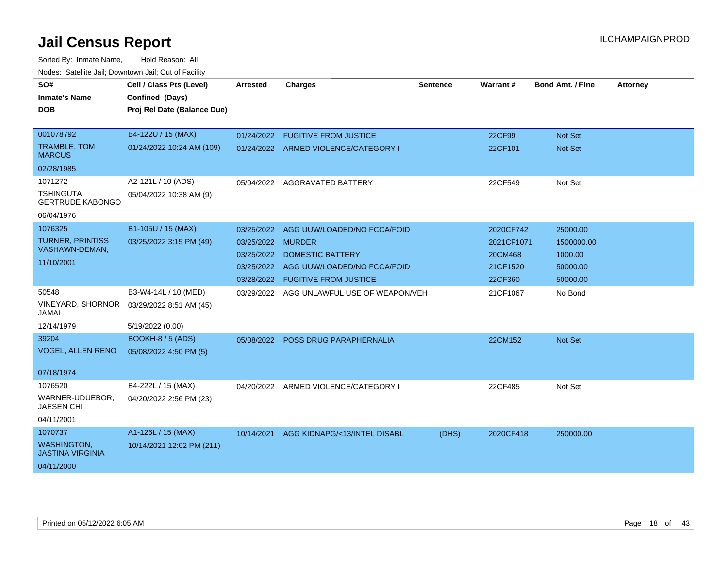| SO#<br><b>Inmate's Name</b>                   | Cell / Class Pts (Level)<br>Confined (Days) | Arrested          | <b>Charges</b>                       | <b>Sentence</b> | Warrant#   | <b>Bond Amt. / Fine</b> | <b>Attorney</b> |
|-----------------------------------------------|---------------------------------------------|-------------------|--------------------------------------|-----------------|------------|-------------------------|-----------------|
| <b>DOB</b>                                    | Proj Rel Date (Balance Due)                 |                   |                                      |                 |            |                         |                 |
| 001078792                                     | B4-122U / 15 (MAX)                          |                   | 01/24/2022 FUGITIVE FROM JUSTICE     |                 | 22CF99     | Not Set                 |                 |
| <b>TRAMBLE, TOM</b><br><b>MARCUS</b>          | 01/24/2022 10:24 AM (109)                   |                   | 01/24/2022 ARMED VIOLENCE/CATEGORY I |                 | 22CF101    | Not Set                 |                 |
| 02/28/1985                                    |                                             |                   |                                      |                 |            |                         |                 |
| 1071272                                       | A2-121L / 10 (ADS)                          | 05/04/2022        | AGGRAVATED BATTERY                   |                 | 22CF549    | Not Set                 |                 |
| TSHINGUTA,<br><b>GERTRUDE KABONGO</b>         | 05/04/2022 10:38 AM (9)                     |                   |                                      |                 |            |                         |                 |
| 06/04/1976                                    |                                             |                   |                                      |                 |            |                         |                 |
| 1076325                                       | B1-105U / 15 (MAX)                          | 03/25/2022        | AGG UUW/LOADED/NO FCCA/FOID          |                 | 2020CF742  | 25000.00                |                 |
| <b>TURNER, PRINTISS</b>                       | 03/25/2022 3:15 PM (49)                     | 03/25/2022 MURDER |                                      |                 | 2021CF1071 | 1500000.00              |                 |
| VASHAWN-DEMAN,                                |                                             | 03/25/2022        | <b>DOMESTIC BATTERY</b>              |                 | 20CM468    | 1000.00                 |                 |
| 11/10/2001                                    |                                             | 03/25/2022        | AGG UUW/LOADED/NO FCCA/FOID          |                 | 21CF1520   | 50000.00                |                 |
|                                               |                                             |                   | 03/28/2022 FUGITIVE FROM JUSTICE     |                 | 22CF360    | 50000.00                |                 |
| 50548                                         | B3-W4-14L / 10 (MED)                        | 03/29/2022        | AGG UNLAWFUL USE OF WEAPON/VEH       |                 | 21CF1067   | No Bond                 |                 |
| VINEYARD, SHORNOR<br>JAMAL                    | 03/29/2022 8:51 AM (45)                     |                   |                                      |                 |            |                         |                 |
| 12/14/1979                                    | 5/19/2022 (0.00)                            |                   |                                      |                 |            |                         |                 |
| 39204                                         | BOOKH-8 / 5 (ADS)                           |                   | 05/08/2022 POSS DRUG PARAPHERNALIA   |                 | 22CM152    | Not Set                 |                 |
| <b>VOGEL, ALLEN RENO</b>                      | 05/08/2022 4:50 PM (5)                      |                   |                                      |                 |            |                         |                 |
| 07/18/1974                                    |                                             |                   |                                      |                 |            |                         |                 |
| 1076520                                       | B4-222L / 15 (MAX)                          | 04/20/2022        | ARMED VIOLENCE/CATEGORY I            |                 | 22CF485    | Not Set                 |                 |
| WARNER-UDUEBOR,<br><b>JAESEN CHI</b>          | 04/20/2022 2:56 PM (23)                     |                   |                                      |                 |            |                         |                 |
| 04/11/2001                                    |                                             |                   |                                      |                 |            |                         |                 |
| 1070737                                       | A1-126L / 15 (MAX)                          | 10/14/2021        | AGG KIDNAPG/<13/INTEL DISABL         | (DHS)           | 2020CF418  | 250000.00               |                 |
| <b>WASHINGTON,</b><br><b>JASTINA VIRGINIA</b> | 10/14/2021 12:02 PM (211)                   |                   |                                      |                 |            |                         |                 |
| 04/11/2000                                    |                                             |                   |                                      |                 |            |                         |                 |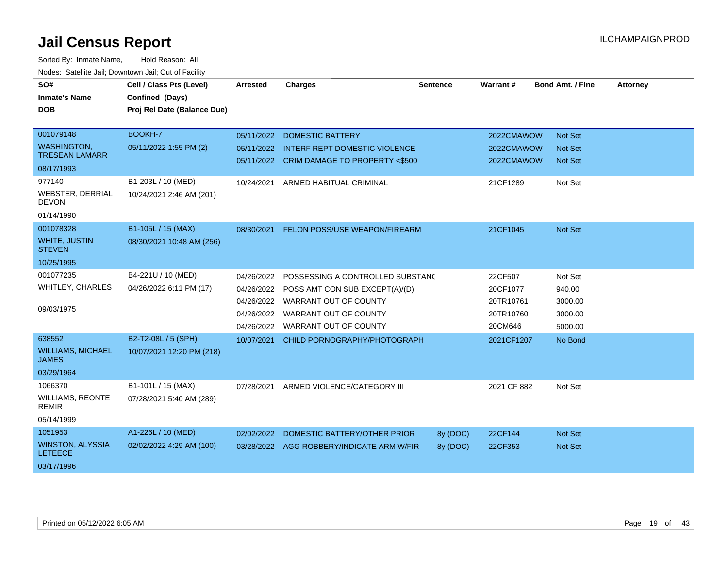| SO#<br><b>Inmate's Name</b><br><b>DOB</b>                                                                                                 | Cell / Class Pts (Level)<br>Confined (Days)<br>Proj Rel Date (Balance Due)                 | <b>Arrested</b>                        | <b>Charges</b>                                                                                                                                                                 | <b>Sentence</b>      | Warrant#                                                 | <b>Bond Amt. / Fine</b>                                | <b>Attorney</b> |
|-------------------------------------------------------------------------------------------------------------------------------------------|--------------------------------------------------------------------------------------------|----------------------------------------|--------------------------------------------------------------------------------------------------------------------------------------------------------------------------------|----------------------|----------------------------------------------------------|--------------------------------------------------------|-----------------|
| 001079148<br><b>WASHINGTON,</b><br><b>TRESEAN LAMARR</b><br>08/17/1993<br>977140<br><b>WEBSTER, DERRIAL</b><br><b>DEVON</b><br>01/14/1990 | <b>BOOKH-7</b><br>05/11/2022 1:55 PM (2)<br>B1-203L / 10 (MED)<br>10/24/2021 2:46 AM (201) | 05/11/2022<br>05/11/2022<br>10/24/2021 | <b>DOMESTIC BATTERY</b><br><b>INTERF REPT DOMESTIC VIOLENCE</b><br>05/11/2022 CRIM DAMAGE TO PROPERTY <\$500<br>ARMED HABITUAL CRIMINAL                                        |                      | 2022CMAWOW<br>2022CMAWOW<br>2022CMAWOW<br>21CF1289       | Not Set<br><b>Not Set</b><br><b>Not Set</b><br>Not Set |                 |
| 001078328<br><b>WHITE, JUSTIN</b><br><b>STEVEN</b><br>10/25/1995                                                                          | B1-105L / 15 (MAX)<br>08/30/2021 10:48 AM (256)                                            | 08/30/2021                             | FELON POSS/USE WEAPON/FIREARM                                                                                                                                                  |                      | 21CF1045                                                 | <b>Not Set</b>                                         |                 |
| 001077235<br><b>WHITLEY, CHARLES</b><br>09/03/1975                                                                                        | B4-221U / 10 (MED)<br>04/26/2022 6:11 PM (17)                                              | 04/26/2022<br>04/26/2022               | POSSESSING A CONTROLLED SUBSTANC<br>04/26/2022 POSS AMT CON SUB EXCEPT(A)/(D)<br>04/26/2022 WARRANT OUT OF COUNTY<br>04/26/2022 WARRANT OUT OF COUNTY<br>WARRANT OUT OF COUNTY |                      | 22CF507<br>20CF1077<br>20TR10761<br>20TR10760<br>20CM646 | Not Set<br>940.00<br>3000.00<br>3000.00<br>5000.00     |                 |
| 638552<br><b>WILLIAMS, MICHAEL</b><br><b>JAMES</b><br>03/29/1964                                                                          | B2-T2-08L / 5 (SPH)<br>10/07/2021 12:20 PM (218)                                           | 10/07/2021                             | CHILD PORNOGRAPHY/PHOTOGRAPH                                                                                                                                                   |                      | 2021CF1207                                               | No Bond                                                |                 |
| 1066370<br><b>WILLIAMS, REONTE</b><br><b>REMIR</b><br>05/14/1999                                                                          | B1-101L / 15 (MAX)<br>07/28/2021 5:40 AM (289)                                             | 07/28/2021                             | ARMED VIOLENCE/CATEGORY III                                                                                                                                                    |                      | 2021 CF 882                                              | Not Set                                                |                 |
| 1051953<br><b>WINSTON, ALYSSIA</b><br><b>LETEECE</b><br>03/17/1996                                                                        | A1-226L / 10 (MED)<br>02/02/2022 4:29 AM (100)                                             | 02/02/2022                             | DOMESTIC BATTERY/OTHER PRIOR<br>03/28/2022 AGG ROBBERY/INDICATE ARM W/FIR                                                                                                      | 8y (DOC)<br>8y (DOC) | 22CF144<br>22CF353                                       | Not Set<br><b>Not Set</b>                              |                 |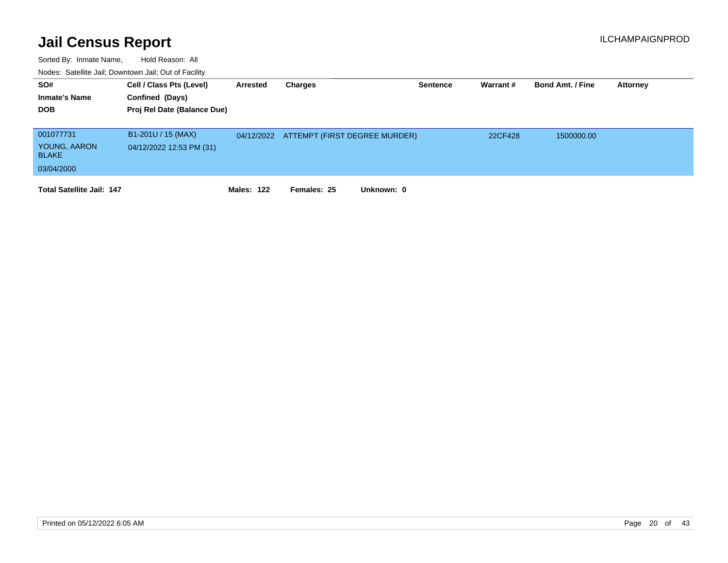| SO#<br><b>Inmate's Name</b><br><b>DOB</b> | Cell / Class Pts (Level)<br>Confined (Days)<br>Proj Rel Date (Balance Due) | Arrested          | Charges                                  | Sentence | Warrant # | <b>Bond Amt. / Fine</b> | <b>Attorney</b> |
|-------------------------------------------|----------------------------------------------------------------------------|-------------------|------------------------------------------|----------|-----------|-------------------------|-----------------|
| 001077731                                 | B1-201U / 15 (MAX)                                                         |                   | 04/12/2022 ATTEMPT (FIRST DEGREE MURDER) |          | 22CF428   | 1500000.00              |                 |
| YOUNG, AARON<br><b>BLAKE</b>              | 04/12/2022 12:53 PM (31)                                                   |                   |                                          |          |           |                         |                 |
| 03/04/2000                                |                                                                            |                   |                                          |          |           |                         |                 |
| <b>Total Satellite Jail: 147</b>          |                                                                            | <b>Males: 122</b> | Unknown: 0<br>Females: 25                |          |           |                         |                 |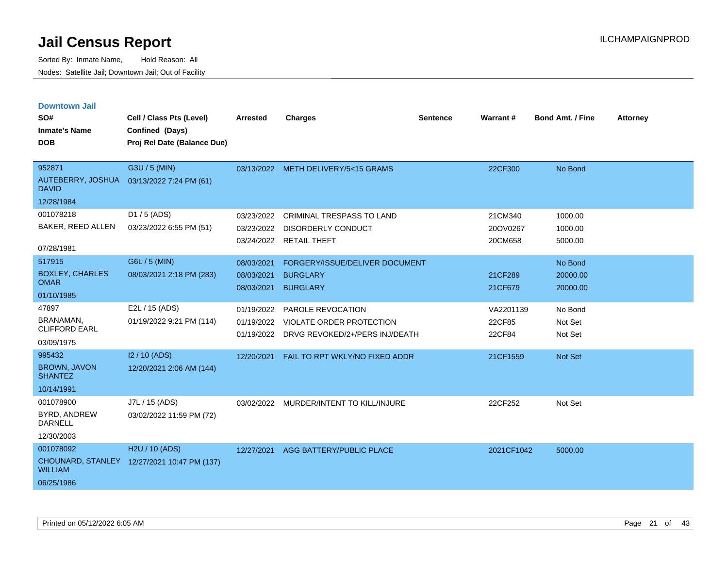| <b>Downtown Jail</b>                  |                                             |                 |                                           |                 |            |                         |                 |
|---------------------------------------|---------------------------------------------|-----------------|-------------------------------------------|-----------------|------------|-------------------------|-----------------|
| SO#                                   | Cell / Class Pts (Level)                    | <b>Arrested</b> | <b>Charges</b>                            | <b>Sentence</b> | Warrant#   | <b>Bond Amt. / Fine</b> | <b>Attorney</b> |
| <b>Inmate's Name</b>                  | Confined (Days)                             |                 |                                           |                 |            |                         |                 |
| <b>DOB</b>                            | Proj Rel Date (Balance Due)                 |                 |                                           |                 |            |                         |                 |
|                                       |                                             |                 |                                           |                 |            |                         |                 |
| 952871                                | G3U / 5 (MIN)                               |                 | 03/13/2022 METH DELIVERY/5<15 GRAMS       |                 | 22CF300    | No Bond                 |                 |
| <b>DAVID</b>                          | AUTEBERRY, JOSHUA 03/13/2022 7:24 PM (61)   |                 |                                           |                 |            |                         |                 |
| 12/28/1984                            |                                             |                 |                                           |                 |            |                         |                 |
| 001078218                             | D1 / 5 (ADS)                                | 03/23/2022      | <b>CRIMINAL TRESPASS TO LAND</b>          |                 | 21CM340    | 1000.00                 |                 |
| BAKER, REED ALLEN                     | 03/23/2022 6:55 PM (51)                     | 03/23/2022      | <b>DISORDERLY CONDUCT</b>                 |                 | 20OV0267   | 1000.00                 |                 |
|                                       |                                             |                 | 03/24/2022 RETAIL THEFT                   |                 | 20CM658    | 5000.00                 |                 |
| 07/28/1981                            |                                             |                 |                                           |                 |            |                         |                 |
| 517915                                | G6L / 5 (MIN)                               | 08/03/2021      | FORGERY/ISSUE/DELIVER DOCUMENT            |                 |            | No Bond                 |                 |
| <b>BOXLEY, CHARLES</b><br><b>OMAR</b> | 08/03/2021 2:18 PM (283)                    | 08/03/2021      | <b>BURGLARY</b>                           |                 | 21CF289    | 20000.00                |                 |
| 01/10/1985                            |                                             | 08/03/2021      | <b>BURGLARY</b>                           |                 | 21CF679    | 20000.00                |                 |
| 47897                                 | E2L / 15 (ADS)                              | 01/19/2022      | PAROLE REVOCATION                         |                 | VA2201139  | No Bond                 |                 |
| BRANAMAN,                             | 01/19/2022 9:21 PM (114)                    | 01/19/2022      | VIOLATE ORDER PROTECTION                  |                 | 22CF85     | Not Set                 |                 |
| <b>CLIFFORD EARL</b>                  |                                             |                 | 01/19/2022 DRVG REVOKED/2+/PERS INJ/DEATH |                 | 22CF84     | Not Set                 |                 |
| 03/09/1975                            |                                             |                 |                                           |                 |            |                         |                 |
| 995432                                | I2 / 10 (ADS)                               | 12/20/2021      | FAIL TO RPT WKLY/NO FIXED ADDR            |                 | 21CF1559   | <b>Not Set</b>          |                 |
| <b>BROWN, JAVON</b><br><b>SHANTEZ</b> | 12/20/2021 2:06 AM (144)                    |                 |                                           |                 |            |                         |                 |
| 10/14/1991                            |                                             |                 |                                           |                 |            |                         |                 |
| 001078900                             | J7L / 15 (ADS)                              |                 | 03/02/2022 MURDER/INTENT TO KILL/INJURE   |                 | 22CF252    | Not Set                 |                 |
| <b>BYRD, ANDREW</b><br><b>DARNELL</b> | 03/02/2022 11:59 PM (72)                    |                 |                                           |                 |            |                         |                 |
| 12/30/2003                            |                                             |                 |                                           |                 |            |                         |                 |
| 001078092                             | H <sub>2</sub> U / 10 (ADS)                 |                 | 12/27/2021 AGG BATTERY/PUBLIC PLACE       |                 | 2021CF1042 | 5000.00                 |                 |
| <b>WILLIAM</b>                        | CHOUNARD, STANLEY 12/27/2021 10:47 PM (137) |                 |                                           |                 |            |                         |                 |
| 06/25/1986                            |                                             |                 |                                           |                 |            |                         |                 |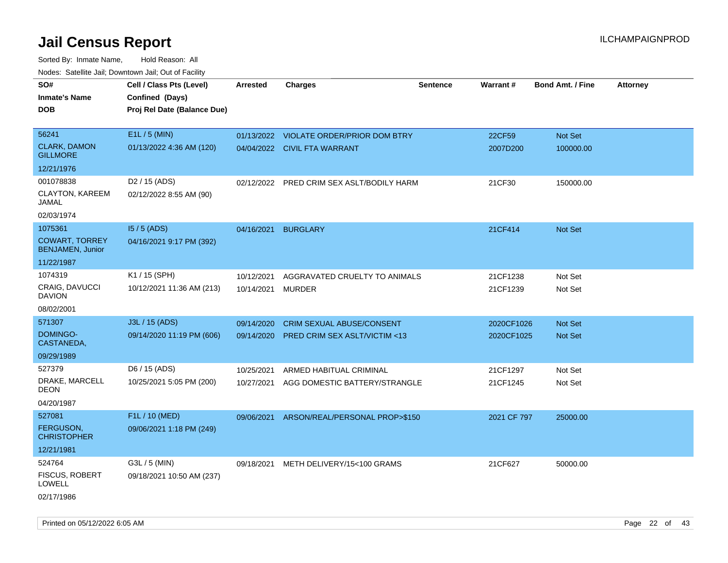| SO#<br><b>Inmate's Name</b><br><b>DOB</b>        | Cell / Class Pts (Level)<br>Confined (Days)<br>Proj Rel Date (Balance Due) | <b>Arrested</b> | <b>Charges</b>                          | <b>Sentence</b> | Warrant#    | <b>Bond Amt. / Fine</b> | <b>Attorney</b> |
|--------------------------------------------------|----------------------------------------------------------------------------|-----------------|-----------------------------------------|-----------------|-------------|-------------------------|-----------------|
| 56241                                            | $E1L / 5$ (MIN)                                                            |                 | 01/13/2022 VIOLATE ORDER/PRIOR DOM BTRY |                 | 22CF59      | Not Set                 |                 |
| <b>CLARK, DAMON</b><br><b>GILLMORE</b>           | 01/13/2022 4:36 AM (120)                                                   |                 | 04/04/2022 CIVIL FTA WARRANT            |                 | 2007D200    | 100000.00               |                 |
| 12/21/1976                                       |                                                                            |                 |                                         |                 |             |                         |                 |
| 001078838                                        | D <sub>2</sub> / 15 (ADS)                                                  | 02/12/2022      | PRED CRIM SEX ASLT/BODILY HARM          |                 | 21CF30      | 150000.00               |                 |
| CLAYTON, KAREEM<br>JAMAL                         | 02/12/2022 8:55 AM (90)                                                    |                 |                                         |                 |             |                         |                 |
| 02/03/1974                                       |                                                                            |                 |                                         |                 |             |                         |                 |
| 1075361                                          | $15/5$ (ADS)                                                               | 04/16/2021      | <b>BURGLARY</b>                         |                 | 21CF414     | Not Set                 |                 |
| <b>COWART, TORREY</b><br><b>BENJAMEN, Junior</b> | 04/16/2021 9:17 PM (392)                                                   |                 |                                         |                 |             |                         |                 |
| 11/22/1987                                       |                                                                            |                 |                                         |                 |             |                         |                 |
| 1074319                                          | K1 / 15 (SPH)                                                              | 10/12/2021      | AGGRAVATED CRUELTY TO ANIMALS           |                 | 21CF1238    | Not Set                 |                 |
| <b>CRAIG, DAVUCCI</b><br><b>DAVION</b>           | 10/12/2021 11:36 AM (213)                                                  | 10/14/2021      | <b>MURDER</b>                           |                 | 21CF1239    | Not Set                 |                 |
| 08/02/2001                                       |                                                                            |                 |                                         |                 |             |                         |                 |
| 571307                                           | J3L / 15 (ADS)                                                             | 09/14/2020      | <b>CRIM SEXUAL ABUSE/CONSENT</b>        |                 | 2020CF1026  | <b>Not Set</b>          |                 |
| DOMINGO-<br>CASTANEDA,                           | 09/14/2020 11:19 PM (606)                                                  | 09/14/2020      | PRED CRIM SEX ASLT/VICTIM <13           |                 | 2020CF1025  | Not Set                 |                 |
| 09/29/1989                                       |                                                                            |                 |                                         |                 |             |                         |                 |
| 527379                                           | D6 / 15 (ADS)                                                              | 10/25/2021      | ARMED HABITUAL CRIMINAL                 |                 | 21CF1297    | Not Set                 |                 |
| DRAKE, MARCELL<br><b>DEON</b>                    | 10/25/2021 5:05 PM (200)                                                   | 10/27/2021      | AGG DOMESTIC BATTERY/STRANGLE           |                 | 21CF1245    | Not Set                 |                 |
| 04/20/1987                                       |                                                                            |                 |                                         |                 |             |                         |                 |
| 527081                                           | F1L / 10 (MED)                                                             | 09/06/2021      | ARSON/REAL/PERSONAL PROP>\$150          |                 | 2021 CF 797 | 25000.00                |                 |
| <b>FERGUSON,</b><br><b>CHRISTOPHER</b>           | 09/06/2021 1:18 PM (249)                                                   |                 |                                         |                 |             |                         |                 |
| 12/21/1981                                       |                                                                            |                 |                                         |                 |             |                         |                 |
| 524764                                           | G3L / 5 (MIN)                                                              | 09/18/2021      | METH DELIVERY/15<100 GRAMS              |                 | 21CF627     | 50000.00                |                 |
| <b>FISCUS, ROBERT</b><br><b>LOWELL</b>           | 09/18/2021 10:50 AM (237)                                                  |                 |                                         |                 |             |                         |                 |
| 02/17/1986                                       |                                                                            |                 |                                         |                 |             |                         |                 |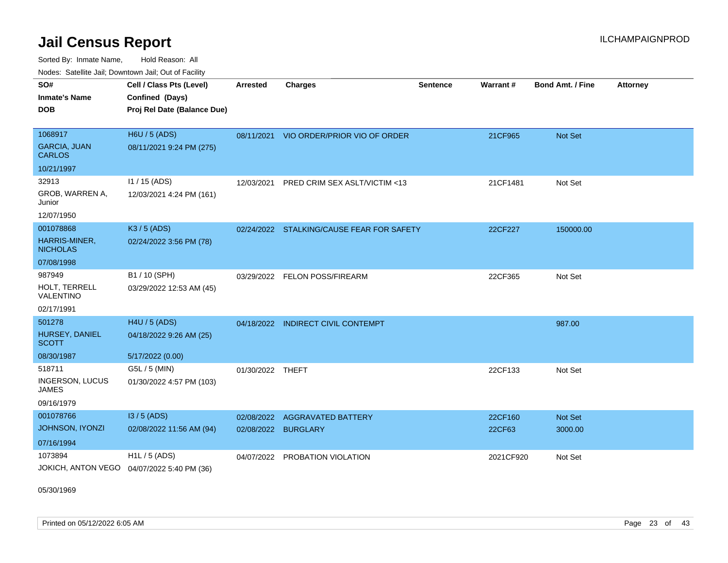Sorted By: Inmate Name, Hold Reason: All Nodes: Satellite Jail; Downtown Jail; Out of Facility

| <u>Houcs.</u> Outchne Juli, Downtown Juli, Out of Facility |                                             |                  |                                           |                 |           |                  |                 |
|------------------------------------------------------------|---------------------------------------------|------------------|-------------------------------------------|-----------------|-----------|------------------|-----------------|
| SO#                                                        | Cell / Class Pts (Level)                    | <b>Arrested</b>  | <b>Charges</b>                            | <b>Sentence</b> | Warrant#  | Bond Amt. / Fine | <b>Attorney</b> |
| <b>Inmate's Name</b>                                       | Confined (Days)                             |                  |                                           |                 |           |                  |                 |
| <b>DOB</b>                                                 | Proj Rel Date (Balance Due)                 |                  |                                           |                 |           |                  |                 |
|                                                            |                                             |                  |                                           |                 |           |                  |                 |
| 1068917                                                    | <b>H6U / 5 (ADS)</b>                        |                  | 08/11/2021 VIO ORDER/PRIOR VIO OF ORDER   |                 | 21CF965   | <b>Not Set</b>   |                 |
| <b>GARCIA, JUAN</b><br><b>CARLOS</b>                       | 08/11/2021 9:24 PM (275)                    |                  |                                           |                 |           |                  |                 |
| 10/21/1997                                                 |                                             |                  |                                           |                 |           |                  |                 |
| 32913                                                      | $11 / 15$ (ADS)                             | 12/03/2021       | PRED CRIM SEX ASLT/VICTIM <13             |                 | 21CF1481  | Not Set          |                 |
| GROB, WARREN A,<br>Junior                                  | 12/03/2021 4:24 PM (161)                    |                  |                                           |                 |           |                  |                 |
| 12/07/1950                                                 |                                             |                  |                                           |                 |           |                  |                 |
| 001078868                                                  | K3 / 5 (ADS)                                |                  | 02/24/2022 STALKING/CAUSE FEAR FOR SAFETY |                 | 22CF227   | 150000.00        |                 |
| HARRIS-MINER,<br><b>NICHOLAS</b>                           | 02/24/2022 3:56 PM (78)                     |                  |                                           |                 |           |                  |                 |
| 07/08/1998                                                 |                                             |                  |                                           |                 |           |                  |                 |
| 987949                                                     | B1 / 10 (SPH)                               |                  | 03/29/2022 FELON POSS/FIREARM             |                 | 22CF365   | Not Set          |                 |
| HOLT, TERRELL<br>VALENTINO                                 | 03/29/2022 12:53 AM (45)                    |                  |                                           |                 |           |                  |                 |
| 02/17/1991                                                 |                                             |                  |                                           |                 |           |                  |                 |
| 501278                                                     | H4U / 5 (ADS)                               |                  | 04/18/2022 INDIRECT CIVIL CONTEMPT        |                 |           | 987.00           |                 |
| HURSEY, DANIEL<br><b>SCOTT</b>                             | 04/18/2022 9:26 AM (25)                     |                  |                                           |                 |           |                  |                 |
| 08/30/1987                                                 | 5/17/2022 (0.00)                            |                  |                                           |                 |           |                  |                 |
| 518711                                                     | G5L / 5 (MIN)                               | 01/30/2022 THEFT |                                           |                 | 22CF133   | Not Set          |                 |
| <b>INGERSON, LUCUS</b><br><b>JAMES</b>                     | 01/30/2022 4:57 PM (103)                    |                  |                                           |                 |           |                  |                 |
| 09/16/1979                                                 |                                             |                  |                                           |                 |           |                  |                 |
| 001078766                                                  | I3 / 5 (ADS)                                | 02/08/2022       | <b>AGGRAVATED BATTERY</b>                 |                 | 22CF160   | <b>Not Set</b>   |                 |
| <b>JOHNSON, IYONZI</b>                                     | 02/08/2022 11:56 AM (94)                    | 02/08/2022       | <b>BURGLARY</b>                           |                 | 22CF63    | 3000.00          |                 |
| 07/16/1994                                                 |                                             |                  |                                           |                 |           |                  |                 |
| 1073894                                                    | $H1L / 5$ (ADS)                             | 04/07/2022       | PROBATION VIOLATION                       |                 | 2021CF920 | Not Set          |                 |
|                                                            | JOKICH, ANTON VEGO  04/07/2022 5:40 PM (36) |                  |                                           |                 |           |                  |                 |

05/30/1969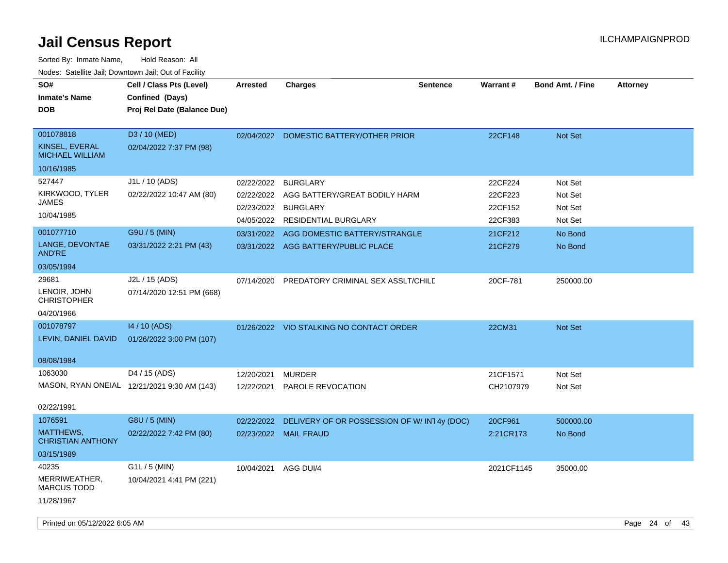| SO#<br><b>Inmate's Name</b><br><b>DOB</b>                                                  | Cell / Class Pts (Level)<br>Confined (Days)<br>Proj Rel Date (Balance Due)             | <b>Arrested</b>          | <b>Charges</b>                                                                                                                                                                                | <b>Sentence</b> | Warrant#                                                       | <b>Bond Amt. / Fine</b>                                        | <b>Attorney</b> |
|--------------------------------------------------------------------------------------------|----------------------------------------------------------------------------------------|--------------------------|-----------------------------------------------------------------------------------------------------------------------------------------------------------------------------------------------|-----------------|----------------------------------------------------------------|----------------------------------------------------------------|-----------------|
| 001078818<br>KINSEL, EVERAL<br><b>MICHAEL WILLIAM</b><br>10/16/1985                        | D3 / 10 (MED)<br>02/04/2022 7:37 PM (98)                                               |                          | 02/04/2022 DOMESTIC BATTERY/OTHER PRIOR                                                                                                                                                       |                 | 22CF148                                                        | Not Set                                                        |                 |
| 527447<br>KIRKWOOD, TYLER<br>JAMES<br>10/04/1985<br>001077710<br>LANGE, DEVONTAE<br>AND'RE | J1L / 10 (ADS)<br>02/22/2022 10:47 AM (80)<br>G9U / 5 (MIN)<br>03/31/2022 2:21 PM (43) | 02/22/2022<br>02/22/2022 | <b>BURGLARY</b><br>AGG BATTERY/GREAT BODILY HARM<br>02/23/2022 BURGLARY<br>04/05/2022 RESIDENTIAL BURGLARY<br>03/31/2022 AGG DOMESTIC BATTERY/STRANGLE<br>03/31/2022 AGG BATTERY/PUBLIC PLACE |                 | 22CF224<br>22CF223<br>22CF152<br>22CF383<br>21CF212<br>21CF279 | Not Set<br>Not Set<br>Not Set<br>Not Set<br>No Bond<br>No Bond |                 |
| 03/05/1994<br>29681<br>LENOIR, JOHN<br><b>CHRISTOPHER</b><br>04/20/1966                    | J2L / 15 (ADS)<br>07/14/2020 12:51 PM (668)                                            | 07/14/2020               | PREDATORY CRIMINAL SEX ASSLT/CHILD                                                                                                                                                            |                 | 20CF-781                                                       | 250000.00                                                      |                 |
| 001078797<br>LEVIN, DANIEL DAVID<br>08/08/1984                                             | 14 / 10 (ADS)<br>01/26/2022 3:00 PM (107)                                              |                          | 01/26/2022 VIO STALKING NO CONTACT ORDER                                                                                                                                                      |                 | 22CM31                                                         | Not Set                                                        |                 |
| 1063030<br>02/22/1991                                                                      | D <sub>4</sub> / 15 (ADS)<br>MASON, RYAN ONEIAL 12/21/2021 9:30 AM (143)               | 12/20/2021               | <b>MURDER</b><br>12/22/2021 PAROLE REVOCATION                                                                                                                                                 |                 | 21CF1571<br>CH2107979                                          | Not Set<br>Not Set                                             |                 |
| 1076591<br>MATTHEWS,<br><b>CHRISTIAN ANTHONY</b><br>03/15/1989                             | G8U / 5 (MIN)<br>02/22/2022 7:42 PM (80)                                               | 02/22/2022               | DELIVERY OF OR POSSESSION OF W/IN14y (DOC)<br>02/23/2022 MAIL FRAUD                                                                                                                           |                 | 20CF961<br>2:21CR173                                           | 500000.00<br>No Bond                                           |                 |
| 40235<br>MERRIWEATHER,<br><b>MARCUS TODD</b><br>11/28/1967                                 | G1L / 5 (MIN)<br>10/04/2021 4:41 PM (221)                                              | 10/04/2021               | AGG DUI/4                                                                                                                                                                                     |                 | 2021CF1145                                                     | 35000.00                                                       |                 |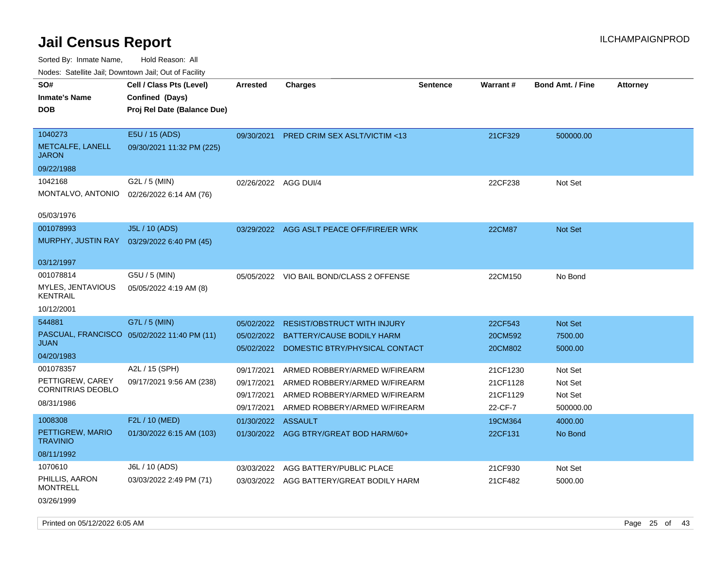| SO#<br><b>Inmate's Name</b><br><b>DOB</b>                | Cell / Class Pts (Level)<br>Confined (Days)<br>Proj Rel Date (Balance Due) | Arrested                 | <b>Charges</b>                                                 | Sentence | Warrant#             | <b>Bond Amt. / Fine</b> | <b>Attorney</b> |
|----------------------------------------------------------|----------------------------------------------------------------------------|--------------------------|----------------------------------------------------------------|----------|----------------------|-------------------------|-----------------|
| 1040273<br>METCALFE, LANELL<br><b>JARON</b>              | E5U / 15 (ADS)<br>09/30/2021 11:32 PM (225)                                | 09/30/2021               | <b>PRED CRIM SEX ASLT/VICTIM &lt;13</b>                        |          | 21CF329              | 500000.00               |                 |
| 09/22/1988                                               |                                                                            |                          |                                                                |          |                      |                         |                 |
| 1042168<br>MONTALVO, ANTONIO                             | G2L / 5 (MIN)<br>02/26/2022 6:14 AM (76)                                   | 02/26/2022 AGG DUI/4     |                                                                |          | 22CF238              | Not Set                 |                 |
| 05/03/1976                                               |                                                                            |                          |                                                                |          |                      |                         |                 |
| 001078993                                                | J5L / 10 (ADS)<br>MURPHY, JUSTIN RAY 03/29/2022 6:40 PM (45)               |                          | 03/29/2022 AGG ASLT PEACE OFF/FIRE/ER WRK                      |          | <b>22CM87</b>        | <b>Not Set</b>          |                 |
| 03/12/1997                                               |                                                                            |                          |                                                                |          |                      |                         |                 |
| 001078814<br><b>MYLES, JENTAVIOUS</b><br><b>KENTRAIL</b> | G5U / 5 (MIN)<br>05/05/2022 4:19 AM (8)                                    |                          | 05/05/2022 VIO BAIL BOND/CLASS 2 OFFENSE                       |          | 22CM150              | No Bond                 |                 |
| 10/12/2001                                               |                                                                            |                          |                                                                |          |                      |                         |                 |
| 544881                                                   | G7L / 5 (MIN)                                                              | 05/02/2022               | <b>RESIST/OBSTRUCT WITH INJURY</b>                             |          | 22CF543              | Not Set                 |                 |
| <b>JUAN</b>                                              | PASCUAL, FRANCISCO 05/02/2022 11:40 PM (11)                                | 05/02/2022               | <b>BATTERY/CAUSE BODILY HARM</b>                               |          | 20CM592              | 7500.00                 |                 |
| 04/20/1983                                               |                                                                            | 05/02/2022               | DOMESTIC BTRY/PHYSICAL CONTACT                                 |          | 20CM802              | 5000.00                 |                 |
| 001078357                                                | A2L / 15 (SPH)                                                             | 09/17/2021               | ARMED ROBBERY/ARMED W/FIREARM                                  |          | 21CF1230             | Not Set                 |                 |
| PETTIGREW, CAREY<br><b>CORNITRIAS DEOBLO</b>             | 09/17/2021 9:56 AM (238)                                                   | 09/17/2021<br>09/17/2021 | ARMED ROBBERY/ARMED W/FIREARM<br>ARMED ROBBERY/ARMED W/FIREARM |          | 21CF1128<br>21CF1129 | Not Set<br>Not Set      |                 |
| 08/31/1986                                               |                                                                            | 09/17/2021               | ARMED ROBBERY/ARMED W/FIREARM                                  |          | 22-CF-7              | 500000.00               |                 |
| 1008308                                                  | F2L / 10 (MED)                                                             | 01/30/2022 ASSAULT       |                                                                |          | 19CM364              | 4000.00                 |                 |
| PETTIGREW, MARIO<br><b>TRAVINIO</b>                      | 01/30/2022 6:15 AM (103)                                                   |                          | 01/30/2022 AGG BTRY/GREAT BOD HARM/60+                         |          | 22CF131              | No Bond                 |                 |
| 08/11/1992                                               |                                                                            |                          |                                                                |          |                      |                         |                 |
| 1070610                                                  | J6L / 10 (ADS)                                                             | 03/03/2022               | AGG BATTERY/PUBLIC PLACE                                       |          | 21CF930              | Not Set                 |                 |
| PHILLIS, AARON<br><b>MONTRELL</b>                        | 03/03/2022 2:49 PM (71)                                                    |                          | 03/03/2022 AGG BATTERY/GREAT BODILY HARM                       |          | 21CF482              | 5000.00                 |                 |
| 03/26/1999                                               |                                                                            |                          |                                                                |          |                      |                         |                 |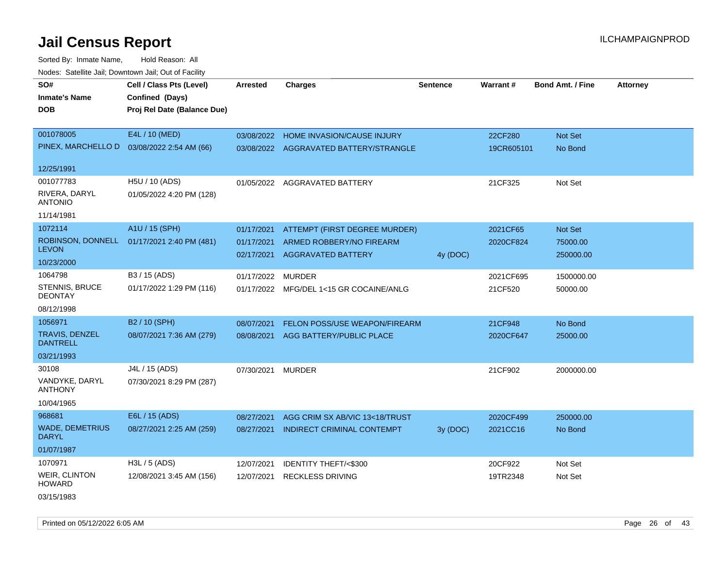Sorted By: Inmate Name, Hold Reason: All Nodes: Satellite Jail; Downtown Jail; Out of Facility

| SO#                                    | Cell / Class Pts (Level)    | <b>Arrested</b> | <b>Charges</b>                          | <b>Sentence</b> | <b>Warrant#</b> | <b>Bond Amt. / Fine</b> | <b>Attorney</b> |
|----------------------------------------|-----------------------------|-----------------|-----------------------------------------|-----------------|-----------------|-------------------------|-----------------|
| <b>Inmate's Name</b>                   | Confined (Days)             |                 |                                         |                 |                 |                         |                 |
| <b>DOB</b>                             | Proj Rel Date (Balance Due) |                 |                                         |                 |                 |                         |                 |
|                                        |                             |                 |                                         |                 |                 |                         |                 |
| 001078005                              | E4L / 10 (MED)              | 03/08/2022      | <b>HOME INVASION/CAUSE INJURY</b>       |                 | 22CF280         | Not Set                 |                 |
| PINEX, MARCHELLO D                     | 03/08/2022 2:54 AM (66)     |                 | 03/08/2022 AGGRAVATED BATTERY/STRANGLE  |                 | 19CR605101      | No Bond                 |                 |
|                                        |                             |                 |                                         |                 |                 |                         |                 |
| 12/25/1991                             |                             |                 |                                         |                 |                 |                         |                 |
| 001077783                              | H5U / 10 (ADS)              | 01/05/2022      | AGGRAVATED BATTERY                      |                 | 21CF325         | Not Set                 |                 |
| RIVERA, DARYL<br><b>ANTONIO</b>        | 01/05/2022 4:20 PM (128)    |                 |                                         |                 |                 |                         |                 |
| 11/14/1981                             |                             |                 |                                         |                 |                 |                         |                 |
| 1072114                                | A1U / 15 (SPH)              | 01/17/2021      | ATTEMPT (FIRST DEGREE MURDER)           |                 | 2021CF65        | Not Set                 |                 |
| ROBINSON, DONNELL                      | 01/17/2021 2:40 PM (481)    | 01/17/2021      | ARMED ROBBERY/NO FIREARM                |                 | 2020CF824       | 75000.00                |                 |
| <b>LEVON</b>                           |                             | 02/17/2021      | <b>AGGRAVATED BATTERY</b>               | 4y (DOC)        |                 | 250000.00               |                 |
| 10/23/2000                             |                             |                 |                                         |                 |                 |                         |                 |
| 1064798                                | B3 / 15 (ADS)               | 01/17/2022      | <b>MURDER</b>                           |                 | 2021CF695       | 1500000.00              |                 |
| STENNIS, BRUCE<br><b>DEONTAY</b>       | 01/17/2022 1:29 PM (116)    |                 | 01/17/2022 MFG/DEL 1<15 GR COCAINE/ANLG |                 | 21CF520         | 50000.00                |                 |
| 08/12/1998                             |                             |                 |                                         |                 |                 |                         |                 |
| 1056971                                | B2 / 10 (SPH)               | 08/07/2021      | FELON POSS/USE WEAPON/FIREARM           |                 | 21CF948         | No Bond                 |                 |
| TRAVIS, DENZEL<br><b>DANTRELL</b>      | 08/07/2021 7:36 AM (279)    | 08/08/2021      | AGG BATTERY/PUBLIC PLACE                |                 | 2020CF647       | 25000.00                |                 |
| 03/21/1993                             |                             |                 |                                         |                 |                 |                         |                 |
| 30108                                  | J4L / 15 (ADS)              | 07/30/2021      | <b>MURDER</b>                           |                 | 21CF902         | 2000000.00              |                 |
| VANDYKE, DARYL<br><b>ANTHONY</b>       | 07/30/2021 8:29 PM (287)    |                 |                                         |                 |                 |                         |                 |
| 10/04/1965                             |                             |                 |                                         |                 |                 |                         |                 |
| 968681                                 | E6L / 15 (ADS)              | 08/27/2021      | AGG CRIM SX AB/VIC 13<18/TRUST          |                 | 2020CF499       | 250000.00               |                 |
| <b>WADE, DEMETRIUS</b><br><b>DARYL</b> | 08/27/2021 2:25 AM (259)    | 08/27/2021      | <b>INDIRECT CRIMINAL CONTEMPT</b>       | 3y (DOC)        | 2021CC16        | No Bond                 |                 |
| 01/07/1987                             |                             |                 |                                         |                 |                 |                         |                 |
| 1070971                                | H3L / 5 (ADS)               | 12/07/2021      | IDENTITY THEFT/<\$300                   |                 | 20CF922         | Not Set                 |                 |
| WEIR, CLINTON<br><b>HOWARD</b>         | 12/08/2021 3:45 AM (156)    | 12/07/2021      | <b>RECKLESS DRIVING</b>                 |                 | 19TR2348        | Not Set                 |                 |
| 03/15/1983                             |                             |                 |                                         |                 |                 |                         |                 |

Printed on 05/12/2022 6:05 AM Page 26 of 43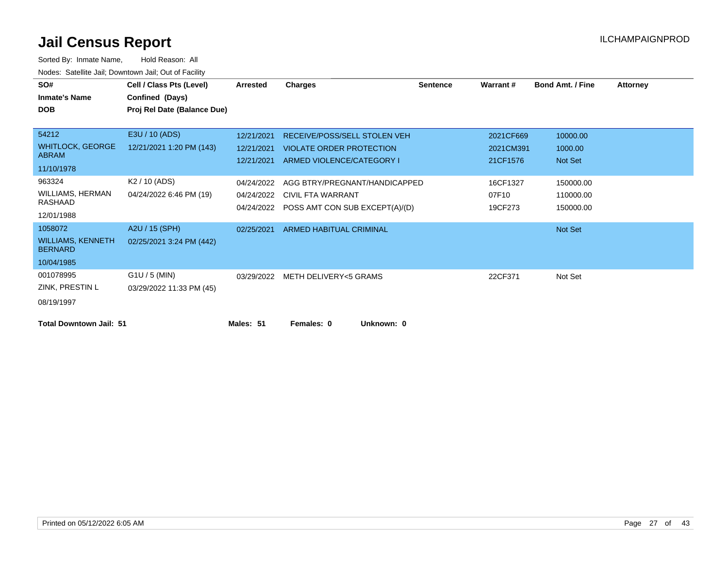| SO#                                        | Cell / Class Pts (Level)    | <b>Arrested</b> | <b>Charges</b>                            | <b>Sentence</b> | Warrant#  | <b>Bond Amt. / Fine</b> | <b>Attorney</b> |
|--------------------------------------------|-----------------------------|-----------------|-------------------------------------------|-----------------|-----------|-------------------------|-----------------|
| <b>Inmate's Name</b>                       | Confined (Days)             |                 |                                           |                 |           |                         |                 |
| <b>DOB</b>                                 | Proj Rel Date (Balance Due) |                 |                                           |                 |           |                         |                 |
|                                            |                             |                 |                                           |                 |           |                         |                 |
| 54212                                      | E3U / 10 (ADS)              | 12/21/2021      | RECEIVE/POSS/SELL STOLEN VEH              |                 | 2021CF669 | 10000.00                |                 |
| <b>WHITLOCK, GEORGE</b>                    | 12/21/2021 1:20 PM (143)    | 12/21/2021      | VIOLATE ORDER PROTECTION                  |                 | 2021CM391 | 1000.00                 |                 |
| <b>ABRAM</b>                               |                             | 12/21/2021      | ARMED VIOLENCE/CATEGORY I                 |                 | 21CF1576  | Not Set                 |                 |
| 11/10/1978                                 |                             |                 |                                           |                 |           |                         |                 |
| 963324                                     | K2 / 10 (ADS)               | 04/24/2022      | AGG BTRY/PREGNANT/HANDICAPPED             |                 | 16CF1327  | 150000.00               |                 |
| WILLIAMS, HERMAN                           | 04/24/2022 6:46 PM (19)     |                 | 04/24/2022 CIVIL FTA WARRANT              |                 | 07F10     | 110000.00               |                 |
| RASHAAD                                    |                             |                 | 04/24/2022 POSS AMT CON SUB EXCEPT(A)/(D) |                 | 19CF273   | 150000.00               |                 |
| 12/01/1988                                 |                             |                 |                                           |                 |           |                         |                 |
| 1058072                                    | A2U / 15 (SPH)              | 02/25/2021      | ARMED HABITUAL CRIMINAL                   |                 |           | Not Set                 |                 |
| <b>WILLIAMS, KENNETH</b><br><b>BERNARD</b> | 02/25/2021 3:24 PM (442)    |                 |                                           |                 |           |                         |                 |
| 10/04/1985                                 |                             |                 |                                           |                 |           |                         |                 |
| 001078995                                  | G1U / 5 (MIN)               |                 | 03/29/2022 METH DELIVERY<5 GRAMS          |                 | 22CF371   | Not Set                 |                 |
| ZINK, PRESTIN L                            | 03/29/2022 11:33 PM (45)    |                 |                                           |                 |           |                         |                 |
| 08/19/1997                                 |                             |                 |                                           |                 |           |                         |                 |
| <b>Total Downtown Jail: 51</b>             |                             | Males: 51       | Females: 0<br>Unknown: 0                  |                 |           |                         |                 |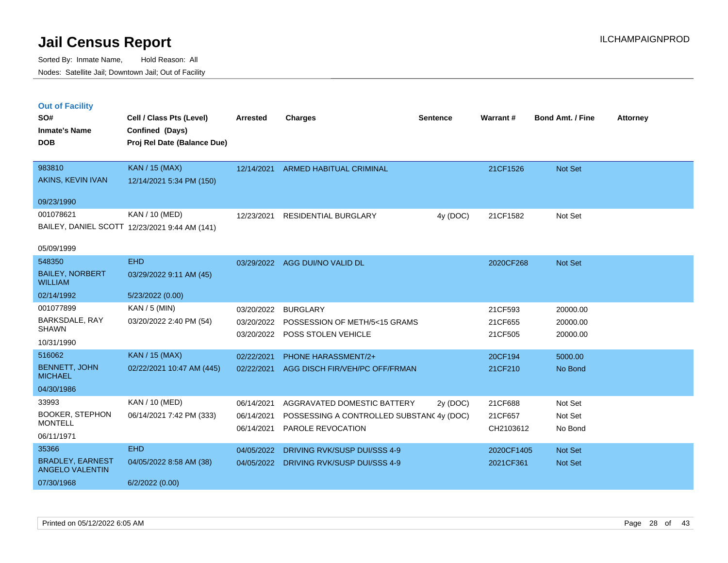|  | <b>Out of Facility</b> |  |
|--|------------------------|--|
|  |                        |  |
|  |                        |  |
|  |                        |  |

| SO#                                               | Cell / Class Pts (Level)                                               | Arrested                 | <b>Charges</b>                                                             | <b>Sentence</b> | Warrant#             | <b>Bond Amt. / Fine</b> | <b>Attorney</b> |
|---------------------------------------------------|------------------------------------------------------------------------|--------------------------|----------------------------------------------------------------------------|-----------------|----------------------|-------------------------|-----------------|
| <b>Inmate's Name</b><br><b>DOB</b>                | Confined (Days)<br>Proj Rel Date (Balance Due)                         |                          |                                                                            |                 |                      |                         |                 |
| 983810<br>AKINS, KEVIN IVAN                       | <b>KAN</b> / 15 (MAX)<br>12/14/2021 5:34 PM (150)                      |                          | 12/14/2021 ARMED HABITUAL CRIMINAL                                         |                 | 21CF1526             | Not Set                 |                 |
| 09/23/1990                                        |                                                                        |                          |                                                                            |                 |                      |                         |                 |
| 001078621                                         | <b>KAN / 10 (MED)</b><br>BAILEY, DANIEL SCOTT 12/23/2021 9:44 AM (141) | 12/23/2021               | <b>RESIDENTIAL BURGLARY</b>                                                | 4y (DOC)        | 21CF1582             | Not Set                 |                 |
| 05/09/1999                                        |                                                                        |                          |                                                                            |                 |                      |                         |                 |
| 548350                                            | <b>EHD</b>                                                             |                          | 03/29/2022 AGG DUI/NO VALID DL                                             |                 | 2020CF268            | <b>Not Set</b>          |                 |
| <b>BAILEY, NORBERT</b><br><b>WILLIAM</b>          | 03/29/2022 9:11 AM (45)                                                |                          |                                                                            |                 |                      |                         |                 |
| 02/14/1992                                        | 5/23/2022 (0.00)                                                       |                          |                                                                            |                 |                      |                         |                 |
| 001077899                                         | KAN / 5 (MIN)                                                          | 03/20/2022               | <b>BURGLARY</b>                                                            |                 | 21CF593              | 20000.00                |                 |
| BARKSDALE, RAY<br><b>SHAWN</b>                    | 03/20/2022 2:40 PM (54)                                                |                          | 03/20/2022 POSSESSION OF METH/5<15 GRAMS<br>03/20/2022 POSS STOLEN VEHICLE |                 | 21CF655<br>21CF505   | 20000.00<br>20000.00    |                 |
| 10/31/1990                                        |                                                                        |                          |                                                                            |                 |                      |                         |                 |
| 516062                                            | <b>KAN / 15 (MAX)</b>                                                  | 02/22/2021               | <b>PHONE HARASSMENT/2+</b>                                                 |                 | 20CF194              | 5000.00                 |                 |
| <b>BENNETT, JOHN</b><br><b>MICHAEL</b>            | 02/22/2021 10:47 AM (445)                                              | 02/22/2021               | AGG DISCH FIR/VEH/PC OFF/FRMAN                                             |                 | 21CF210              | No Bond                 |                 |
| 04/30/1986                                        |                                                                        |                          |                                                                            |                 |                      |                         |                 |
| 33993                                             | KAN / 10 (MED)                                                         | 06/14/2021               | AGGRAVATED DOMESTIC BATTERY                                                | 2y (DOC)        | 21CF688              | Not Set                 |                 |
| <b>BOOKER, STEPHON</b><br><b>MONTELL</b>          | 06/14/2021 7:42 PM (333)                                               | 06/14/2021<br>06/14/2021 | POSSESSING A CONTROLLED SUBSTANC 4y (DOC)<br>PAROLE REVOCATION             |                 | 21CF657<br>CH2103612 | Not Set<br>No Bond      |                 |
| 06/11/1971                                        |                                                                        |                          |                                                                            |                 |                      |                         |                 |
| 35366                                             | <b>EHD</b>                                                             | 04/05/2022               | DRIVING RVK/SUSP DUI/SSS 4-9                                               |                 | 2020CF1405           | Not Set                 |                 |
| <b>BRADLEY, EARNEST</b><br><b>ANGELO VALENTIN</b> | 04/05/2022 8:58 AM (38)                                                | 04/05/2022               | DRIVING RVK/SUSP DUI/SSS 4-9                                               |                 | 2021CF361            | Not Set                 |                 |
| 07/30/1968                                        | 6/2/2022(0.00)                                                         |                          |                                                                            |                 |                      |                         |                 |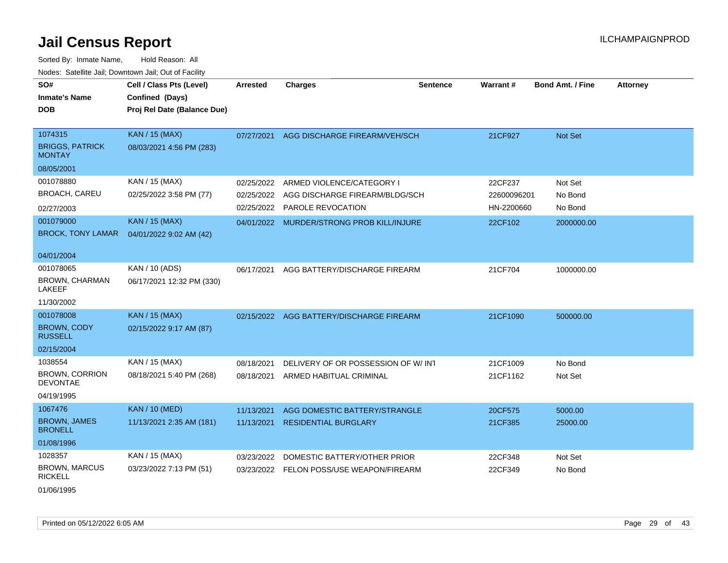Sorted By: Inmate Name, Hold Reason: All Nodes: Satellite Jail; Downtown Jail; Out of Facility

| SO#<br><b>Inmate's Name</b><br><b>DOB</b>           | Cell / Class Pts (Level)<br>Confined (Days)<br>Proj Rel Date (Balance Due) | <b>Arrested</b> | <b>Charges</b>                           | <b>Sentence</b> | Warrant#    | <b>Bond Amt. / Fine</b> | <b>Attorney</b> |
|-----------------------------------------------------|----------------------------------------------------------------------------|-----------------|------------------------------------------|-----------------|-------------|-------------------------|-----------------|
| 1074315<br><b>BRIGGS, PATRICK</b><br><b>MONTAY</b>  | <b>KAN / 15 (MAX)</b><br>08/03/2021 4:56 PM (283)                          | 07/27/2021      | AGG DISCHARGE FIREARM/VEH/SCH            |                 | 21CF927     | Not Set                 |                 |
| 08/05/2001                                          |                                                                            |                 |                                          |                 |             |                         |                 |
| 001078880                                           | KAN / 15 (MAX)                                                             | 02/25/2022      | ARMED VIOLENCE/CATEGORY I                |                 | 22CF237     | Not Set                 |                 |
| <b>BROACH, CAREU</b>                                | 02/25/2022 3:58 PM (77)                                                    | 02/25/2022      | AGG DISCHARGE FIREARM/BLDG/SCH           |                 | 22600096201 | No Bond                 |                 |
| 02/27/2003                                          |                                                                            | 02/25/2022      | PAROLE REVOCATION                        |                 | HN-2200660  | No Bond                 |                 |
| 001079000<br><b>BROCK, TONY LAMAR</b>               | <b>KAN / 15 (MAX)</b><br>04/01/2022 9:02 AM (42)                           | 04/01/2022      | MURDER/STRONG PROB KILL/INJURE           |                 | 22CF102     | 2000000.00              |                 |
| 04/01/2004                                          |                                                                            |                 |                                          |                 |             |                         |                 |
| 001078065<br><b>BROWN, CHARMAN</b><br><b>LAKEEF</b> | KAN / 10 (ADS)<br>06/17/2021 12:32 PM (330)                                | 06/17/2021      | AGG BATTERY/DISCHARGE FIREARM            |                 | 21CF704     | 1000000.00              |                 |
| 11/30/2002                                          |                                                                            |                 |                                          |                 |             |                         |                 |
| 001078008                                           | <b>KAN / 15 (MAX)</b>                                                      |                 | 02/15/2022 AGG BATTERY/DISCHARGE FIREARM |                 | 21CF1090    | 500000.00               |                 |
| <b>BROWN, CODY</b><br><b>RUSSELL</b>                | 02/15/2022 9:17 AM (87)                                                    |                 |                                          |                 |             |                         |                 |
| 02/15/2004                                          |                                                                            |                 |                                          |                 |             |                         |                 |
| 1038554                                             | KAN / 15 (MAX)                                                             | 08/18/2021      | DELIVERY OF OR POSSESSION OF W/INT       |                 | 21CF1009    | No Bond                 |                 |
| <b>BROWN, CORRION</b><br><b>DEVONTAE</b>            | 08/18/2021 5:40 PM (268)                                                   | 08/18/2021      | ARMED HABITUAL CRIMINAL                  |                 | 21CF1162    | Not Set                 |                 |
| 04/19/1995                                          |                                                                            |                 |                                          |                 |             |                         |                 |
| 1067476                                             | <b>KAN / 10 (MED)</b>                                                      | 11/13/2021      | AGG DOMESTIC BATTERY/STRANGLE            |                 | 20CF575     | 5000.00                 |                 |
| <b>BROWN, JAMES</b><br><b>BRONELL</b>               | 11/13/2021 2:35 AM (181)                                                   | 11/13/2021      | <b>RESIDENTIAL BURGLARY</b>              |                 | 21CF385     | 25000.00                |                 |
| 01/08/1996                                          |                                                                            |                 |                                          |                 |             |                         |                 |
| 1028357                                             | KAN / 15 (MAX)                                                             | 03/23/2022      | DOMESTIC BATTERY/OTHER PRIOR             |                 | 22CF348     | Not Set                 |                 |
| <b>BROWN, MARCUS</b><br><b>RICKELL</b>              | 03/23/2022 7:13 PM (51)                                                    | 03/23/2022      | FELON POSS/USE WEAPON/FIREARM            |                 | 22CF349     | No Bond                 |                 |

01/06/1995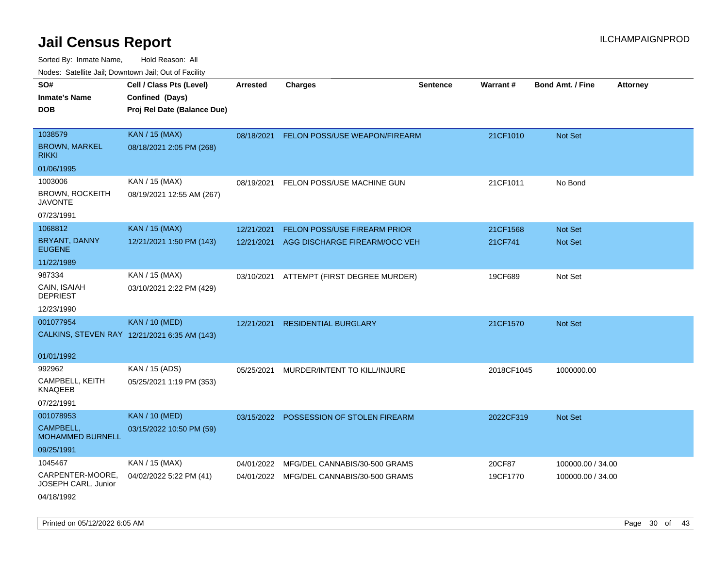| rougs. Calcing Jan, Downtown Jan, Out of Facinty |                                              |            |                                          |                 |            |                         |                 |
|--------------------------------------------------|----------------------------------------------|------------|------------------------------------------|-----------------|------------|-------------------------|-----------------|
| SO#                                              | Cell / Class Pts (Level)                     | Arrested   | <b>Charges</b>                           | <b>Sentence</b> | Warrant#   | <b>Bond Amt. / Fine</b> | <b>Attorney</b> |
| <b>Inmate's Name</b>                             | Confined (Days)                              |            |                                          |                 |            |                         |                 |
| <b>DOB</b>                                       | Proj Rel Date (Balance Due)                  |            |                                          |                 |            |                         |                 |
|                                                  |                                              |            |                                          |                 |            |                         |                 |
| 1038579                                          | <b>KAN / 15 (MAX)</b>                        | 08/18/2021 | FELON POSS/USE WEAPON/FIREARM            |                 | 21CF1010   | Not Set                 |                 |
| <b>BROWN, MARKEL</b><br><b>RIKKI</b>             | 08/18/2021 2:05 PM (268)                     |            |                                          |                 |            |                         |                 |
| 01/06/1995                                       |                                              |            |                                          |                 |            |                         |                 |
| 1003006                                          | KAN / 15 (MAX)                               | 08/19/2021 | FELON POSS/USE MACHINE GUN               |                 | 21CF1011   | No Bond                 |                 |
| <b>BROWN, ROCKEITH</b><br><b>JAVONTE</b>         | 08/19/2021 12:55 AM (267)                    |            |                                          |                 |            |                         |                 |
| 07/23/1991                                       |                                              |            |                                          |                 |            |                         |                 |
| 1068812                                          | <b>KAN / 15 (MAX)</b>                        | 12/21/2021 | FELON POSS/USE FIREARM PRIOR             |                 | 21CF1568   | Not Set                 |                 |
| <b>BRYANT, DANNY</b><br><b>EUGENE</b>            | 12/21/2021 1:50 PM (143)                     | 12/21/2021 | AGG DISCHARGE FIREARM/OCC VEH            |                 | 21CF741    | <b>Not Set</b>          |                 |
| 11/22/1989                                       |                                              |            |                                          |                 |            |                         |                 |
| 987334                                           | KAN / 15 (MAX)                               | 03/10/2021 | ATTEMPT (FIRST DEGREE MURDER)            |                 | 19CF689    | Not Set                 |                 |
| CAIN, ISAIAH<br><b>DEPRIEST</b>                  | 03/10/2021 2:22 PM (429)                     |            |                                          |                 |            |                         |                 |
| 12/23/1990                                       |                                              |            |                                          |                 |            |                         |                 |
| 001077954                                        | <b>KAN / 10 (MED)</b>                        | 12/21/2021 | <b>RESIDENTIAL BURGLARY</b>              |                 | 21CF1570   | Not Set                 |                 |
|                                                  | CALKINS, STEVEN RAY 12/21/2021 6:35 AM (143) |            |                                          |                 |            |                         |                 |
| 01/01/1992                                       |                                              |            |                                          |                 |            |                         |                 |
| 992962                                           | KAN / 15 (ADS)                               | 05/25/2021 | MURDER/INTENT TO KILL/INJURE             |                 | 2018CF1045 | 1000000.00              |                 |
| CAMPBELL, KEITH<br><b>KNAQEEB</b>                | 05/25/2021 1:19 PM (353)                     |            |                                          |                 |            |                         |                 |
| 07/22/1991                                       |                                              |            |                                          |                 |            |                         |                 |
| 001078953                                        | <b>KAN / 10 (MED)</b>                        |            | 03/15/2022 POSSESSION OF STOLEN FIREARM  |                 | 2022CF319  | Not Set                 |                 |
| CAMPBELL,<br>MOHAMMED BURNELL                    | 03/15/2022 10:50 PM (59)                     |            |                                          |                 |            |                         |                 |
| 09/25/1991                                       |                                              |            |                                          |                 |            |                         |                 |
| 1045467                                          | KAN / 15 (MAX)                               | 04/01/2022 | MFG/DEL CANNABIS/30-500 GRAMS            |                 | 20CF87     | 100000.00 / 34.00       |                 |
| CARPENTER-MOORE,<br>JOSEPH CARL, Junior          | 04/02/2022 5:22 PM (41)                      |            | 04/01/2022 MFG/DEL CANNABIS/30-500 GRAMS |                 | 19CF1770   | 100000.00 / 34.00       |                 |
| 04/18/1992                                       |                                              |            |                                          |                 |            |                         |                 |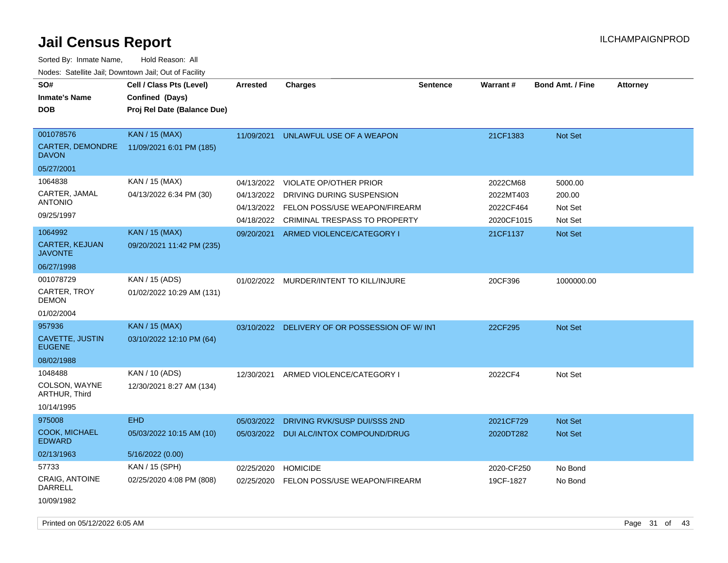Sorted By: Inmate Name, Hold Reason: All

| Nodes: Satellite Jail; Downtown Jail; Out of Facility |                             |                 |                                          |                 |            |                         |                 |
|-------------------------------------------------------|-----------------------------|-----------------|------------------------------------------|-----------------|------------|-------------------------|-----------------|
| SO#                                                   | Cell / Class Pts (Level)    | <b>Arrested</b> | <b>Charges</b>                           | <b>Sentence</b> | Warrant#   | <b>Bond Amt. / Fine</b> | <b>Attorney</b> |
| <b>Inmate's Name</b>                                  | Confined (Days)             |                 |                                          |                 |            |                         |                 |
| <b>DOB</b>                                            | Proj Rel Date (Balance Due) |                 |                                          |                 |            |                         |                 |
|                                                       |                             |                 |                                          |                 |            |                         |                 |
| 001078576                                             | <b>KAN / 15 (MAX)</b>       | 11/09/2021      | UNLAWFUL USE OF A WEAPON                 |                 | 21CF1383   | Not Set                 |                 |
| CARTER, DEMONDRE<br><b>DAVON</b>                      | 11/09/2021 6:01 PM (185)    |                 |                                          |                 |            |                         |                 |
| 05/27/2001                                            |                             |                 |                                          |                 |            |                         |                 |
| 1064838                                               | KAN / 15 (MAX)              | 04/13/2022      | <b>VIOLATE OP/OTHER PRIOR</b>            |                 | 2022CM68   | 5000.00                 |                 |
| CARTER, JAMAL                                         | 04/13/2022 6:34 PM (30)     | 04/13/2022      | DRIVING DURING SUSPENSION                |                 | 2022MT403  | 200.00                  |                 |
| <b>ANTONIO</b>                                        |                             | 04/13/2022      | FELON POSS/USE WEAPON/FIREARM            |                 | 2022CF464  | Not Set                 |                 |
| 09/25/1997                                            |                             | 04/18/2022      | <b>CRIMINAL TRESPASS TO PROPERTY</b>     |                 | 2020CF1015 | Not Set                 |                 |
| 1064992                                               | <b>KAN / 15 (MAX)</b>       | 09/20/2021      | ARMED VIOLENCE/CATEGORY I                |                 | 21CF1137   | <b>Not Set</b>          |                 |
| <b>CARTER, KEJUAN</b><br><b>JAVONTE</b>               | 09/20/2021 11:42 PM (235)   |                 |                                          |                 |            |                         |                 |
| 06/27/1998                                            |                             |                 |                                          |                 |            |                         |                 |
| 001078729                                             | KAN / 15 (ADS)              |                 | 01/02/2022 MURDER/INTENT TO KILL/INJURE  |                 | 20CF396    | 1000000.00              |                 |
| CARTER, TROY<br><b>DEMON</b>                          | 01/02/2022 10:29 AM (131)   |                 |                                          |                 |            |                         |                 |
| 01/02/2004                                            |                             |                 |                                          |                 |            |                         |                 |
| 957936                                                | <b>KAN / 15 (MAX)</b>       | 03/10/2022      | DELIVERY OF OR POSSESSION OF W/INT       |                 | 22CF295    | Not Set                 |                 |
| CAVETTE, JUSTIN<br><b>EUGENE</b>                      | 03/10/2022 12:10 PM (64)    |                 |                                          |                 |            |                         |                 |
| 08/02/1988                                            |                             |                 |                                          |                 |            |                         |                 |
| 1048488                                               | KAN / 10 (ADS)              | 12/30/2021      | ARMED VIOLENCE/CATEGORY I                |                 | 2022CF4    | Not Set                 |                 |
| COLSON, WAYNE<br>ARTHUR, Third                        | 12/30/2021 8:27 AM (134)    |                 |                                          |                 |            |                         |                 |
| 10/14/1995                                            |                             |                 |                                          |                 |            |                         |                 |
| 975008                                                | <b>EHD</b>                  | 05/03/2022      | DRIVING RVK/SUSP DUI/SSS 2ND             |                 | 2021CF729  | <b>Not Set</b>          |                 |
| COOK, MICHAEL<br><b>EDWARD</b>                        | 05/03/2022 10:15 AM (10)    |                 | 05/03/2022 DUI ALC/INTOX COMPOUND/DRUG   |                 | 2020DT282  | Not Set                 |                 |
| 02/13/1963                                            | 5/16/2022 (0.00)            |                 |                                          |                 |            |                         |                 |
| 57733                                                 | KAN / 15 (SPH)              | 02/25/2020      | <b>HOMICIDE</b>                          |                 | 2020-CF250 | No Bond                 |                 |
| <b>CRAIG, ANTOINE</b><br><b>DARRELL</b><br>10/09/1982 | 02/25/2020 4:08 PM (808)    |                 | 02/25/2020 FELON POSS/USE WEAPON/FIREARM |                 | 19CF-1827  | No Bond                 |                 |
|                                                       |                             |                 |                                          |                 |            |                         |                 |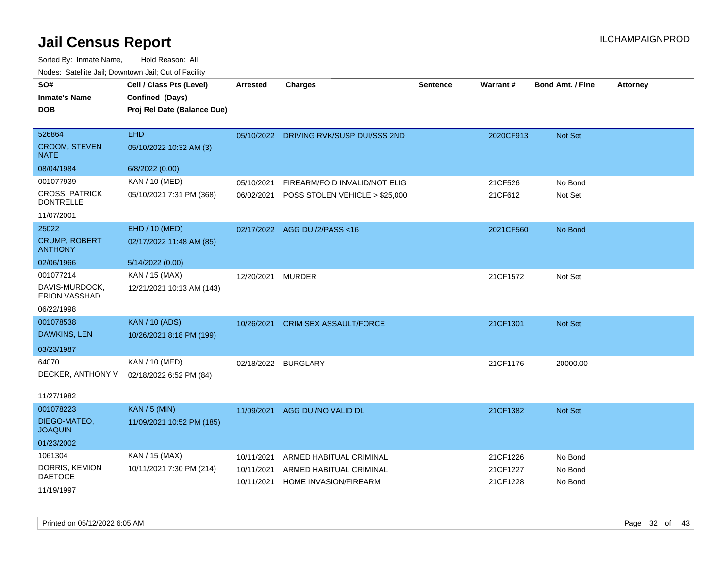| <b>NOULD:</b> Catoline bail, Downtown bail, Out of I dollty |                             |                 |                                         |                 |                 |                         |                 |
|-------------------------------------------------------------|-----------------------------|-----------------|-----------------------------------------|-----------------|-----------------|-------------------------|-----------------|
| SO#                                                         | Cell / Class Pts (Level)    | <b>Arrested</b> | <b>Charges</b>                          | <b>Sentence</b> | <b>Warrant#</b> | <b>Bond Amt. / Fine</b> | <b>Attorney</b> |
| <b>Inmate's Name</b>                                        | Confined (Days)             |                 |                                         |                 |                 |                         |                 |
| <b>DOB</b>                                                  | Proj Rel Date (Balance Due) |                 |                                         |                 |                 |                         |                 |
|                                                             |                             |                 |                                         |                 |                 |                         |                 |
| 526864                                                      | <b>EHD</b>                  |                 | 05/10/2022 DRIVING RVK/SUSP DUI/SSS 2ND |                 | 2020CF913       | Not Set                 |                 |
| <b>CROOM, STEVEN</b><br><b>NATE</b>                         | 05/10/2022 10:32 AM (3)     |                 |                                         |                 |                 |                         |                 |
| 08/04/1984                                                  | 6/8/2022 (0.00)             |                 |                                         |                 |                 |                         |                 |
| 001077939                                                   | KAN / 10 (MED)              | 05/10/2021      | FIREARM/FOID INVALID/NOT ELIG           |                 | 21CF526         | No Bond                 |                 |
| <b>CROSS, PATRICK</b><br><b>DONTRELLE</b>                   | 05/10/2021 7:31 PM (368)    | 06/02/2021      | POSS STOLEN VEHICLE > \$25,000          |                 | 21CF612         | Not Set                 |                 |
| 11/07/2001                                                  |                             |                 |                                         |                 |                 |                         |                 |
| 25022                                                       | EHD / 10 (MED)              |                 | 02/17/2022 AGG DUI/2/PASS<16            |                 | 2021CF560       | No Bond                 |                 |
| <b>CRUMP, ROBERT</b><br><b>ANTHONY</b>                      | 02/17/2022 11:48 AM (85)    |                 |                                         |                 |                 |                         |                 |
| 02/06/1966                                                  | 5/14/2022 (0.00)            |                 |                                         |                 |                 |                         |                 |
| 001077214                                                   | KAN / 15 (MAX)              | 12/20/2021      | MURDER                                  |                 | 21CF1572        | Not Set                 |                 |
| DAVIS-MURDOCK,<br>ERION VASSHAD                             | 12/21/2021 10:13 AM (143)   |                 |                                         |                 |                 |                         |                 |
| 06/22/1998                                                  |                             |                 |                                         |                 |                 |                         |                 |
| 001078538                                                   | <b>KAN / 10 (ADS)</b>       | 10/26/2021      | <b>CRIM SEX ASSAULT/FORCE</b>           |                 | 21CF1301        | Not Set                 |                 |
| DAWKINS, LEN                                                | 10/26/2021 8:18 PM (199)    |                 |                                         |                 |                 |                         |                 |
| 03/23/1987                                                  |                             |                 |                                         |                 |                 |                         |                 |
| 64070                                                       | KAN / 10 (MED)              |                 | 02/18/2022 BURGLARY                     |                 | 21CF1176        | 20000.00                |                 |
| DECKER, ANTHONY V                                           | 02/18/2022 6:52 PM (84)     |                 |                                         |                 |                 |                         |                 |
|                                                             |                             |                 |                                         |                 |                 |                         |                 |
| 11/27/1982                                                  |                             |                 |                                         |                 |                 |                         |                 |
| 001078223                                                   | <b>KAN / 5 (MIN)</b>        | 11/09/2021      | AGG DUI/NO VALID DL                     |                 | 21CF1382        | <b>Not Set</b>          |                 |
| DIEGO-MATEO,<br><b>JOAQUIN</b>                              | 11/09/2021 10:52 PM (185)   |                 |                                         |                 |                 |                         |                 |
| 01/23/2002                                                  |                             |                 |                                         |                 |                 |                         |                 |
| 1061304                                                     | KAN / 15 (MAX)              | 10/11/2021      | ARMED HABITUAL CRIMINAL                 |                 | 21CF1226        | No Bond                 |                 |
| DORRIS, KEMION                                              | 10/11/2021 7:30 PM (214)    | 10/11/2021      | ARMED HABITUAL CRIMINAL                 |                 | 21CF1227        | No Bond                 |                 |
| <b>DAETOCE</b>                                              |                             | 10/11/2021      | HOME INVASION/FIREARM                   |                 | 21CF1228        | No Bond                 |                 |
| 11/19/1997                                                  |                             |                 |                                         |                 |                 |                         |                 |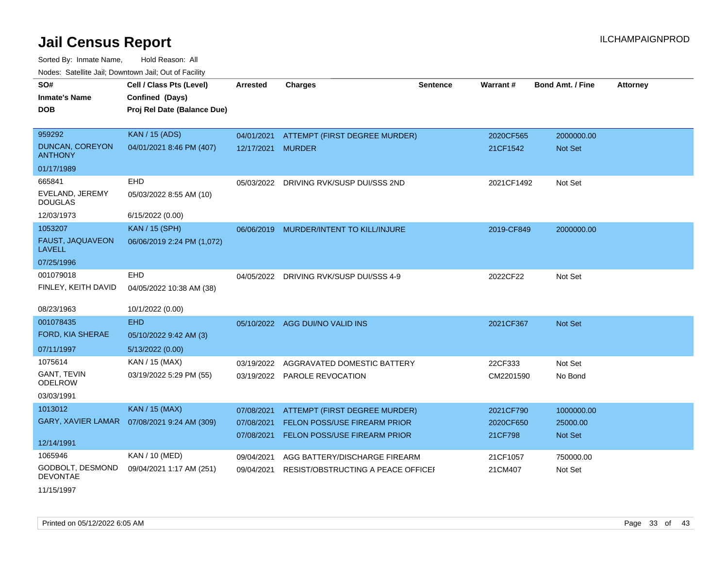Sorted By: Inmate Name, Hold Reason: All Nodes: Satellite Jail; Downtown Jail; Out of Facility

| SO#                                  | Cell / Class Pts (Level)                     | <b>Arrested</b>   | <b>Charges</b>                      | <b>Sentence</b> | Warrant#   | <b>Bond Amt. / Fine</b> | <b>Attorney</b> |
|--------------------------------------|----------------------------------------------|-------------------|-------------------------------------|-----------------|------------|-------------------------|-----------------|
| <b>Inmate's Name</b>                 | Confined (Days)                              |                   |                                     |                 |            |                         |                 |
| <b>DOB</b>                           | Proj Rel Date (Balance Due)                  |                   |                                     |                 |            |                         |                 |
|                                      |                                              |                   |                                     |                 |            |                         |                 |
| 959292                               | <b>KAN / 15 (ADS)</b>                        | 04/01/2021        | ATTEMPT (FIRST DEGREE MURDER)       |                 | 2020CF565  | 2000000.00              |                 |
| DUNCAN, COREYON<br><b>ANTHONY</b>    | 04/01/2021 8:46 PM (407)                     | 12/17/2021 MURDER |                                     |                 | 21CF1542   | Not Set                 |                 |
| 01/17/1989                           |                                              |                   |                                     |                 |            |                         |                 |
| 665841                               | <b>EHD</b>                                   | 05/03/2022        | DRIVING RVK/SUSP DUI/SSS 2ND        |                 | 2021CF1492 | Not Set                 |                 |
| EVELAND, JEREMY<br><b>DOUGLAS</b>    | 05/03/2022 8:55 AM (10)                      |                   |                                     |                 |            |                         |                 |
| 12/03/1973                           | 6/15/2022 (0.00)                             |                   |                                     |                 |            |                         |                 |
| 1053207                              | <b>KAN / 15 (SPH)</b>                        | 06/06/2019        | MURDER/INTENT TO KILL/INJURE        |                 | 2019-CF849 | 2000000.00              |                 |
| FAUST, JAQUAVEON<br>LAVELL           | 06/06/2019 2:24 PM (1,072)                   |                   |                                     |                 |            |                         |                 |
| 07/25/1996                           |                                              |                   |                                     |                 |            |                         |                 |
| 001079018                            | <b>EHD</b>                                   | 04/05/2022        | DRIVING RVK/SUSP DUI/SSS 4-9        |                 | 2022CF22   | Not Set                 |                 |
| FINLEY, KEITH DAVID                  | 04/05/2022 10:38 AM (38)                     |                   |                                     |                 |            |                         |                 |
| 08/23/1963                           | 10/1/2022 (0.00)                             |                   |                                     |                 |            |                         |                 |
| 001078435                            | <b>EHD</b>                                   |                   | 05/10/2022 AGG DUI/NO VALID INS     |                 | 2021CF367  | Not Set                 |                 |
| FORD, KIA SHERAE                     | 05/10/2022 9:42 AM (3)                       |                   |                                     |                 |            |                         |                 |
| 07/11/1997                           | 5/13/2022 (0.00)                             |                   |                                     |                 |            |                         |                 |
| 1075614                              | KAN / 15 (MAX)                               | 03/19/2022        | AGGRAVATED DOMESTIC BATTERY         |                 | 22CF333    | Not Set                 |                 |
| <b>GANT, TEVIN</b><br><b>ODELROW</b> | 03/19/2022 5:29 PM (55)                      |                   | 03/19/2022 PAROLE REVOCATION        |                 | CM2201590  | No Bond                 |                 |
| 03/03/1991                           |                                              |                   |                                     |                 |            |                         |                 |
| 1013012                              | <b>KAN / 15 (MAX)</b>                        | 07/08/2021        | ATTEMPT (FIRST DEGREE MURDER)       |                 | 2021CF790  | 1000000.00              |                 |
|                                      | GARY, XAVIER LAMAR  07/08/2021 9:24 AM (309) | 07/08/2021        | <b>FELON POSS/USE FIREARM PRIOR</b> |                 | 2020CF650  | 25000.00                |                 |
|                                      |                                              | 07/08/2021        | FELON POSS/USE FIREARM PRIOR        |                 | 21CF798    | <b>Not Set</b>          |                 |
| 12/14/1991                           |                                              |                   |                                     |                 |            |                         |                 |
| 1065946                              | KAN / 10 (MED)                               | 09/04/2021        | AGG BATTERY/DISCHARGE FIREARM       |                 | 21CF1057   | 750000.00               |                 |
| GODBOLT, DESMOND<br><b>DEVONTAE</b>  | 09/04/2021 1:17 AM (251)                     | 09/04/2021        | RESIST/OBSTRUCTING A PEACE OFFICEF  |                 | 21CM407    | Not Set                 |                 |

11/15/1997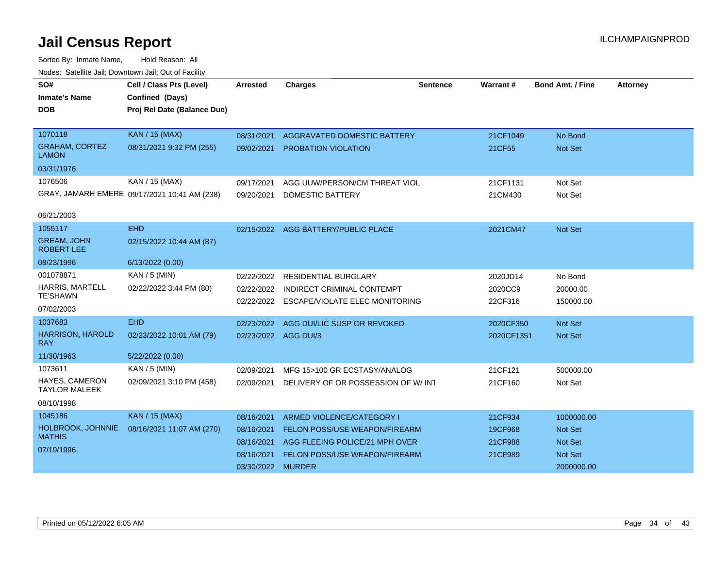| SO#                                     | Cell / Class Pts (Level)                     | <b>Arrested</b>      | <b>Charges</b>                            | <b>Sentence</b> | Warrant#   | <b>Bond Amt. / Fine</b> | <b>Attorney</b> |
|-----------------------------------------|----------------------------------------------|----------------------|-------------------------------------------|-----------------|------------|-------------------------|-----------------|
| <b>Inmate's Name</b>                    | Confined (Days)                              |                      |                                           |                 |            |                         |                 |
| <b>DOB</b>                              | Proj Rel Date (Balance Due)                  |                      |                                           |                 |            |                         |                 |
|                                         |                                              |                      |                                           |                 |            |                         |                 |
| 1070118                                 | <b>KAN / 15 (MAX)</b>                        | 08/31/2021           | <b>AGGRAVATED DOMESTIC BATTERY</b>        |                 | 21CF1049   | No Bond                 |                 |
| <b>GRAHAM, CORTEZ</b><br><b>LAMON</b>   | 08/31/2021 9:32 PM (255)                     | 09/02/2021           | <b>PROBATION VIOLATION</b>                |                 | 21CF55     | <b>Not Set</b>          |                 |
| 03/31/1976                              |                                              |                      |                                           |                 |            |                         |                 |
| 1076506                                 | KAN / 15 (MAX)                               | 09/17/2021           | AGG UUW/PERSON/CM THREAT VIOL             |                 | 21CF1131   | Not Set                 |                 |
|                                         | GRAY, JAMARH EMERE 09/17/2021 10:41 AM (238) | 09/20/2021           | <b>DOMESTIC BATTERY</b>                   |                 | 21CM430    | Not Set                 |                 |
|                                         |                                              |                      |                                           |                 |            |                         |                 |
| 06/21/2003                              |                                              |                      |                                           |                 |            |                         |                 |
| 1055117                                 | <b>EHD</b>                                   |                      | 02/15/2022 AGG BATTERY/PUBLIC PLACE       |                 | 2021CM47   | Not Set                 |                 |
| <b>GREAM, JOHN</b><br><b>ROBERT LEE</b> | 02/15/2022 10:44 AM (87)                     |                      |                                           |                 |            |                         |                 |
| 08/23/1996                              | 6/13/2022 (0.00)                             |                      |                                           |                 |            |                         |                 |
| 001078871                               | KAN / 5 (MIN)                                | 02/22/2022           | <b>RESIDENTIAL BURGLARY</b>               |                 | 2020JD14   | No Bond                 |                 |
| HARRIS, MARTELL                         | 02/22/2022 3:44 PM (80)                      | 02/22/2022           | INDIRECT CRIMINAL CONTEMPT                |                 | 2020CC9    | 20000.00                |                 |
| <b>TE'SHAWN</b>                         |                                              |                      | 02/22/2022 ESCAPE/VIOLATE ELEC MONITORING |                 | 22CF316    | 150000.00               |                 |
| 07/02/2003                              |                                              |                      |                                           |                 |            |                         |                 |
| 1037683                                 | <b>EHD</b>                                   | 02/23/2022           | AGG DUI/LIC SUSP OR REVOKED               |                 | 2020CF350  | <b>Not Set</b>          |                 |
| <b>HARRISON, HAROLD</b><br><b>RAY</b>   | 02/23/2022 10:01 AM (79)                     | 02/23/2022 AGG DUI/3 |                                           |                 | 2020CF1351 | Not Set                 |                 |
| 11/30/1963                              | 5/22/2022 (0.00)                             |                      |                                           |                 |            |                         |                 |
| 1073611                                 | KAN / 5 (MIN)                                | 02/09/2021           | MFG 15>100 GR ECSTASY/ANALOG              |                 | 21CF121    | 500000.00               |                 |
| HAYES, CAMERON<br><b>TAYLOR MALEEK</b>  | 02/09/2021 3:10 PM (458)                     | 02/09/2021           | DELIVERY OF OR POSSESSION OF W/INT        |                 | 21CF160    | Not Set                 |                 |
| 08/10/1998                              |                                              |                      |                                           |                 |            |                         |                 |
| 1045186                                 | <b>KAN / 15 (MAX)</b>                        | 08/16/2021           | ARMED VIOLENCE/CATEGORY I                 |                 | 21CF934    | 1000000.00              |                 |
| HOLBROOK, JOHNNIE                       | 08/16/2021 11:07 AM (270)                    | 08/16/2021           | <b>FELON POSS/USE WEAPON/FIREARM</b>      |                 | 19CF968    | <b>Not Set</b>          |                 |
| <b>MATHIS</b>                           |                                              | 08/16/2021           | AGG FLEEING POLICE/21 MPH OVER            |                 | 21CF988    | <b>Not Set</b>          |                 |
| 07/19/1996                              |                                              | 08/16/2021           | <b>FELON POSS/USE WEAPON/FIREARM</b>      |                 | 21CF989    | Not Set                 |                 |
|                                         |                                              | 03/30/2022 MURDER    |                                           |                 |            | 2000000.00              |                 |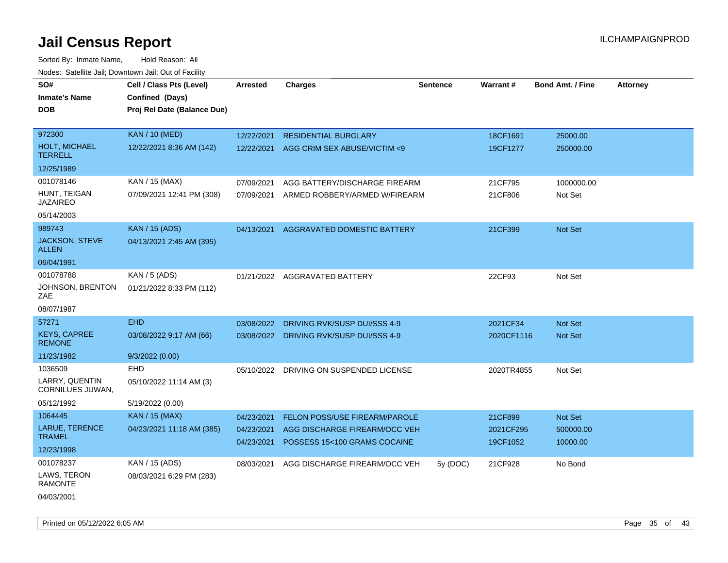| roacs. Catellite Jall, Downtown Jall, Out of Facility |                                                                            |                          |                                                                |                 |                      |                         |                 |
|-------------------------------------------------------|----------------------------------------------------------------------------|--------------------------|----------------------------------------------------------------|-----------------|----------------------|-------------------------|-----------------|
| SO#<br><b>Inmate's Name</b><br><b>DOB</b>             | Cell / Class Pts (Level)<br>Confined (Days)<br>Proj Rel Date (Balance Due) | <b>Arrested</b>          | Charges                                                        | <b>Sentence</b> | Warrant#             | <b>Bond Amt. / Fine</b> | <b>Attorney</b> |
| 972300<br><b>HOLT, MICHAEL</b>                        | <b>KAN / 10 (MED)</b><br>12/22/2021 8:36 AM (142)                          | 12/22/2021<br>12/22/2021 | <b>RESIDENTIAL BURGLARY</b><br>AGG CRIM SEX ABUSE/VICTIM <9    |                 | 18CF1691<br>19CF1277 | 25000.00<br>250000.00   |                 |
| <b>TERRELL</b><br>12/25/1989                          |                                                                            |                          |                                                                |                 |                      |                         |                 |
|                                                       |                                                                            |                          |                                                                |                 |                      |                         |                 |
| 001078146<br>HUNT, TEIGAN<br><b>JAZAIREO</b>          | KAN / 15 (MAX)<br>07/09/2021 12:41 PM (308)                                | 07/09/2021<br>07/09/2021 | AGG BATTERY/DISCHARGE FIREARM<br>ARMED ROBBERY/ARMED W/FIREARM |                 | 21CF795<br>21CF806   | 1000000.00<br>Not Set   |                 |
| 05/14/2003                                            |                                                                            |                          |                                                                |                 |                      |                         |                 |
| 989743                                                | <b>KAN / 15 (ADS)</b>                                                      | 04/13/2021               | AGGRAVATED DOMESTIC BATTERY                                    |                 | 21CF399              | Not Set                 |                 |
| <b>JACKSON, STEVE</b><br><b>ALLEN</b>                 | 04/13/2021 2:45 AM (395)                                                   |                          |                                                                |                 |                      |                         |                 |
| 06/04/1991                                            |                                                                            |                          |                                                                |                 |                      |                         |                 |
| 001078788                                             | KAN / $5$ (ADS)                                                            |                          | 01/21/2022 AGGRAVATED BATTERY                                  |                 | 22CF93               | Not Set                 |                 |
| JOHNSON, BRENTON<br>ZAE                               | 01/21/2022 8:33 PM (112)                                                   |                          |                                                                |                 |                      |                         |                 |
| 08/07/1987                                            |                                                                            |                          |                                                                |                 |                      |                         |                 |
| 57271                                                 | <b>EHD</b>                                                                 | 03/08/2022               | DRIVING RVK/SUSP DUI/SSS 4-9                                   |                 | 2021CF34             | <b>Not Set</b>          |                 |
| <b>KEYS, CAPREE</b><br><b>REMONE</b>                  | 03/08/2022 9:17 AM (66)                                                    |                          | 03/08/2022 DRIVING RVK/SUSP DUI/SSS 4-9                        |                 | 2020CF1116           | <b>Not Set</b>          |                 |
| 11/23/1982                                            | 9/3/2022 (0.00)                                                            |                          |                                                                |                 |                      |                         |                 |
| 1036509                                               | EHD                                                                        |                          | 05/10/2022 DRIVING ON SUSPENDED LICENSE                        |                 | 2020TR4855           | Not Set                 |                 |
| LARRY, QUENTIN<br>CORNILUES JUWAN,                    | 05/10/2022 11:14 AM (3)                                                    |                          |                                                                |                 |                      |                         |                 |
| 05/12/1992                                            | 5/19/2022 (0.00)                                                           |                          |                                                                |                 |                      |                         |                 |
| 1064445                                               | <b>KAN / 15 (MAX)</b>                                                      | 04/23/2021               | <b>FELON POSS/USE FIREARM/PAROLE</b>                           |                 | 21CF899              | <b>Not Set</b>          |                 |
| LARUE, TERENCE                                        | 04/23/2021 11:18 AM (385)                                                  | 04/23/2021               | AGG DISCHARGE FIREARM/OCC VEH                                  |                 | 2021CF295            | 500000.00               |                 |
| <b>TRAMEL</b>                                         |                                                                            | 04/23/2021               | POSSESS 15<100 GRAMS COCAINE                                   |                 | 19CF1052             | 10000.00                |                 |
| 12/23/1998                                            |                                                                            |                          |                                                                |                 |                      |                         |                 |
| 001078237                                             | KAN / 15 (ADS)                                                             | 08/03/2021               | AGG DISCHARGE FIREARM/OCC VEH                                  | 5y (DOC)        | 21CF928              | No Bond                 |                 |
| LAWS, TERON<br><b>RAMONTE</b>                         | 08/03/2021 6:29 PM (283)                                                   |                          |                                                                |                 |                      |                         |                 |
| 04/03/2001                                            |                                                                            |                          |                                                                |                 |                      |                         |                 |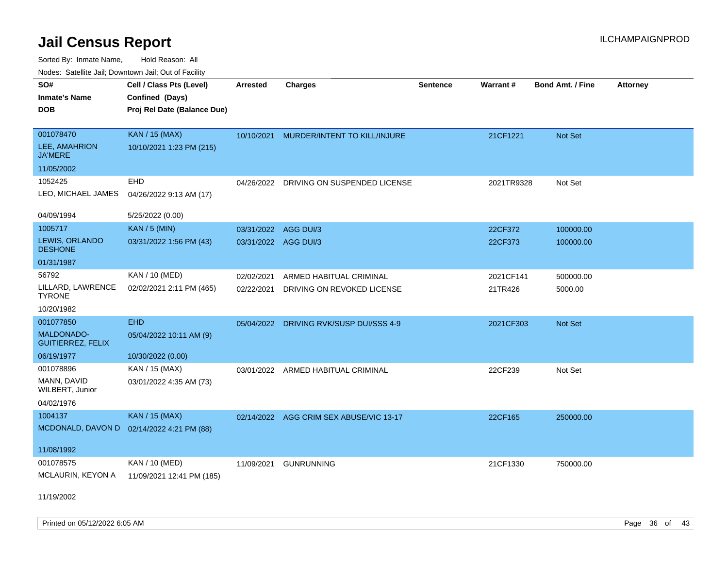| SO#                                    | Cell / Class Pts (Level)    | Arrested             | <b>Charges</b>                          | <b>Sentence</b> | Warrant#   | <b>Bond Amt. / Fine</b> | <b>Attorney</b> |
|----------------------------------------|-----------------------------|----------------------|-----------------------------------------|-----------------|------------|-------------------------|-----------------|
| <b>Inmate's Name</b>                   | Confined (Days)             |                      |                                         |                 |            |                         |                 |
| <b>DOB</b>                             | Proj Rel Date (Balance Due) |                      |                                         |                 |            |                         |                 |
|                                        |                             |                      |                                         |                 |            |                         |                 |
| 001078470                              | KAN / 15 (MAX)              | 10/10/2021           | MURDER/INTENT TO KILL/INJURE            |                 | 21CF1221   | Not Set                 |                 |
| LEE, AMAHRION<br><b>JA'MERE</b>        | 10/10/2021 1:23 PM (215)    |                      |                                         |                 |            |                         |                 |
| 11/05/2002                             |                             |                      |                                         |                 |            |                         |                 |
| 1052425                                | EHD                         |                      | 04/26/2022 DRIVING ON SUSPENDED LICENSE |                 | 2021TR9328 | Not Set                 |                 |
| LEO, MICHAEL JAMES                     | 04/26/2022 9:13 AM (17)     |                      |                                         |                 |            |                         |                 |
| 04/09/1994                             | 5/25/2022 (0.00)            |                      |                                         |                 |            |                         |                 |
| 1005717                                | <b>KAN / 5 (MIN)</b>        | 03/31/2022 AGG DUI/3 |                                         |                 | 22CF372    | 100000.00               |                 |
| LEWIS, ORLANDO<br><b>DESHONE</b>       | 03/31/2022 1:56 PM (43)     | 03/31/2022 AGG DUI/3 |                                         |                 | 22CF373    | 100000.00               |                 |
| 01/31/1987                             |                             |                      |                                         |                 |            |                         |                 |
| 56792                                  | KAN / 10 (MED)              | 02/02/2021           | ARMED HABITUAL CRIMINAL                 |                 | 2021CF141  | 500000.00               |                 |
| LILLARD, LAWRENCE<br><b>TYRONE</b>     | 02/02/2021 2:11 PM (465)    | 02/22/2021           | DRIVING ON REVOKED LICENSE              |                 | 21TR426    | 5000.00                 |                 |
| 10/20/1982                             |                             |                      |                                         |                 |            |                         |                 |
| 001077850                              | <b>EHD</b>                  |                      | 05/04/2022 DRIVING RVK/SUSP DUI/SSS 4-9 |                 | 2021CF303  | Not Set                 |                 |
| MALDONADO-<br><b>GUITIERREZ, FELIX</b> | 05/04/2022 10:11 AM (9)     |                      |                                         |                 |            |                         |                 |
| 06/19/1977                             | 10/30/2022 (0.00)           |                      |                                         |                 |            |                         |                 |
| 001078896                              | KAN / 15 (MAX)              |                      | 03/01/2022 ARMED HABITUAL CRIMINAL      |                 | 22CF239    | Not Set                 |                 |
| MANN, DAVID<br>WILBERT, Junior         | 03/01/2022 4:35 AM (73)     |                      |                                         |                 |            |                         |                 |
| 04/02/1976                             |                             |                      |                                         |                 |            |                         |                 |
| 1004137                                | <b>KAN</b> / 15 (MAX)       |                      | 02/14/2022 AGG CRIM SEX ABUSE/VIC 13-17 |                 | 22CF165    | 250000.00               |                 |
| MCDONALD, DAVON D                      | 02/14/2022 4:21 PM (88)     |                      |                                         |                 |            |                         |                 |
|                                        |                             |                      |                                         |                 |            |                         |                 |
| 11/08/1992                             |                             |                      |                                         |                 |            |                         |                 |
| 001078575                              | <b>KAN / 10 (MED)</b>       | 11/09/2021           | <b>GUNRUNNING</b>                       |                 | 21CF1330   | 750000.00               |                 |
| MCLAURIN, KEYON A                      | 11/09/2021 12:41 PM (185)   |                      |                                         |                 |            |                         |                 |
|                                        |                             |                      |                                         |                 |            |                         |                 |
| 11/19/2002                             |                             |                      |                                         |                 |            |                         |                 |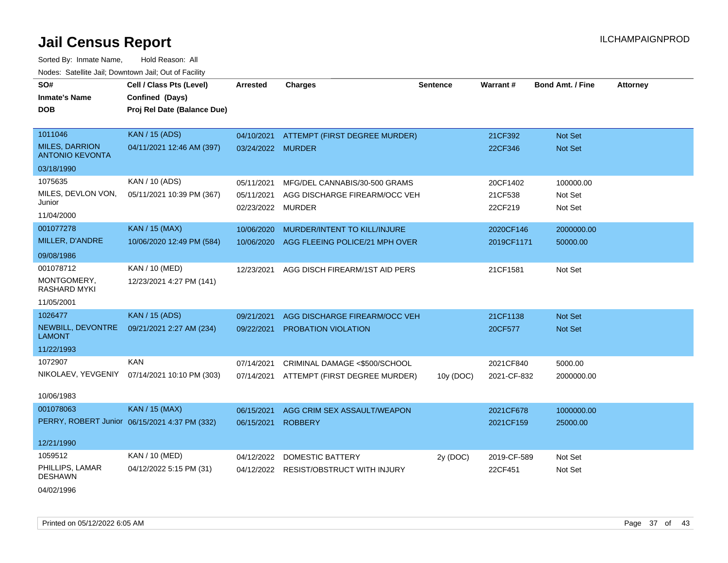Sorted By: Inmate Name, Hold Reason: All Nodes: Satellite Jail; Downtown Jail; Out of Facility

| SO#<br><b>Inmate's Name</b><br><b>DOB</b>       | Cell / Class Pts (Level)<br>Confined (Days)<br>Proj Rel Date (Balance Due) | <b>Arrested</b>   | <b>Charges</b>                     | <b>Sentence</b> | Warrant #   | <b>Bond Amt. / Fine</b> | <b>Attorney</b> |
|-------------------------------------------------|----------------------------------------------------------------------------|-------------------|------------------------------------|-----------------|-------------|-------------------------|-----------------|
|                                                 |                                                                            |                   |                                    |                 |             |                         |                 |
| 1011046                                         | <b>KAN / 15 (ADS)</b>                                                      | 04/10/2021        | ATTEMPT (FIRST DEGREE MURDER)      |                 | 21CF392     | <b>Not Set</b>          |                 |
| <b>MILES, DARRION</b><br><b>ANTONIO KEVONTA</b> | 04/11/2021 12:46 AM (397)                                                  | 03/24/2022 MURDER |                                    |                 | 22CF346     | Not Set                 |                 |
| 03/18/1990                                      |                                                                            |                   |                                    |                 |             |                         |                 |
| 1075635                                         | KAN / 10 (ADS)                                                             | 05/11/2021        | MFG/DEL CANNABIS/30-500 GRAMS      |                 | 20CF1402    | 100000.00               |                 |
| MILES, DEVLON VON,                              | 05/11/2021 10:39 PM (367)                                                  | 05/11/2021        | AGG DISCHARGE FIREARM/OCC VEH      |                 | 21CF538     | Not Set                 |                 |
| Junior<br>11/04/2000                            |                                                                            | 02/23/2022        | MURDER                             |                 | 22CF219     | Not Set                 |                 |
| 001077278                                       | <b>KAN / 15 (MAX)</b>                                                      | 10/06/2020        | MURDER/INTENT TO KILL/INJURE       |                 | 2020CF146   | 2000000.00              |                 |
| MILLER, D'ANDRE                                 | 10/06/2020 12:49 PM (584)                                                  | 10/06/2020        | AGG FLEEING POLICE/21 MPH OVER     |                 | 2019CF1171  | 50000.00                |                 |
| 09/08/1986                                      |                                                                            |                   |                                    |                 |             |                         |                 |
| 001078712                                       | KAN / 10 (MED)                                                             | 12/23/2021        | AGG DISCH FIREARM/1ST AID PERS     |                 | 21CF1581    | Not Set                 |                 |
| MONTGOMERY,<br><b>RASHARD MYKI</b>              | 12/23/2021 4:27 PM (141)                                                   |                   |                                    |                 |             |                         |                 |
| 11/05/2001                                      |                                                                            |                   |                                    |                 |             |                         |                 |
| 1026477                                         | <b>KAN / 15 (ADS)</b>                                                      | 09/21/2021        | AGG DISCHARGE FIREARM/OCC VEH      |                 | 21CF1138    | <b>Not Set</b>          |                 |
| NEWBILL, DEVONTRE<br><b>LAMONT</b>              | 09/21/2021 2:27 AM (234)                                                   | 09/22/2021        | PROBATION VIOLATION                |                 | 20CF577     | Not Set                 |                 |
| 11/22/1993                                      |                                                                            |                   |                                    |                 |             |                         |                 |
| 1072907                                         | <b>KAN</b>                                                                 | 07/14/2021        | CRIMINAL DAMAGE <\$500/SCHOOL      |                 | 2021CF840   | 5000.00                 |                 |
| NIKOLAEV, YEVGENIY                              | 07/14/2021 10:10 PM (303)                                                  | 07/14/2021        | ATTEMPT (FIRST DEGREE MURDER)      | 10y (DOC)       | 2021-CF-832 | 2000000.00              |                 |
| 10/06/1983                                      |                                                                            |                   |                                    |                 |             |                         |                 |
| 001078063                                       | <b>KAN / 15 (MAX)</b>                                                      | 06/15/2021        | AGG CRIM SEX ASSAULT/WEAPON        |                 | 2021CF678   | 1000000.00              |                 |
|                                                 | PERRY, ROBERT Junior 06/15/2021 4:37 PM (332)                              | 06/15/2021        | <b>ROBBERY</b>                     |                 | 2021CF159   | 25000.00                |                 |
| 12/21/1990                                      |                                                                            |                   |                                    |                 |             |                         |                 |
| 1059512                                         | KAN / 10 (MED)                                                             | 04/12/2022        | <b>DOMESTIC BATTERY</b>            | 2y (DOC)        | 2019-CF-589 | Not Set                 |                 |
| PHILLIPS, LAMAR<br><b>DESHAWN</b>               | 04/12/2022 5:15 PM (31)                                                    | 04/12/2022        | <b>RESIST/OBSTRUCT WITH INJURY</b> |                 | 22CF451     | Not Set                 |                 |
|                                                 |                                                                            |                   |                                    |                 |             |                         |                 |

04/02/1996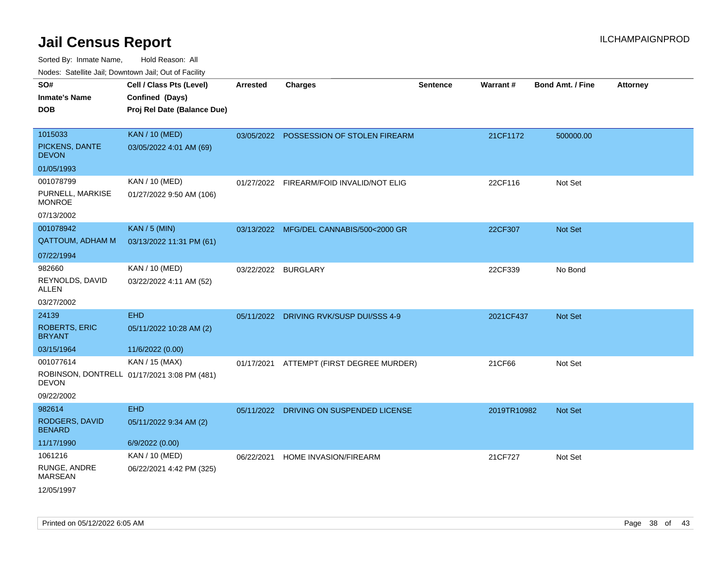| SO#<br><b>Inmate's Name</b><br>DOB             | Cell / Class Pts (Level)<br>Confined (Days)<br>Proj Rel Date (Balance Due) | <b>Arrested</b> | <b>Charges</b>                           | <b>Sentence</b> | Warrant#    | <b>Bond Amt. / Fine</b> | <b>Attorney</b> |
|------------------------------------------------|----------------------------------------------------------------------------|-----------------|------------------------------------------|-----------------|-------------|-------------------------|-----------------|
| 1015033<br>PICKENS, DANTE<br><b>DEVON</b>      | <b>KAN / 10 (MED)</b><br>03/05/2022 4:01 AM (69)                           |                 | 03/05/2022 POSSESSION OF STOLEN FIREARM  |                 | 21CF1172    | 500000.00               |                 |
| 01/05/1993                                     |                                                                            |                 |                                          |                 |             |                         |                 |
| 001078799<br>PURNELL, MARKISE<br><b>MONROE</b> | KAN / 10 (MED)<br>01/27/2022 9:50 AM (106)                                 |                 | 01/27/2022 FIREARM/FOID INVALID/NOT ELIG |                 | 22CF116     | Not Set                 |                 |
| 07/13/2002                                     |                                                                            |                 |                                          |                 |             |                         |                 |
| 001078942<br><b>QATTOUM, ADHAM M</b>           | <b>KAN / 5 (MIN)</b><br>03/13/2022 11:31 PM (61)                           |                 | 03/13/2022 MFG/DEL CANNABIS/500<2000 GR  |                 | 22CF307     | <b>Not Set</b>          |                 |
| 07/22/1994                                     |                                                                            |                 |                                          |                 |             |                         |                 |
| 982660<br>REYNOLDS, DAVID<br>ALLEN             | KAN / 10 (MED)<br>03/22/2022 4:11 AM (52)                                  | 03/22/2022      | BURGLARY                                 |                 | 22CF339     | No Bond                 |                 |
| 03/27/2002                                     |                                                                            |                 |                                          |                 |             |                         |                 |
| 24139<br><b>ROBERTS, ERIC</b><br>BRYANT        | <b>EHD</b><br>05/11/2022 10:28 AM (2)                                      | 05/11/2022      | <b>DRIVING RVK/SUSP DUI/SSS 4-9</b>      |                 | 2021CF437   | <b>Not Set</b>          |                 |
| 03/15/1964                                     | 11/6/2022 (0.00)                                                           |                 |                                          |                 |             |                         |                 |
| 001077614<br>DEVON<br>09/22/2002               | KAN / 15 (MAX)<br>ROBINSON, DONTRELL 01/17/2021 3:08 PM (481)              |                 | 01/17/2021 ATTEMPT (FIRST DEGREE MURDER) |                 | 21CF66      | Not Set                 |                 |
| 982614                                         | <b>EHD</b>                                                                 |                 | 05/11/2022 DRIVING ON SUSPENDED LICENSE  |                 | 2019TR10982 | <b>Not Set</b>          |                 |
| RODGERS, DAVID<br><b>BENARD</b>                | 05/11/2022 9:34 AM (2)                                                     |                 |                                          |                 |             |                         |                 |
| 11/17/1990                                     | 6/9/2022 (0.00)                                                            |                 |                                          |                 |             |                         |                 |
| 1061216                                        | KAN / 10 (MED)                                                             | 06/22/2021      | HOME INVASION/FIREARM                    |                 | 21CF727     | Not Set                 |                 |
| RUNGE, ANDRE<br><b>MARSEAN</b><br>12/05/1997   | 06/22/2021 4:42 PM (325)                                                   |                 |                                          |                 |             |                         |                 |
|                                                |                                                                            |                 |                                          |                 |             |                         |                 |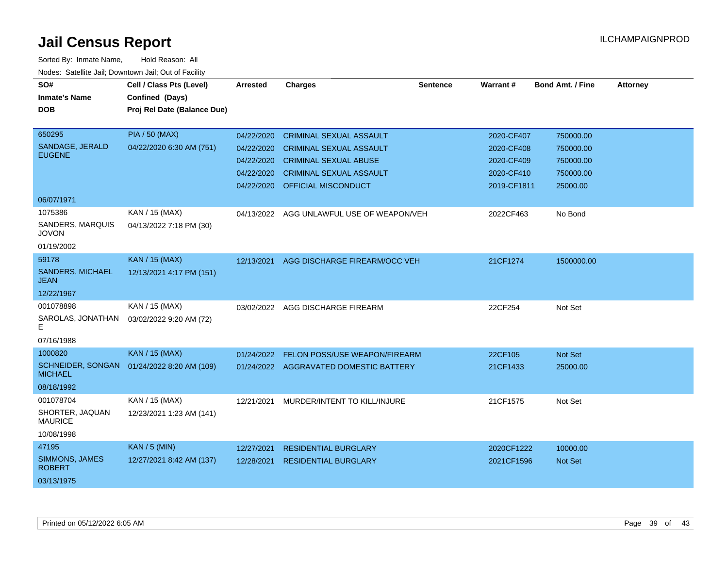| SO#<br><b>Inmate's Name</b><br><b>DOB</b> | Cell / Class Pts (Level)<br>Confined (Days)<br>Proj Rel Date (Balance Due) | <b>Arrested</b> | <b>Charges</b>                         | <b>Sentence</b> | <b>Warrant#</b> | <b>Bond Amt. / Fine</b> | <b>Attorney</b> |
|-------------------------------------------|----------------------------------------------------------------------------|-----------------|----------------------------------------|-----------------|-----------------|-------------------------|-----------------|
| 650295                                    | <b>PIA / 50 (MAX)</b>                                                      | 04/22/2020      | <b>CRIMINAL SEXUAL ASSAULT</b>         |                 | 2020-CF407      | 750000.00               |                 |
| SANDAGE, JERALD<br><b>EUGENE</b>          | 04/22/2020 6:30 AM (751)                                                   | 04/22/2020      | <b>CRIMINAL SEXUAL ASSAULT</b>         |                 | 2020-CF408      | 750000.00               |                 |
|                                           |                                                                            | 04/22/2020      | <b>CRIMINAL SEXUAL ABUSE</b>           |                 | 2020-CF409      | 750000.00               |                 |
|                                           |                                                                            | 04/22/2020      | <b>CRIMINAL SEXUAL ASSAULT</b>         |                 | 2020-CF410      | 750000.00               |                 |
|                                           |                                                                            | 04/22/2020      | OFFICIAL MISCONDUCT                    |                 | 2019-CF1811     | 25000.00                |                 |
| 06/07/1971                                |                                                                            |                 |                                        |                 |                 |                         |                 |
| 1075386                                   | KAN / 15 (MAX)                                                             | 04/13/2022      | AGG UNLAWFUL USE OF WEAPON/VEH         |                 | 2022CF463       | No Bond                 |                 |
| SANDERS, MARQUIS<br><b>JOVON</b>          | 04/13/2022 7:18 PM (30)                                                    |                 |                                        |                 |                 |                         |                 |
| 01/19/2002                                |                                                                            |                 |                                        |                 |                 |                         |                 |
| 59178                                     | <b>KAN / 15 (MAX)</b>                                                      | 12/13/2021      | AGG DISCHARGE FIREARM/OCC VEH          |                 | 21CF1274        | 1500000.00              |                 |
| <b>SANDERS, MICHAEL</b><br><b>JEAN</b>    | 12/13/2021 4:17 PM (151)                                                   |                 |                                        |                 |                 |                         |                 |
| 12/22/1967                                |                                                                            |                 |                                        |                 |                 |                         |                 |
| 001078898                                 | KAN / 15 (MAX)                                                             | 03/02/2022      | AGG DISCHARGE FIREARM                  |                 | 22CF254         | Not Set                 |                 |
| SAROLAS, JONATHAN<br>E.                   | 03/02/2022 9:20 AM (72)                                                    |                 |                                        |                 |                 |                         |                 |
| 07/16/1988                                |                                                                            |                 |                                        |                 |                 |                         |                 |
| 1000820                                   | <b>KAN / 15 (MAX)</b>                                                      | 01/24/2022      | FELON POSS/USE WEAPON/FIREARM          |                 | 22CF105         | Not Set                 |                 |
| SCHNEIDER, SONGAN<br><b>MICHAEL</b>       | 01/24/2022 8:20 AM (109)                                                   |                 | 01/24/2022 AGGRAVATED DOMESTIC BATTERY |                 | 21CF1433        | 25000.00                |                 |
| 08/18/1992                                |                                                                            |                 |                                        |                 |                 |                         |                 |
| 001078704                                 | KAN / 15 (MAX)                                                             | 12/21/2021      | MURDER/INTENT TO KILL/INJURE           |                 | 21CF1575        | Not Set                 |                 |
| SHORTER, JAQUAN<br><b>MAURICE</b>         | 12/23/2021 1:23 AM (141)                                                   |                 |                                        |                 |                 |                         |                 |
| 10/08/1998                                |                                                                            |                 |                                        |                 |                 |                         |                 |
| 47195                                     | <b>KAN / 5 (MIN)</b>                                                       | 12/27/2021      | <b>RESIDENTIAL BURGLARY</b>            |                 | 2020CF1222      | 10000.00                |                 |
| <b>SIMMONS, JAMES</b><br><b>ROBERT</b>    | 12/27/2021 8:42 AM (137)                                                   | 12/28/2021      | <b>RESIDENTIAL BURGLARY</b>            |                 | 2021CF1596      | Not Set                 |                 |
| 03/13/1975                                |                                                                            |                 |                                        |                 |                 |                         |                 |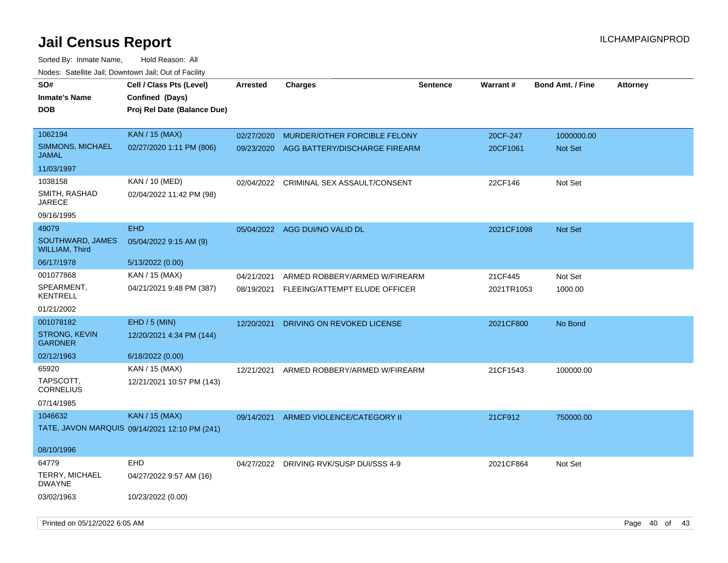| SO#                                       | Cell / Class Pts (Level)                      | <b>Arrested</b> | <b>Charges</b>                           | <b>Sentence</b> | <b>Warrant#</b> | <b>Bond Amt. / Fine</b> | <b>Attorney</b> |
|-------------------------------------------|-----------------------------------------------|-----------------|------------------------------------------|-----------------|-----------------|-------------------------|-----------------|
| <b>Inmate's Name</b>                      | Confined (Days)                               |                 |                                          |                 |                 |                         |                 |
| <b>DOB</b>                                | Proj Rel Date (Balance Due)                   |                 |                                          |                 |                 |                         |                 |
|                                           |                                               |                 |                                          |                 |                 |                         |                 |
| 1062194                                   | <b>KAN / 15 (MAX)</b>                         | 02/27/2020      | MURDER/OTHER FORCIBLE FELONY             |                 | 20CF-247        | 1000000.00              |                 |
| <b>SIMMONS, MICHAEL</b><br><b>JAMAL</b>   | 02/27/2020 1:11 PM (806)                      | 09/23/2020      | AGG BATTERY/DISCHARGE FIREARM            |                 | 20CF1061        | Not Set                 |                 |
| 11/03/1997                                |                                               |                 |                                          |                 |                 |                         |                 |
| 1038158                                   | KAN / 10 (MED)                                | 02/04/2022      | CRIMINAL SEX ASSAULT/CONSENT             |                 | 22CF146         | Not Set                 |                 |
| SMITH, RASHAD<br><b>JARECE</b>            | 02/04/2022 11:42 PM (98)                      |                 |                                          |                 |                 |                         |                 |
| 09/16/1995                                |                                               |                 |                                          |                 |                 |                         |                 |
| 49079                                     | <b>EHD</b>                                    |                 | 05/04/2022 AGG DUI/NO VALID DL           |                 | 2021CF1098      | Not Set                 |                 |
| SOUTHWARD, JAMES<br><b>WILLIAM, Third</b> | 05/04/2022 9:15 AM (9)                        |                 |                                          |                 |                 |                         |                 |
| 06/17/1978                                | 5/13/2022 (0.00)                              |                 |                                          |                 |                 |                         |                 |
| 001077868                                 | KAN / 15 (MAX)                                | 04/21/2021      | ARMED ROBBERY/ARMED W/FIREARM            |                 | 21CF445         | Not Set                 |                 |
| SPEARMENT,<br><b>KENTRELL</b>             | 04/21/2021 9:48 PM (387)                      |                 | 08/19/2021 FLEEING/ATTEMPT ELUDE OFFICER |                 | 2021TR1053      | 1000.00                 |                 |
| 01/21/2002                                |                                               |                 |                                          |                 |                 |                         |                 |
| 001078182                                 | EHD / 5 (MIN)                                 | 12/20/2021      | DRIVING ON REVOKED LICENSE               |                 | 2021CF800       | No Bond                 |                 |
| <b>STRONG, KEVIN</b><br><b>GARDNER</b>    | 12/20/2021 4:34 PM (144)                      |                 |                                          |                 |                 |                         |                 |
| 02/12/1963                                | 6/18/2022 (0.00)                              |                 |                                          |                 |                 |                         |                 |
| 65920                                     | KAN / 15 (MAX)                                | 12/21/2021      | ARMED ROBBERY/ARMED W/FIREARM            |                 | 21CF1543        | 100000.00               |                 |
| TAPSCOTT,<br><b>CORNELIUS</b>             | 12/21/2021 10:57 PM (143)                     |                 |                                          |                 |                 |                         |                 |
| 07/14/1985                                |                                               |                 |                                          |                 |                 |                         |                 |
| 1046632                                   | <b>KAN / 15 (MAX)</b>                         | 09/14/2021      | ARMED VIOLENCE/CATEGORY II               |                 | 21CF912         | 750000.00               |                 |
|                                           | TATE, JAVON MARQUIS 09/14/2021 12:10 PM (241) |                 |                                          |                 |                 |                         |                 |
| 08/10/1996                                |                                               |                 |                                          |                 |                 |                         |                 |
| 64779                                     | <b>EHD</b>                                    | 04/27/2022      | DRIVING RVK/SUSP DUI/SSS 4-9             |                 | 2021CF864       | Not Set                 |                 |
| TERRY, MICHAEL<br><b>DWAYNE</b>           | 04/27/2022 9:57 AM (16)                       |                 |                                          |                 |                 |                         |                 |
| 03/02/1963                                | 10/23/2022 (0.00)                             |                 |                                          |                 |                 |                         |                 |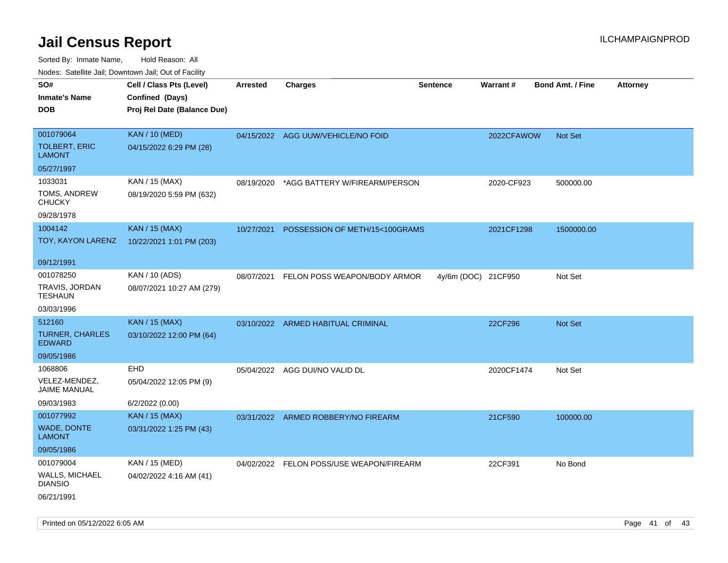| rougs. Calcing Jan, Downtown Jan, Out of Facility |                             |                 |                                          |                     |            |                         |                 |
|---------------------------------------------------|-----------------------------|-----------------|------------------------------------------|---------------------|------------|-------------------------|-----------------|
| SO#                                               | Cell / Class Pts (Level)    | <b>Arrested</b> | <b>Charges</b>                           | <b>Sentence</b>     | Warrant#   | <b>Bond Amt. / Fine</b> | <b>Attorney</b> |
| <b>Inmate's Name</b>                              | Confined (Days)             |                 |                                          |                     |            |                         |                 |
| <b>DOB</b>                                        | Proj Rel Date (Balance Due) |                 |                                          |                     |            |                         |                 |
|                                                   |                             |                 |                                          |                     |            |                         |                 |
| 001079064                                         | <b>KAN / 10 (MED)</b>       |                 | 04/15/2022 AGG UUW/VEHICLE/NO FOID       |                     | 2022CFAWOW | <b>Not Set</b>          |                 |
| <b>TOLBERT, ERIC</b><br><b>LAMONT</b>             | 04/15/2022 6:29 PM (28)     |                 |                                          |                     |            |                         |                 |
| 05/27/1997                                        |                             |                 |                                          |                     |            |                         |                 |
| 1033031                                           | KAN / 15 (MAX)              | 08/19/2020      | *AGG BATTERY W/FIREARM/PERSON            |                     | 2020-CF923 | 500000.00               |                 |
| TOMS, ANDREW<br><b>CHUCKY</b>                     | 08/19/2020 5:59 PM (632)    |                 |                                          |                     |            |                         |                 |
| 09/28/1978                                        |                             |                 |                                          |                     |            |                         |                 |
| 1004142                                           | <b>KAN / 15 (MAX)</b>       | 10/27/2021      | POSSESSION OF METH/15<100GRAMS           |                     | 2021CF1298 | 1500000.00              |                 |
| TOY, KAYON LARENZ                                 | 10/22/2021 1:01 PM (203)    |                 |                                          |                     |            |                         |                 |
| 09/12/1991                                        |                             |                 |                                          |                     |            |                         |                 |
| 001078250                                         | KAN / 10 (ADS)              | 08/07/2021      | FELON POSS WEAPON/BODY ARMOR             | 4y/6m (DOC) 21CF950 |            | Not Set                 |                 |
| TRAVIS, JORDAN<br><b>TESHAUN</b>                  | 08/07/2021 10:27 AM (279)   |                 |                                          |                     |            |                         |                 |
| 03/03/1996                                        |                             |                 |                                          |                     |            |                         |                 |
| 512160                                            | <b>KAN / 15 (MAX)</b>       |                 | 03/10/2022 ARMED HABITUAL CRIMINAL       |                     | 22CF296    | Not Set                 |                 |
| <b>TURNER, CHARLES</b><br><b>EDWARD</b>           | 03/10/2022 12:00 PM (64)    |                 |                                          |                     |            |                         |                 |
| 09/05/1986                                        |                             |                 |                                          |                     |            |                         |                 |
| 1068806                                           | EHD                         |                 | 05/04/2022 AGG DUI/NO VALID DL           |                     | 2020CF1474 | Not Set                 |                 |
| VELEZ-MENDEZ,<br>JAIME MANUAL                     | 05/04/2022 12:05 PM (9)     |                 |                                          |                     |            |                         |                 |
| 09/03/1983                                        | 6/2/2022 (0.00)             |                 |                                          |                     |            |                         |                 |
| 001077992                                         | <b>KAN / 15 (MAX)</b>       |                 | 03/31/2022 ARMED ROBBERY/NO FIREARM      |                     | 21CF590    | 100000.00               |                 |
| <b>WADE, DONTE</b><br>LAMONT                      | 03/31/2022 1:25 PM (43)     |                 |                                          |                     |            |                         |                 |
| 09/05/1986                                        |                             |                 |                                          |                     |            |                         |                 |
| 001079004                                         | KAN / 15 (MED)              |                 | 04/02/2022 FELON POSS/USE WEAPON/FIREARM |                     | 22CF391    | No Bond                 |                 |
| <b>WALLS, MICHAEL</b><br><b>DIANSIO</b>           | 04/02/2022 4:16 AM (41)     |                 |                                          |                     |            |                         |                 |
| 06/21/1991                                        |                             |                 |                                          |                     |            |                         |                 |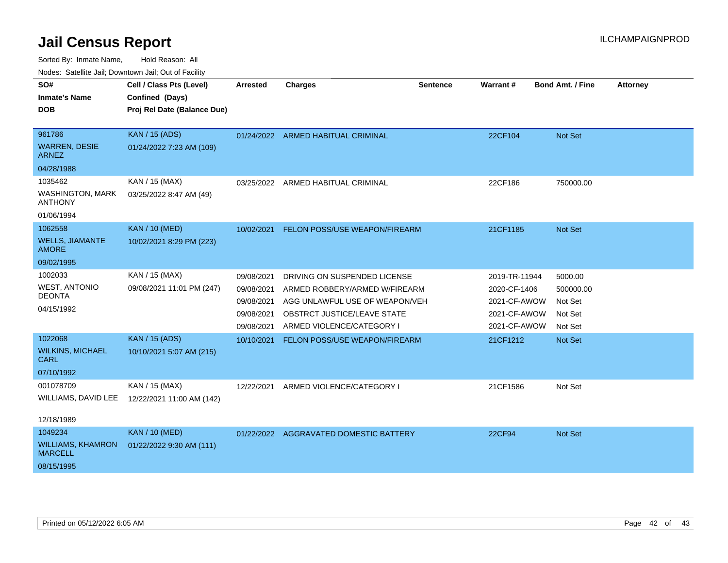Sorted By: Inmate Name, Hold Reason: All

| Nodes: Satellite Jail; Downtown Jail; Out of Facility |  |  |
|-------------------------------------------------------|--|--|
|                                                       |  |  |

| SO#                                        | Cell / Class Pts (Level)    | <b>Arrested</b> | <b>Charges</b>                         | <b>Sentence</b> | Warrant#      | <b>Bond Amt. / Fine</b> | <b>Attorney</b> |
|--------------------------------------------|-----------------------------|-----------------|----------------------------------------|-----------------|---------------|-------------------------|-----------------|
| <b>Inmate's Name</b>                       | Confined (Days)             |                 |                                        |                 |               |                         |                 |
| <b>DOB</b>                                 | Proj Rel Date (Balance Due) |                 |                                        |                 |               |                         |                 |
| 961786                                     | <b>KAN / 15 (ADS)</b>       |                 | 01/24/2022 ARMED HABITUAL CRIMINAL     |                 | 22CF104       | Not Set                 |                 |
| <b>WARREN, DESIE</b><br><b>ARNEZ</b>       | 01/24/2022 7:23 AM (109)    |                 |                                        |                 |               |                         |                 |
| 04/28/1988                                 |                             |                 |                                        |                 |               |                         |                 |
| 1035462                                    | KAN / 15 (MAX)              | 03/25/2022      | ARMED HABITUAL CRIMINAL                |                 | 22CF186       | 750000.00               |                 |
| <b>WASHINGTON, MARK</b><br><b>ANTHONY</b>  | 03/25/2022 8:47 AM (49)     |                 |                                        |                 |               |                         |                 |
| 01/06/1994                                 |                             |                 |                                        |                 |               |                         |                 |
| 1062558                                    | <b>KAN / 10 (MED)</b>       | 10/02/2021      | <b>FELON POSS/USE WEAPON/FIREARM</b>   |                 | 21CF1185      | Not Set                 |                 |
| <b>WELLS, JIAMANTE</b><br><b>AMORE</b>     | 10/02/2021 8:29 PM (223)    |                 |                                        |                 |               |                         |                 |
| 09/02/1995                                 |                             |                 |                                        |                 |               |                         |                 |
| 1002033                                    | KAN / 15 (MAX)              | 09/08/2021      | DRIVING ON SUSPENDED LICENSE           |                 | 2019-TR-11944 | 5000.00                 |                 |
| <b>WEST, ANTONIO</b>                       | 09/08/2021 11:01 PM (247)   | 09/08/2021      | ARMED ROBBERY/ARMED W/FIREARM          |                 | 2020-CF-1406  | 500000.00               |                 |
| <b>DEONTA</b>                              |                             | 09/08/2021      | AGG UNLAWFUL USE OF WEAPON/VEH         |                 | 2021-CF-AWOW  | Not Set                 |                 |
| 04/15/1992                                 |                             | 09/08/2021      | OBSTRCT JUSTICE/LEAVE STATE            |                 | 2021-CF-AWOW  | Not Set                 |                 |
|                                            |                             | 09/08/2021      | ARMED VIOLENCE/CATEGORY I              |                 | 2021-CF-AWOW  | Not Set                 |                 |
| 1022068                                    | <b>KAN / 15 (ADS)</b>       | 10/10/2021      | FELON POSS/USE WEAPON/FIREARM          |                 | 21CF1212      | Not Set                 |                 |
| <b>WILKINS, MICHAEL</b><br><b>CARL</b>     | 10/10/2021 5:07 AM (215)    |                 |                                        |                 |               |                         |                 |
| 07/10/1992                                 |                             |                 |                                        |                 |               |                         |                 |
| 001078709                                  | KAN / 15 (MAX)              | 12/22/2021      | ARMED VIOLENCE/CATEGORY I              |                 | 21CF1586      | Not Set                 |                 |
| WILLIAMS, DAVID LEE                        | 12/22/2021 11:00 AM (142)   |                 |                                        |                 |               |                         |                 |
| 12/18/1989                                 |                             |                 |                                        |                 |               |                         |                 |
| 1049234                                    | <b>KAN / 10 (MED)</b>       |                 | 01/22/2022 AGGRAVATED DOMESTIC BATTERY |                 | 22CF94        | Not Set                 |                 |
| <b>WILLIAMS, KHAMRON</b><br><b>MARCELL</b> | 01/22/2022 9:30 AM (111)    |                 |                                        |                 |               |                         |                 |
| 08/15/1995                                 |                             |                 |                                        |                 |               |                         |                 |